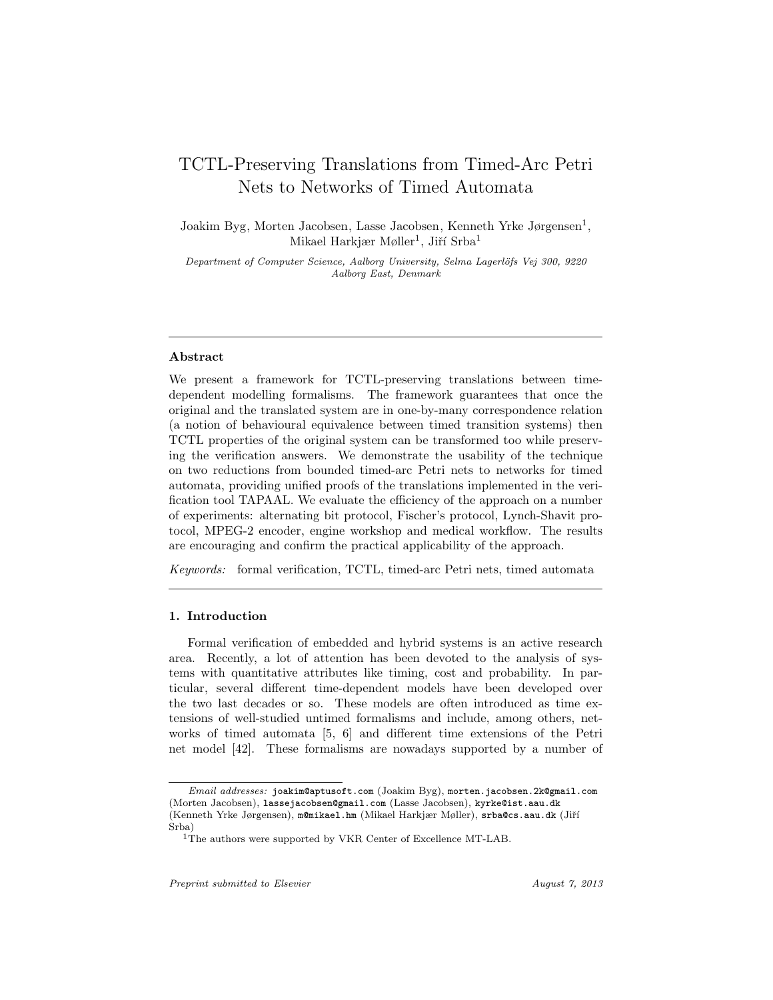# TCTL-Preserving Translations from Timed-Arc Petri Nets to Networks of Timed Automata

Joakim Byg, Morten Jacobsen, Lasse Jacobsen, Kenneth Yrke Jørgensen<sup>1</sup>, Mikael Harkjær Møller<sup>1</sup>, Jiří Srba<sup>1</sup>

Department of Computer Science, Aalborg University, Selma Lagerlöfs Vej 300, 9220 Aalborg East, Denmark

## Abstract

We present a framework for TCTL-preserving translations between timedependent modelling formalisms. The framework guarantees that once the original and the translated system are in one-by-many correspondence relation (a notion of behavioural equivalence between timed transition systems) then TCTL properties of the original system can be transformed too while preserving the verification answers. We demonstrate the usability of the technique on two reductions from bounded timed-arc Petri nets to networks for timed automata, providing unified proofs of the translations implemented in the verification tool TAPAAL. We evaluate the efficiency of the approach on a number of experiments: alternating bit protocol, Fischer's protocol, Lynch-Shavit protocol, MPEG-2 encoder, engine workshop and medical workflow. The results are encouraging and confirm the practical applicability of the approach.

Keywords: formal verification, TCTL, timed-arc Petri nets, timed automata

## 1. Introduction

Formal verification of embedded and hybrid systems is an active research area. Recently, a lot of attention has been devoted to the analysis of systems with quantitative attributes like timing, cost and probability. In particular, several different time-dependent models have been developed over the two last decades or so. These models are often introduced as time extensions of well-studied untimed formalisms and include, among others, networks of timed automata [5, 6] and different time extensions of the Petri net model [42]. These formalisms are nowadays supported by a number of

Email addresses: joakim@aptusoft.com (Joakim Byg), morten.jacobsen.2k@gmail.com (Morten Jacobsen), lassejacobsen@gmail.com (Lasse Jacobsen), kyrke@ist.aau.dk (Kenneth Yrke Jørgensen), m@mikael.hm (Mikael Harkjær Møller), srba@cs.aau.dk (Jiří Srba)

<sup>&</sup>lt;sup>1</sup>The authors were supported by VKR Center of Excellence MT-LAB.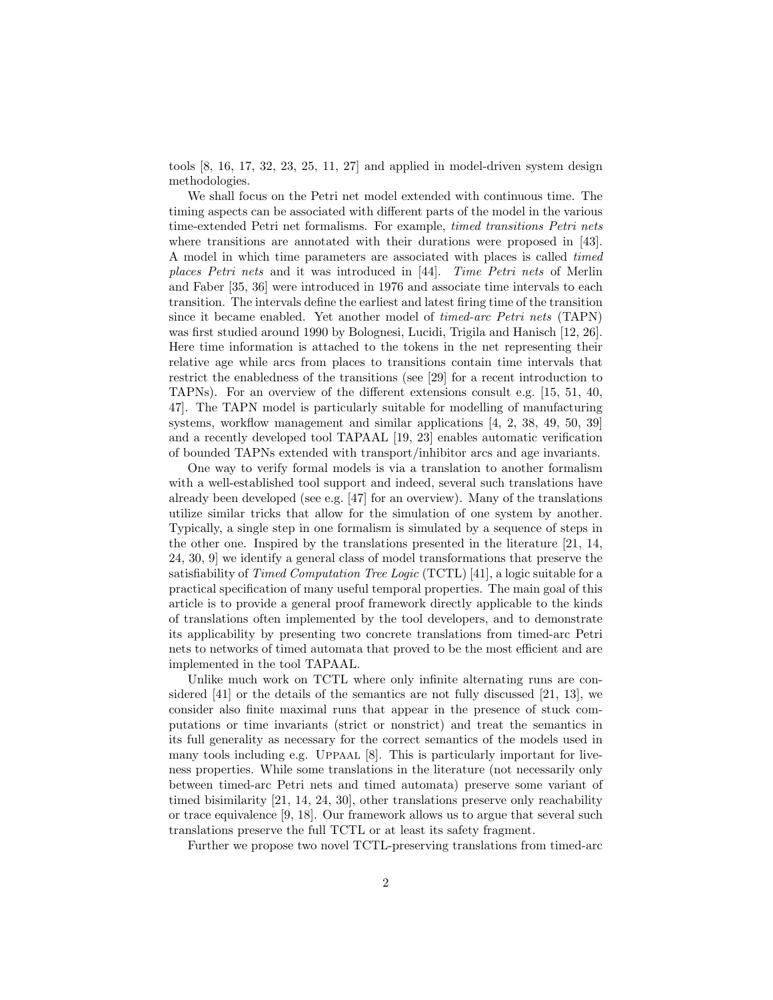tools [8, 16, 17, 32, 23, 25, 11, 27] and applied in model-driven system design methodologies.

We shall focus on the Petri net model extended with continuous time. The timing aspects can be associated with different parts of the model in the various time-extended Petri net formalisms. For example, timed transitions Petri nets where transitions are annotated with their durations were proposed in [43]. A model in which time parameters are associated with places is called timed places Petri nets and it was introduced in [44]. Time Petri nets of Merlin and Faber [35, 36] were introduced in 1976 and associate time intervals to each transition. The intervals define the earliest and latest firing time of the transition since it became enabled. Yet another model of timed-arc Petri nets (TAPN) was first studied around 1990 by Bolognesi, Lucidi, Trigila and Hanisch [12, 26]. Here time information is attached to the tokens in the net representing their relative age while arcs from places to transitions contain time intervals that restrict the enabledness of the transitions (see [29] for a recent introduction to TAPNs). For an overview of the different extensions consult e.g. [15, 51, 40, 47]. The TAPN model is particularly suitable for modelling of manufacturing systems, workflow management and similar applications [4, 2, 38, 49, 50, 39] and a recently developed tool TAPAAL [19, 23] enables automatic verification of bounded TAPNs extended with transport/inhibitor arcs and age invariants.

One way to verify formal models is via a translation to another formalism with a well-established tool support and indeed, several such translations have already been developed (see e.g. [47] for an overview). Many of the translations utilize similar tricks that allow for the simulation of one system by another. Typically, a single step in one formalism is simulated by a sequence of steps in the other one. Inspired by the translations presented in the literature [21, 14, 24, 30, 9] we identify a general class of model transformations that preserve the satisfiability of *Timed Computation Tree Logic* (TCTL) [41], a logic suitable for a practical specification of many useful temporal properties. The main goal of this article is to provide a general proof framework directly applicable to the kinds of translations often implemented by the tool developers, and to demonstrate its applicability by presenting two concrete translations from timed-arc Petri nets to networks of timed automata that proved to be the most efficient and are implemented in the tool TAPAAL.

Unlike much work on TCTL where only infinite alternating runs are considered [41] or the details of the semantics are not fully discussed [21, 13], we consider also finite maximal runs that appear in the presence of stuck computations or time invariants (strict or nonstrict) and treat the semantics in its full generality as necessary for the correct semantics of the models used in many tools including e.g. UPPAAL  $[8]$ . This is particularly important for liveness properties. While some translations in the literature (not necessarily only between timed-arc Petri nets and timed automata) preserve some variant of timed bisimilarity [21, 14, 24, 30], other translations preserve only reachability or trace equivalence [9, 18]. Our framework allows us to argue that several such translations preserve the full TCTL or at least its safety fragment.

Further we propose two novel TCTL-preserving translations from timed-arc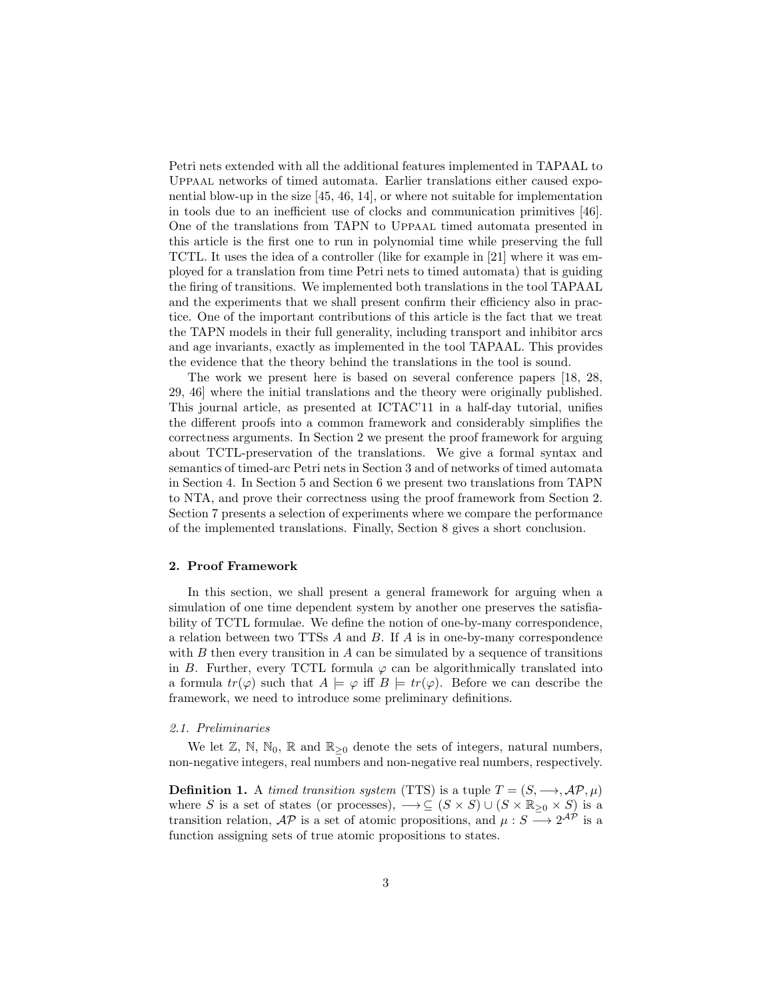Petri nets extended with all the additional features implemented in TAPAAL to Uppaal networks of timed automata. Earlier translations either caused exponential blow-up in the size [45, 46, 14], or where not suitable for implementation in tools due to an inefficient use of clocks and communication primitives [46]. One of the translations from TAPN to Uppaal timed automata presented in this article is the first one to run in polynomial time while preserving the full TCTL. It uses the idea of a controller (like for example in [21] where it was employed for a translation from time Petri nets to timed automata) that is guiding the firing of transitions. We implemented both translations in the tool TAPAAL and the experiments that we shall present confirm their efficiency also in practice. One of the important contributions of this article is the fact that we treat the TAPN models in their full generality, including transport and inhibitor arcs and age invariants, exactly as implemented in the tool TAPAAL. This provides the evidence that the theory behind the translations in the tool is sound.

The work we present here is based on several conference papers [18, 28, 29, 46] where the initial translations and the theory were originally published. This journal article, as presented at ICTAC'11 in a half-day tutorial, unifies the different proofs into a common framework and considerably simplifies the correctness arguments. In Section 2 we present the proof framework for arguing about TCTL-preservation of the translations. We give a formal syntax and semantics of timed-arc Petri nets in Section 3 and of networks of timed automata in Section 4. In Section 5 and Section 6 we present two translations from TAPN to NTA, and prove their correctness using the proof framework from Section 2. Section 7 presents a selection of experiments where we compare the performance of the implemented translations. Finally, Section 8 gives a short conclusion.

#### 2. Proof Framework

In this section, we shall present a general framework for arguing when a simulation of one time dependent system by another one preserves the satisfiability of TCTL formulae. We define the notion of one-by-many correspondence, a relation between two TTSs A and B. If A is in one-by-many correspondence with  $B$  then every transition in  $A$  can be simulated by a sequence of transitions in B. Further, every TCTL formula  $\varphi$  can be algorithmically translated into a formula  $tr(\varphi)$  such that  $A \models \varphi$  iff  $B \models tr(\varphi)$ . Before we can describe the framework, we need to introduce some preliminary definitions.

## 2.1. Preliminaries

We let  $\mathbb{Z}, \mathbb{N}, \mathbb{N}_0, \mathbb{R}$  and  $\mathbb{R}_{\geq 0}$  denote the sets of integers, natural numbers, non-negative integers, real numbers and non-negative real numbers, respectively.

**Definition 1.** A timed transition system (TTS) is a tuple  $T = (S, \rightarrow, \mathcal{AP}, \mu)$ where S is a set of states (or processes),  $\longrightarrow \subseteq (S \times S) \cup (S \times \mathbb{R}_{\geq 0} \times S)$  is a transition relation,  $\mathcal{AP}$  is a set of atomic propositions, and  $\mu : S \longrightarrow 2^{\mathcal{AP}}$  is a function assigning sets of true atomic propositions to states.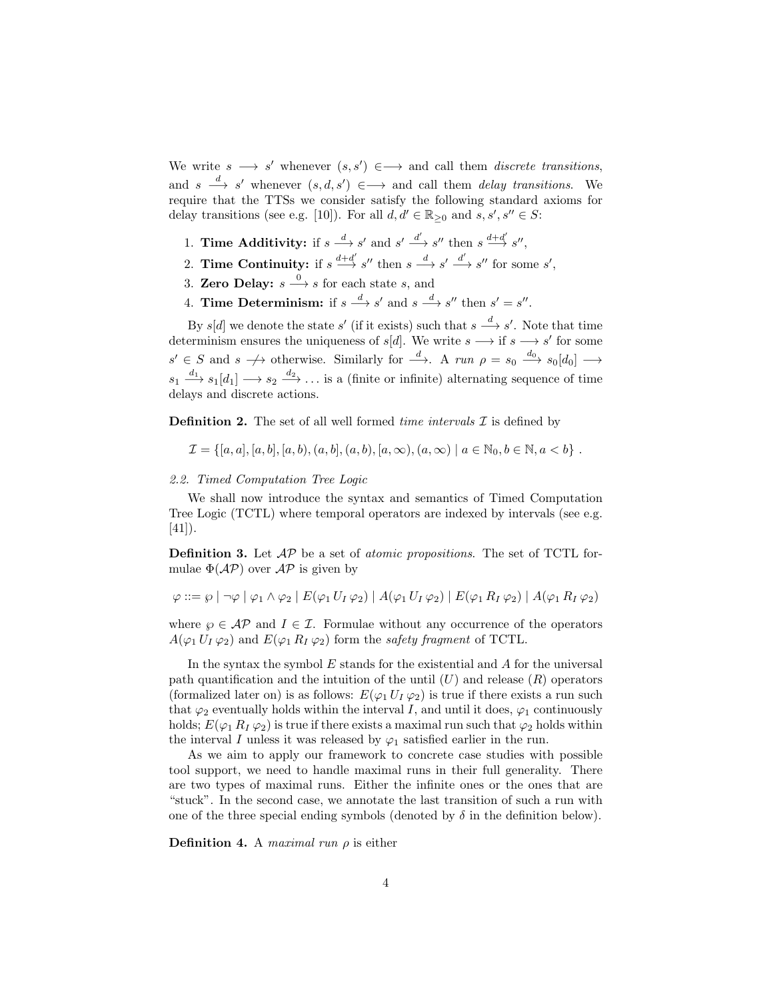We write  $s \longrightarrow s'$  whenever  $(s, s') \in \longrightarrow$  and call them *discrete transitions*, and  $s \stackrel{d}{\longrightarrow} s'$  whenever  $(s, d, s') \in \longrightarrow$  and call them *delay transitions*. We require that the TTSs we consider satisfy the following standard axioms for delay transitions (see e.g. [10]). For all  $d, d' \in \mathbb{R}_{\geq 0}$  and  $s, s', s'' \in S$ :

- 1. **Time Additivity:** if  $s \stackrel{d}{\longrightarrow} s'$  and  $s' \stackrel{d'}{\longrightarrow} s''$  then  $s \stackrel{d+d'}{\longrightarrow} s''$ ,
- 2. **Time Continuity:** if  $s \stackrel{d+d'}{\longrightarrow} s''$  then  $s \stackrel{d}{\longrightarrow} s' \stackrel{d'}{\longrightarrow} s''$  for some  $s'$ ,
- 3. Zero Delay:  $s \xrightarrow{0} s$  for each state s, and
- 4. Time Determinism: if  $s \stackrel{d}{\longrightarrow} s'$  and  $s \stackrel{d}{\longrightarrow} s''$  then  $s' = s''$ .

By  $s[d]$  we denote the state  $s'$  (if it exists) such that  $s \stackrel{d}{\longrightarrow} s'$ . Note that time determinism ensures the uniqueness of  $s[d]$ . We write  $s \longrightarrow$  if  $s \longrightarrow s'$  for some  $s' \in S$  and  $s \nightharpoonup$  otherwise. Similarly for  $\xrightarrow{d}$ . A run  $\rho = s_0 \xrightarrow{d_0} s_0[d_0] \longrightarrow$  $s_1 \stackrel{d_1}{\longrightarrow} s_1[d_1] \longrightarrow s_2 \stackrel{d_2}{\longrightarrow} \dots$  is a (finite or infinite) alternating sequence of time delays and discrete actions.

**Definition 2.** The set of all well formed time intervals  $\mathcal I$  is defined by

 $\mathcal{I} = \{[a, a], [a, b], [a, b], (a, b], (a, b), [a, \infty), (a, \infty) \mid a \in \mathbb{N}_0, b \in \mathbb{N}, a < b\}$ .

## 2.2. Timed Computation Tree Logic

We shall now introduce the syntax and semantics of Timed Computation Tree Logic (TCTL) where temporal operators are indexed by intervals (see e.g. [41]).

**Definition 3.** Let  $AP$  be a set of *atomic propositions*. The set of TCTL formulae  $\Phi(\mathcal{AP})$  over  $\mathcal{AP}$  is given by

$$
\varphi ::= \varphi \mid \neg \varphi \mid \varphi_1 \land \varphi_2 \mid E(\varphi_1 U_I \varphi_2) \mid A(\varphi_1 U_I \varphi_2) \mid E(\varphi_1 R_I \varphi_2) \mid A(\varphi_1 R_I \varphi_2)
$$

where  $\varphi \in \mathcal{AP}$  and  $I \in \mathcal{I}$ . Formulae without any occurrence of the operators  $A(\varphi_1 U_I \varphi_2)$  and  $E(\varphi_1 R_I \varphi_2)$  form the *safety fragment* of TCTL.

In the syntax the symbol  $E$  stands for the existential and  $A$  for the universal path quantification and the intuition of the until  $(U)$  and release  $(R)$  operators (formalized later on) is as follows:  $E(\varphi_1 U_I \varphi_2)$  is true if there exists a run such that  $\varphi_2$  eventually holds within the interval I, and until it does,  $\varphi_1$  continuously holds;  $E(\varphi_1 R_I \varphi_2)$  is true if there exists a maximal run such that  $\varphi_2$  holds within the interval I unless it was released by  $\varphi_1$  satisfied earlier in the run.

As we aim to apply our framework to concrete case studies with possible tool support, we need to handle maximal runs in their full generality. There are two types of maximal runs. Either the infinite ones or the ones that are "stuck". In the second case, we annotate the last transition of such a run with one of the three special ending symbols (denoted by  $\delta$  in the definition below).

**Definition 4.** A maximal run  $\rho$  is either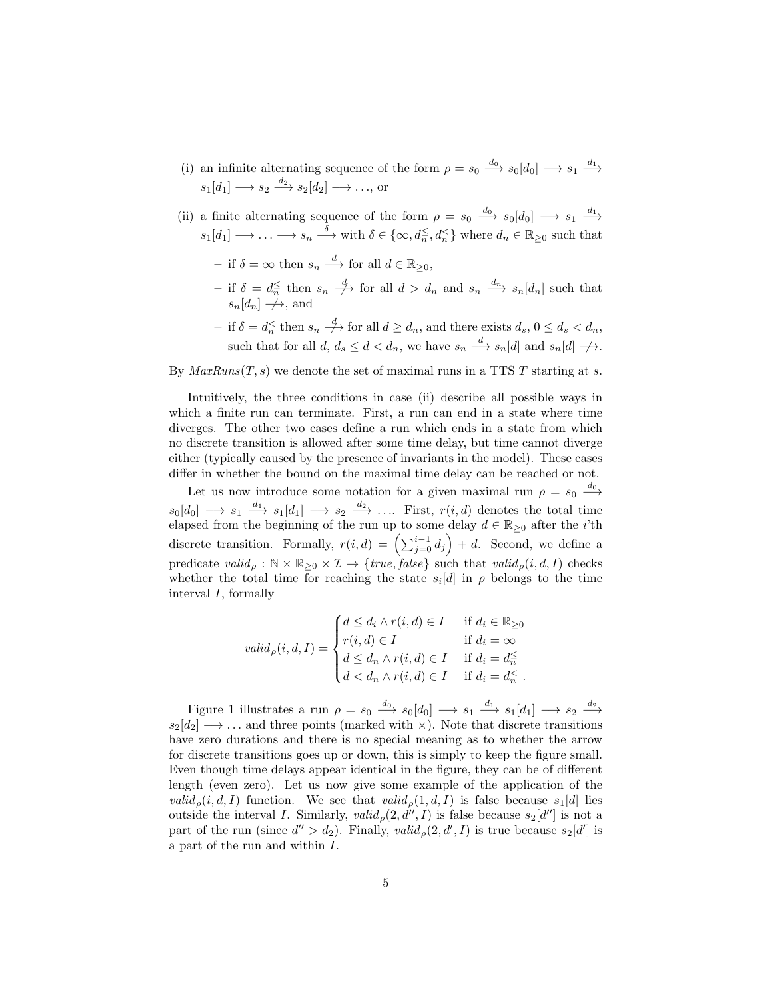- (i) an infinite alternating sequence of the form  $\rho = s_0 \xrightarrow{d_0} s_0[d_0] \longrightarrow s_1 \xrightarrow{d_1}$  $s_1[d_1] \longrightarrow s_2 \stackrel{d_2}{\longrightarrow} s_2[d_2] \longrightarrow \dots$ , or
- (ii) a finite alternating sequence of the form  $\rho = s_0 \xrightarrow{d_0} s_0[d_0] \longrightarrow s_1 \xrightarrow{d_1}$  $s_1[d_1] \longrightarrow \ldots \longrightarrow s_n \stackrel{\delta}{\longrightarrow}$  with  $\delta \in \{\infty, d_n \leq d_n \leq \}$  where  $d_n \in \mathbb{R}_{\geq 0}$  such that
	- $-$  if  $\delta = \infty$  then  $s_n \stackrel{d}{\longrightarrow}$  for all  $d \in \mathbb{R}_{\geq 0}$ ,
	- $-$  if  $\delta = d_n^{\leq}$  then  $s_n \stackrel{d}{\longrightarrow}$  for all  $d > d_n$  and  $s_n \stackrel{d_n}{\longrightarrow} s_n[d_n]$  such that  $s_n[d_n] \rightarrow \rightarrow$ , and
	- $-$  if  $\delta = d_n^{\lt}$  then  $s_n \stackrel{d}{\to}$  for all  $d \geq d_n$ , and there exists  $d_s$ ,  $0 \leq d_s < d_n$ , such that for all  $d, d_s \leq d < d_n$ , we have  $s_n \stackrel{d}{\longrightarrow} s_n[d]$  and  $s_n[d] \nrightarrow$ .

By  $MaxRuns(T, s)$  we denote the set of maximal runs in a TTS T starting at s.

Intuitively, the three conditions in case (ii) describe all possible ways in which a finite run can terminate. First, a run can end in a state where time diverges. The other two cases define a run which ends in a state from which no discrete transition is allowed after some time delay, but time cannot diverge either (typically caused by the presence of invariants in the model). These cases differ in whether the bound on the maximal time delay can be reached or not.

Let us now introduce some notation for a given maximal run  $\rho = s_0 \stackrel{d_0}{\longrightarrow}$  $s_0[d_0] \longrightarrow s_1 \stackrel{d_1}{\longrightarrow} s_1[d_1] \longrightarrow s_2 \stackrel{d_2}{\longrightarrow} \ldots$  First,  $r(i,d)$  denotes the total time elapsed from the beginning of the run up to some delay  $d \in \mathbb{R}_{\geq 0}$  after the *i*'th discrete transition. Formally,  $r(i, d) = \left(\sum_{j=0}^{i-1} d_j\right) + d$ . Second, we define a predicate valid<sub>p</sub> :  $\mathbb{N} \times \mathbb{R}_{\geq 0} \times \mathcal{I} \rightarrow \{true, false\}$  such that valid<sub>p</sub> $(i, d, I)$  checks whether the total time for reaching the state  $s_i[d]$  in  $\rho$  belongs to the time interval I, formally

$$
valid_{\rho}(i, d, I) = \begin{cases} d \leq d_i \wedge r(i, d) \in I & \text{if } d_i \in \mathbb{R}_{\geq 0} \\ r(i, d) \in I & \text{if } d_i = \infty \\ d \leq d_n \wedge r(i, d) \in I & \text{if } d_i = d_n^{\leq} \\ d < d_n \wedge r(i, d) \in I & \text{if } d_i = d_n^{\leq} \end{cases}
$$

Figure 1 illustrates a run  $\rho = s_0 \stackrel{d_0}{\longrightarrow} s_0[d_0] \longrightarrow s_1 \stackrel{d_1}{\longrightarrow} s_1[d_1] \longrightarrow s_2 \stackrel{d_2}{\longrightarrow}$  $s_2[d_2] \longrightarrow \dots$  and three points (marked with  $\times$ ). Note that discrete transitions have zero durations and there is no special meaning as to whether the arrow for discrete transitions goes up or down, this is simply to keep the figure small. Even though time delays appear identical in the figure, they can be of different length (even zero). Let us now give some example of the application of the valid<sub>p</sub> $(i, d, I)$  function. We see that valid<sub>p</sub> $(1, d, I)$  is false because  $s_1[d]$  lies outside the interval I. Similarly,  $valid_{\rho}(2, d'', I)$  is false because  $s_2[d'']$  is not a part of the run (since  $d'' > d_2$ ). Finally, valid,  $\rho(2, d', I)$  is true because  $s_2[d']$  is a part of the run and within I.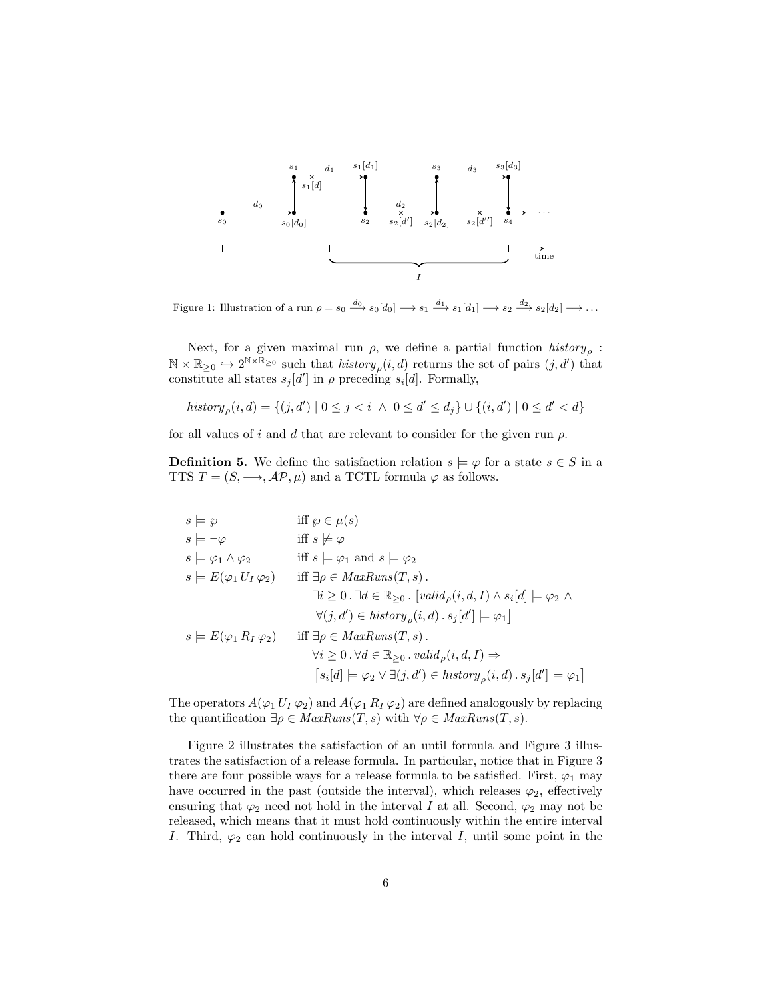

Figure 1: Illustration of a run  $\rho = s_0 \xrightarrow{d_0} s_0[d_0] \longrightarrow s_1 \xrightarrow{d_1} s_1[d_1] \longrightarrow s_2 \xrightarrow{d_2} s_2[d_2] \longrightarrow \dots$ 

Next, for a given maximal run  $\rho$ , we define a partial function  $history_{\rho}$ :  $\mathbb{N} \times \mathbb{R}_{\geq 0} \hookrightarrow 2^{\mathbb{N} \times \mathbb{R}_{\geq 0}}$  such that  $history_{\rho}(i, d)$  returns the set of pairs  $(j, d')$  that constitute all states  $s_j[d']$  in  $\rho$  preceding  $s_i[d]$ . Formally,

$$
history_{\rho}(i,d) = \{(j,d') \mid 0 \le j < i \ \land \ 0 \le d' \le d_j\} \cup \{(i,d') \mid 0 \le d' < d\}
$$

for all values of i and d that are relevant to consider for the given run  $\rho$ .

**Definition 5.** We define the satisfaction relation  $s \models \varphi$  for a state  $s \in S$  in a TTS  $T = (S, \longrightarrow, \mathcal{AP}, \mu)$  and a TCTL formula  $\varphi$  as follows.

$$
s \models \wp \quad \text{iff } \wp \in \mu(s)
$$
\n
$$
s \models \neg \varphi \quad \text{iff } s \not\models \varphi
$$
\n
$$
s \models \varphi_1 \land \varphi_2 \quad \text{iff } s \models \varphi_1 \text{ and } s \models \varphi_2
$$
\n
$$
s \models E(\varphi_1 U_I \varphi_2) \quad \text{iff } \exists \rho \in MaxRuns(T, s).
$$
\n
$$
\exists i \ge 0. \exists d \in \mathbb{R}_{\ge 0}. [valid_{\rho}(i, d, I) \land s_i[d] \models \varphi_2 \land \forall (j, d') \in history_{\rho}(i, d). s_j[d'] \models \varphi_1]
$$
\n
$$
s \models E(\varphi_1 R_I \varphi_2) \quad \text{iff } \exists \rho \in MaxRuns(T, s).
$$
\n
$$
\forall i \ge 0. \forall d \in \mathbb{R}_{\ge 0}. valid_{\rho}(i, d, I) \Rightarrow \qquad [s_i[d] \models \varphi_2 \lor \exists (j, d') \in history_{\rho}(i, d). s_j[d'] \models \varphi_1]
$$

The operators  $A(\varphi_1 U_I \varphi_2)$  and  $A(\varphi_1 R_I \varphi_2)$  are defined analogously by replacing the quantification  $\exists \rho \in \text{MaxRuns}(T, s)$  with  $\forall \rho \in \text{MaxRuns}(T, s)$ .

Figure 2 illustrates the satisfaction of an until formula and Figure 3 illustrates the satisfaction of a release formula. In particular, notice that in Figure 3 there are four possible ways for a release formula to be satisfied. First,  $\varphi_1$  may have occurred in the past (outside the interval), which releases  $\varphi_2$ , effectively ensuring that  $\varphi_2$  need not hold in the interval I at all. Second,  $\varphi_2$  may not be released, which means that it must hold continuously within the entire interval I. Third,  $\varphi_2$  can hold continuously in the interval I, until some point in the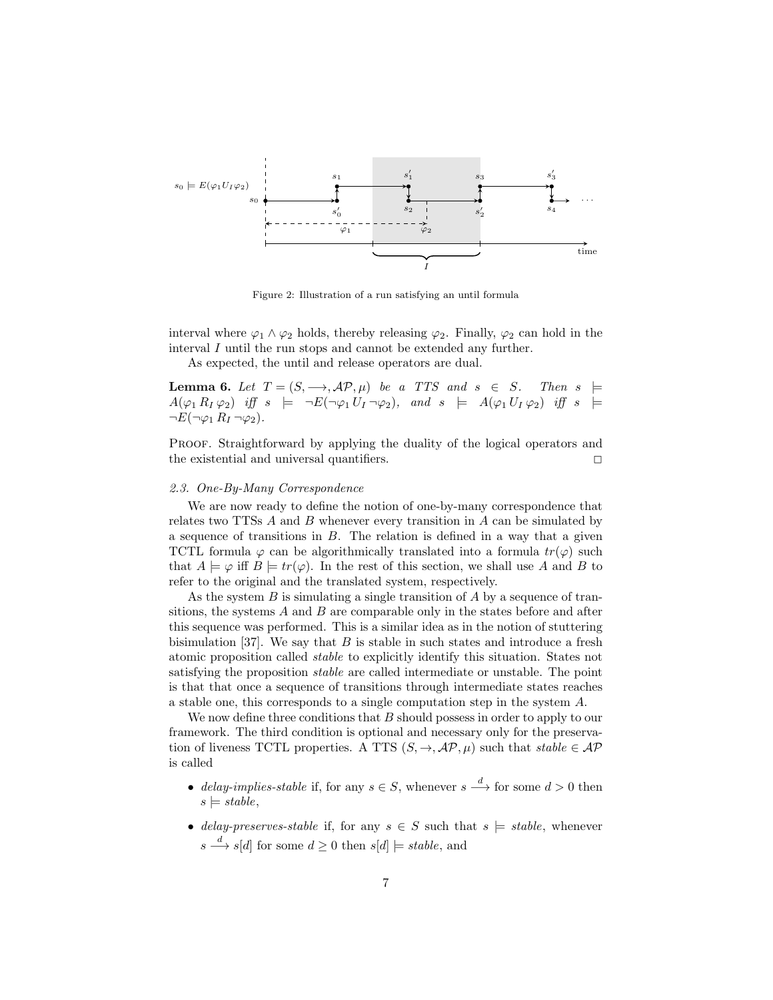

Figure 2: Illustration of a run satisfying an until formula

interval where  $\varphi_1 \wedge \varphi_2$  holds, thereby releasing  $\varphi_2$ . Finally,  $\varphi_2$  can hold in the interval I until the run stops and cannot be extended any further.

As expected, the until and release operators are dual.

**Lemma 6.** Let  $T = (S, \longrightarrow, \mathcal{AP}, \mu)$  be a TTS and  $s \in S$ . Then  $s \models$  $A(\varphi_1 R_I \varphi_2)$  iff  $s \models \neg E(\neg \varphi_1 U_1 \neg \varphi_2)$ , and  $s \models A(\varphi_1 U_1 \varphi_2)$  iff  $s \models$  $\neg E(\neg \varphi_1 R_I \neg \varphi_2).$ 

PROOF. Straightforward by applying the duality of the logical operators and the existential and universal quantifiers.  $\Box$ 

#### 2.3. One-By-Many Correspondence

We are now ready to define the notion of one-by-many correspondence that relates two TTSs  $A$  and  $B$  whenever every transition in  $A$  can be simulated by a sequence of transitions in  $B$ . The relation is defined in a way that a given TCTL formula  $\varphi$  can be algorithmically translated into a formula  $tr(\varphi)$  such that  $A \models \varphi$  iff  $B \models tr(\varphi)$ . In the rest of this section, we shall use A and B to refer to the original and the translated system, respectively.

As the system  $B$  is simulating a single transition of  $A$  by a sequence of transitions, the systems  $A$  and  $B$  are comparable only in the states before and after this sequence was performed. This is a similar idea as in the notion of stuttering bisimulation [37]. We say that  $B$  is stable in such states and introduce a fresh atomic proposition called stable to explicitly identify this situation. States not satisfying the proposition stable are called intermediate or unstable. The point is that that once a sequence of transitions through intermediate states reaches a stable one, this corresponds to a single computation step in the system A.

We now define three conditions that  $B$  should possess in order to apply to our framework. The third condition is optional and necessary only for the preservation of liveness TCTL properties. A TTS  $(S, \to, \mathcal{AP}, \mu)$  such that stable  $\in \mathcal{AP}$ is called

- delay-implies-stable if, for any  $s \in S$ , whenever  $s \stackrel{d}{\longrightarrow}$  for some  $d > 0$  then  $s \models stable,$
- delay-preserves-stable if, for any  $s \in S$  such that  $s \models stable$ , whenever  $s \stackrel{d}{\longrightarrow} s[d]$  for some  $d \geq 0$  then  $s[d] \models stable$ , and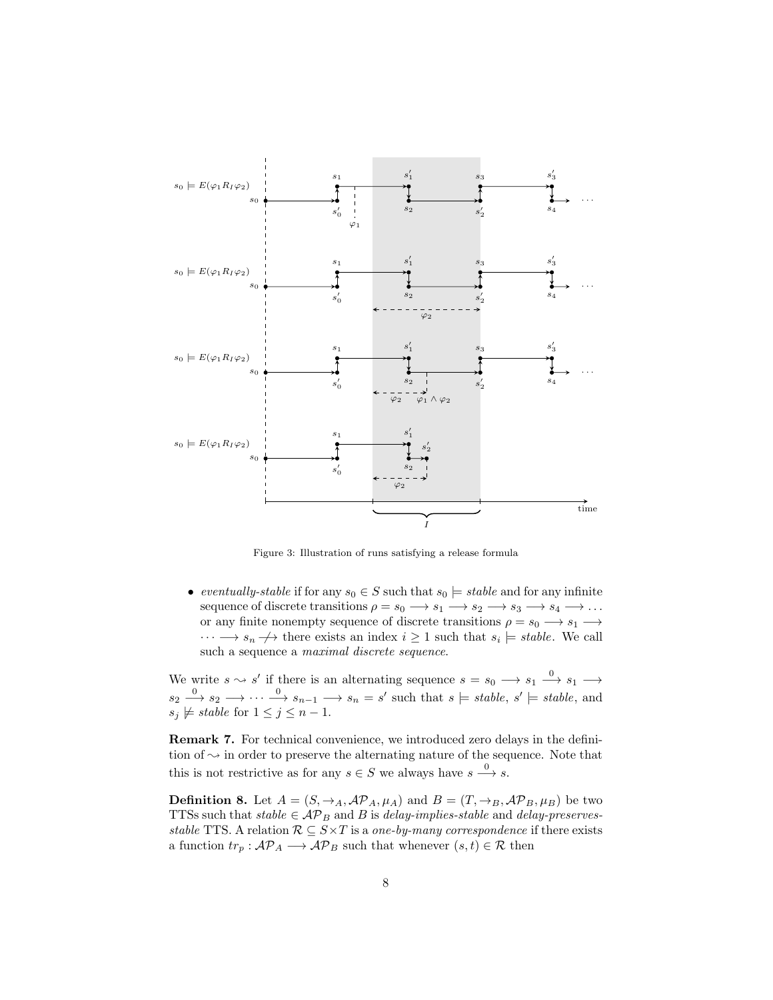

Figure 3: Illustration of runs satisfying a release formula

• eventually-stable if for any  $s_0 \in S$  such that  $s_0 \models stable$  and for any infinite sequence of discrete transitions  $\rho = s_0 \longrightarrow s_1 \longrightarrow s_2 \longrightarrow s_3 \longrightarrow s_4 \longrightarrow \dots$ or any finite nonempty sequence of discrete transitions  $\rho = s_0 \longrightarrow s_1 \longrightarrow$  $\cdots \longrightarrow s_n \longrightarrow$  there exists an index  $i \geq 1$  such that  $s_i \models stable$ . We call such a sequence a maximal discrete sequence.

We write  $s \sim s'$  if there is an alternating sequence  $s = s_0 \longrightarrow s_1 \longrightarrow s_1 \longrightarrow$  $s_2 \stackrel{0}{\longrightarrow} s_2 \longrightarrow \cdots \stackrel{0}{\longrightarrow} s_{n-1} \longrightarrow s_n = s'$  such that  $s \models stable, s' \models stable$ , and  $s_j \not\models stable \text{ for } 1 \leq j \leq n-1.$ 

Remark 7. For technical convenience, we introduced zero delays in the definition of  $\sim$  in order to preserve the alternating nature of the sequence. Note that this is not restrictive as for any  $s \in S$  we always have  $s \xrightarrow{0} s$ .

**Definition 8.** Let  $A = (S, \rightarrow_A, \mathcal{AP}_A, \mu_A)$  and  $B = (T, \rightarrow_B, \mathcal{AP}_B, \mu_B)$  be two TTSs such that  $stable \in \mathcal{AP}_B$  and B is delay-implies-stable and delay-preservesstable TTS. A relation  $\mathcal{R} \subseteq S \times T$  is a one-by-many correspondence if there exists a function  $tr_p: \mathcal{AP}_A \longrightarrow \mathcal{AP}_B$  such that whenever  $(s, t) \in \mathcal{R}$  then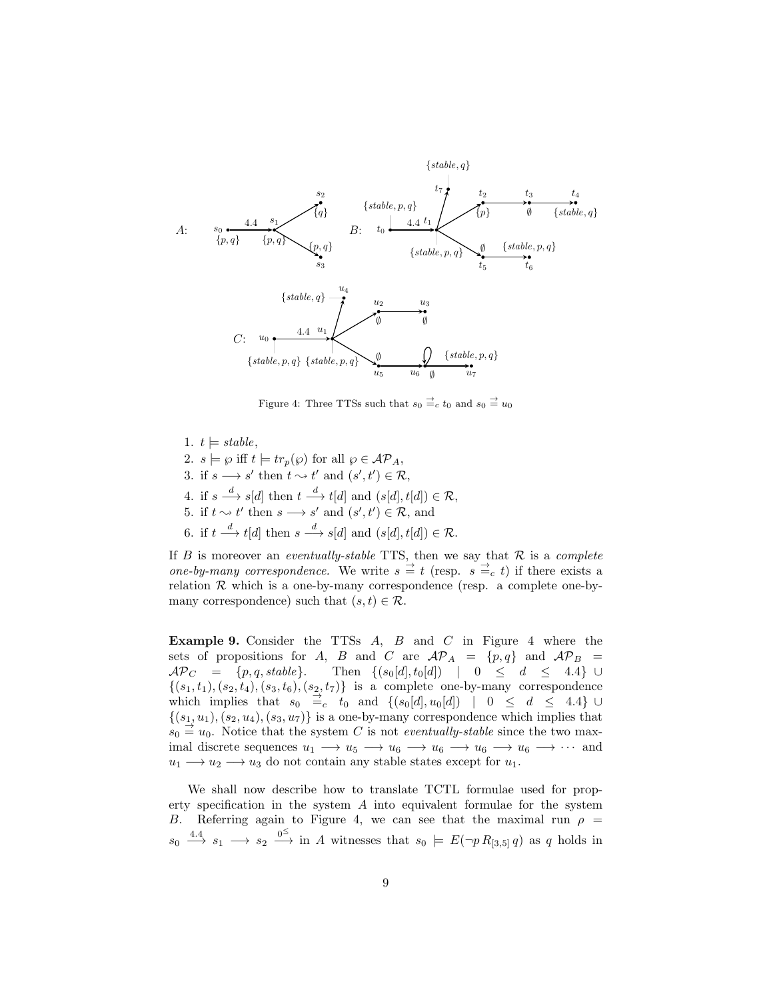

Figure 4: Three TTSs such that  $s_0 \stackrel{\rightarrow}{=} c t_0$  and  $s_0 \stackrel{\rightarrow}{=} u_0$ 

1.  $t \models stable$ , 2.  $s \models \varphi$  iff  $t \models tr_p(\varphi)$  for all  $\varphi \in \mathcal{AP}_A$ , 3. if  $s \longrightarrow s'$  then  $t \sim t'$  and  $(s', t') \in \mathcal{R}$ , 4. if  $s \stackrel{d}{\longrightarrow} s[d]$  then  $t \stackrel{d}{\longrightarrow} t[d]$  and  $(s[d], t[d]) \in \mathcal{R}$ , 5. if  $t \sim t'$  then  $s \rightarrow s'$  and  $(s', t') \in \mathcal{R}$ , and 6. if  $t \stackrel{d}{\longrightarrow} t[d]$  then  $s \stackrel{d}{\longrightarrow} s[d]$  and  $(s[d], t[d]) \in \mathcal{R}$ .

If  $B$  is moreover an *eventually-stable* TTS, then we say that  $R$  is a *complete* one-by-many correspondence. We write  $s \stackrel{\rightharpoonup}{=} t$  (resp.  $s \stackrel{\rightharpoonup}{=} c t$ ) if there exists a relation  $\mathcal R$  which is a one-by-many correspondence (resp. a complete one-bymany correspondence) such that  $(s, t) \in \mathcal{R}$ .

**Example 9.** Consider the TTSs  $A$ ,  $B$  and  $C$  in Figure 4 where the sets of propositions for A, B and C are  $\mathcal{AP}_A = \{p, q\}$  and  $\mathcal{AP}_B =$  $\mathcal{AP}_C = \{p, q, stable\}.$  Then  $\{(s_0[d], t_0[d]) | 0 \leq d \leq 4.4\} \cup$  $\{(s_1,t_1),(s_2,t_4),(s_3,t_6),(s_2,t_7)\}\$ is a complete one-by-many correspondence which implies that  $s_0 \stackrel{\rightarrow}{=} c \quad t_0$  and  $\{(s_0[d], u_0[d]) \mid 0 \leq d \leq 4.4\}$  U  $\{(s_1, u_1), (s_2, u_4), (s_3, u_7)\}\$ is a one-by-many correspondence which implies that  $s_0 \stackrel{\rightarrow}{=} u_0$ . Notice that the system C is not *eventually-stable* since the two maximal discrete sequences  $u_1 \longrightarrow u_5 \longrightarrow u_6 \longrightarrow u_6 \longrightarrow u_6 \longrightarrow u_6 \longrightarrow \cdots$  and  $u_1 \longrightarrow u_2 \longrightarrow u_3$  do not contain any stable states except for  $u_1$ .

We shall now describe how to translate TCTL formulae used for property specification in the system  $A$  into equivalent formulae for the system B. Referring again to Figure 4, we can see that the maximal run  $\rho =$  $s_0 \stackrel{4.4}{\longrightarrow} s_1 \longrightarrow s_2 \stackrel{0^{\le}}{\longrightarrow}$  in A witnesses that  $s_0 \models E(\neg p R_{[3,5]} q)$  as q holds in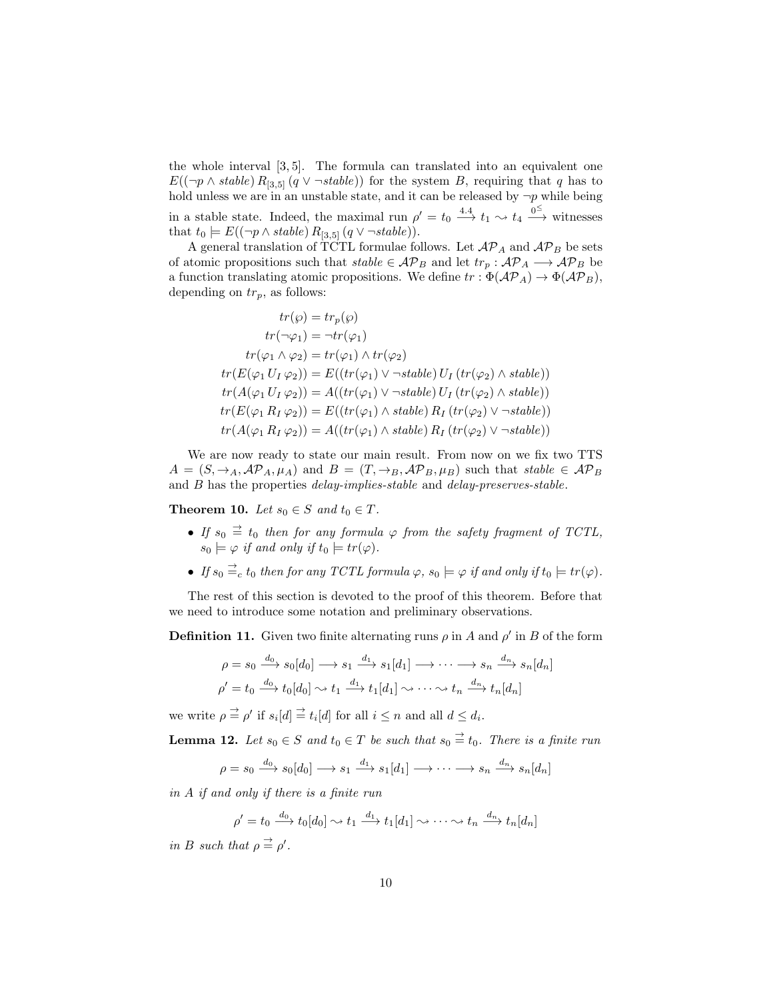the whole interval [3, 5]. The formula can translated into an equivalent one  $E((\neg p \wedge stable) R_{3,5}(q \vee \neg stable))$  for the system B, requiring that q has to hold unless we are in an unstable state, and it can be released by  $\neg p$  while being in a stable state. Indeed, the maximal run  $\rho' = t_0 \stackrel{4.4}{\longrightarrow} t_1 \rightsquigarrow t_4 \stackrel{0}{\longrightarrow}$  witnesses that  $t_0 \models E((\neg p \land stable) R_{3.5} (q \lor \neg stable)).$ 

A general translation of TCTL formulae follows. Let  $\mathcal{AP}_A$  and  $\mathcal{AP}_B$  be sets of atomic propositions such that  $stable \in \mathcal{AP}_B$  and let  $tr_p: \mathcal{AP}_A \longrightarrow \mathcal{AP}_B$  be a function translating atomic propositions. We define  $tr : \Phi(\mathcal{AP}_A) \to \Phi(\mathcal{AP}_B)$ , depending on  $tr_p$ , as follows:

$$
tr(\wp) = tr_p(\wp)
$$
  
\n
$$
tr(\neg \varphi_1) = \neg tr(\varphi_1)
$$
  
\n
$$
tr(\varphi_1 \wedge \varphi_2) = tr(\varphi_1) \wedge tr(\varphi_2)
$$
  
\n
$$
tr(E(\varphi_1 U_I \varphi_2)) = E((tr(\varphi_1) \vee \neg stable) U_I (tr(\varphi_2) \wedge stable))
$$
  
\n
$$
tr(A(\varphi_1 U_I \varphi_2)) = A((tr(\varphi_1) \vee \neg stable) U_I (tr(\varphi_2) \wedge stable))
$$
  
\n
$$
tr(E(\varphi_1 R_I \varphi_2)) = E((tr(\varphi_1) \wedge stable) R_I (tr(\varphi_2) \vee \neg stable))
$$
  
\n
$$
tr(A(\varphi_1 R_I \varphi_2)) = A((tr(\varphi_1) \wedge stable) R_I (tr(\varphi_2) \vee \neg stable))
$$

We are now ready to state our main result. From now on we fix two TTS  $A = (S, \rightarrow_A, \mathcal{AP}_A, \mu_A)$  and  $B = (T, \rightarrow_B, \mathcal{AP}_B, \mu_B)$  such that stable  $\in \mathcal{AP}_B$ and B has the properties *delay-implies-stable* and *delay-preserves-stable*.

Theorem 10. Let  $s_0 \in S$  and  $t_0 \in T$ .

- If  $s_0 \stackrel{\rightarrow}{=} t_0$  then for any formula  $\varphi$  from the safety fragment of TCTL,  $s_0 \models \varphi$  if and only if  $t_0 \models tr(\varphi)$ .
- If  $s_0 \stackrel{\rightarrow}{=} c t_0$  then for any TCTL formula  $\varphi$ ,  $s_0 \models \varphi$  if and only if  $t_0 \models tr(\varphi)$ .

The rest of this section is devoted to the proof of this theorem. Before that we need to introduce some notation and preliminary observations.

**Definition 11.** Given two finite alternating runs  $\rho$  in A and  $\rho'$  in B of the form

$$
\rho = s_0 \xrightarrow{d_0} s_0[d_0] \longrightarrow s_1 \xrightarrow{d_1} s_1[d_1] \longrightarrow \cdots \longrightarrow s_n \xrightarrow{d_n} s_n[d_n]
$$
  

$$
\rho' = t_0 \xrightarrow{d_0} t_0[d_0] \sim t_1 \xrightarrow{d_1} t_1[d_1] \sim \cdots \sim t_n \xrightarrow{d_n} t_n[d_n]
$$

we write  $\rho \stackrel{\rightharpoonup}{=} \rho'$  if  $s_i[d] \stackrel{\rightharpoonup}{=} t_i[d]$  for all  $i \leq n$  and all  $d \leq d_i$ .

**Lemma 12.** Let  $s_0 \in S$  and  $t_0 \in T$  be such that  $s_0 \stackrel{\rightharpoonup}{=} t_0$ . There is a finite run

$$
\rho = s_0 \xrightarrow{d_0} s_0[d_0] \longrightarrow s_1 \xrightarrow{d_1} s_1[d_1] \longrightarrow \cdots \longrightarrow s_n \xrightarrow{d_n} s_n[d_n]
$$

in A if and only if there is a finite run

 $\rho' = t_0 \stackrel{d_0}{\longrightarrow} t_0[d_0] \rightsquigarrow t_1 \stackrel{d_1}{\longrightarrow} t_1[d_1] \rightsquigarrow \cdots \rightsquigarrow t_n \stackrel{d_n}{\longrightarrow} t_n[d_n]$ 

in B such that  $\rho \stackrel{\rightharpoonup}{=} \rho'$ .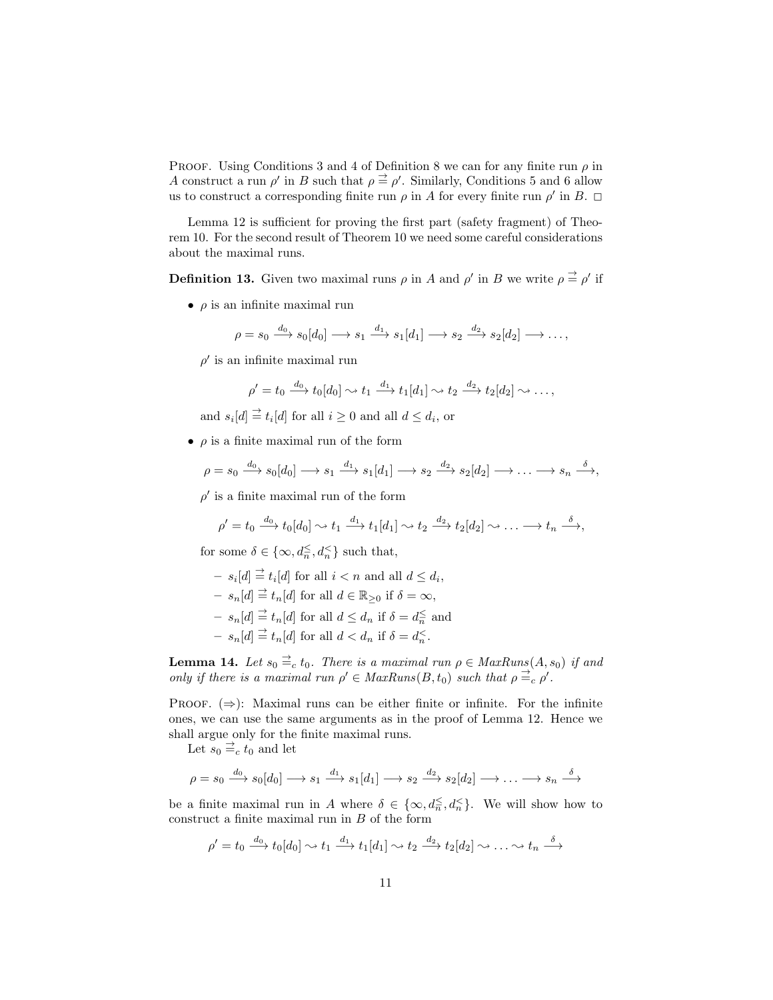PROOF. Using Conditions 3 and 4 of Definition 8 we can for any finite run  $\rho$  in A construct a run  $\rho'$  in B such that  $\rho \stackrel{\rightharpoonup}{=} \rho'$ . Similarly, Conditions 5 and 6 allow us to construct a corresponding finite run  $\rho$  in A for every finite run  $\rho'$  in B.  $\Box$ 

Lemma 12 is sufficient for proving the first part (safety fragment) of Theorem 10. For the second result of Theorem 10 we need some careful considerations about the maximal runs.

**Definition 13.** Given two maximal runs  $\rho$  in A and  $\rho'$  in B we write  $\rho \stackrel{\rightharpoonup}{=} \rho'$  if

 $\bullet$   $\rho$  is an infinite maximal run

$$
\rho = s_0 \xrightarrow{d_0} s_0[d_0] \longrightarrow s_1 \xrightarrow{d_1} s_1[d_1] \longrightarrow s_2 \xrightarrow{d_2} s_2[d_2] \longrightarrow \dots,
$$

 $\rho'$  is an infinite maximal run

$$
\rho' = t_0 \xrightarrow{d_0} t_0[d_0] \rightsquigarrow t_1 \xrightarrow{d_1} t_1[d_1] \rightsquigarrow t_2 \xrightarrow{d_2} t_2[d_2] \rightsquigarrow \dots,
$$

and  $s_i[d] \stackrel{\rightharpoonup}{=} t_i[d]$  for all  $i \geq 0$  and all  $d \leq d_i$ , or

 $\bullet$   $\rho$  is a finite maximal run of the form

$$
\rho = s_0 \xrightarrow{d_0} s_0[d_0] \longrightarrow s_1 \xrightarrow{d_1} s_1[d_1] \longrightarrow s_2 \xrightarrow{d_2} s_2[d_2] \longrightarrow \dots \longrightarrow s_n \xrightarrow{\delta},
$$

 $\rho'$  is a finite maximal run of the form

$$
\rho' = t_0 \xrightarrow{d_0} t_0[d_0] \rightsquigarrow t_1 \xrightarrow{d_1} t_1[d_1] \rightsquigarrow t_2 \xrightarrow{d_2} t_2[d_2] \rightsquigarrow \dots \longrightarrow t_n \xrightarrow{\delta},
$$

for some  $\delta \in \{\infty, d_n \leq, d_n \leq \}$  such that,

- 
$$
s_i[d] \stackrel{\rightharpoonup}{=} t_i[d]
$$
 for all  $i < n$  and all  $d \leq d_i$ ,

- $-s_n[d] \stackrel{\rightharpoonup}{=} t_n[d]$  for all  $d \in \mathbb{R}_{\geq 0}$  if  $\delta = \infty$ ,
- $s_n[d] \stackrel{\rightarrow}{=} t_n[d]$  for all  $d \leq d_n$  if  $\delta = d_n^{\leq}$  and
- $-s_n[d] \stackrel{\rightharpoonup}{=} t_n[d]$  for all  $d < d_n$  if  $\delta = d_n^{\ltimes}$ .

**Lemma 14.** Let  $s_0 \stackrel{\rightarrow}{=} c$  t<sub>0</sub>. There is a maximal run  $\rho \in MaxRuns(A, s_0)$  if and only if there is a maximal run  $\rho' \in MaxRuns(B,t_0)$  such that  $\rho \stackrel{\rightharpoonup}{=} c \rho'$ .

PROOF.  $(\Rightarrow)$ : Maximal runs can be either finite or infinite. For the infinite ones, we can use the same arguments as in the proof of Lemma 12. Hence we shall argue only for the finite maximal runs.

Let  $s_0 \equiv_c t_0$  and let

$$
\rho = s_0 \xrightarrow{d_0} s_0[d_0] \longrightarrow s_1 \xrightarrow{d_1} s_1[d_1] \longrightarrow s_2 \xrightarrow{d_2} s_2[d_2] \longrightarrow \dots \longrightarrow s_n \xrightarrow{\delta}
$$

be a finite maximal run in A where  $\delta \in \{\infty, d_{\overline{n}} \leq d_{\overline{n}} \}$ . We will show how to construct a finite maximal run in  $B$  of the form

$$
\rho' = t_0 \xrightarrow{d_0} t_0[d_0] \rightsquigarrow t_1 \xrightarrow{d_1} t_1[d_1] \rightsquigarrow t_2 \xrightarrow{d_2} t_2[d_2] \rightsquigarrow \dots \rightsquigarrow t_n \xrightarrow{\delta}
$$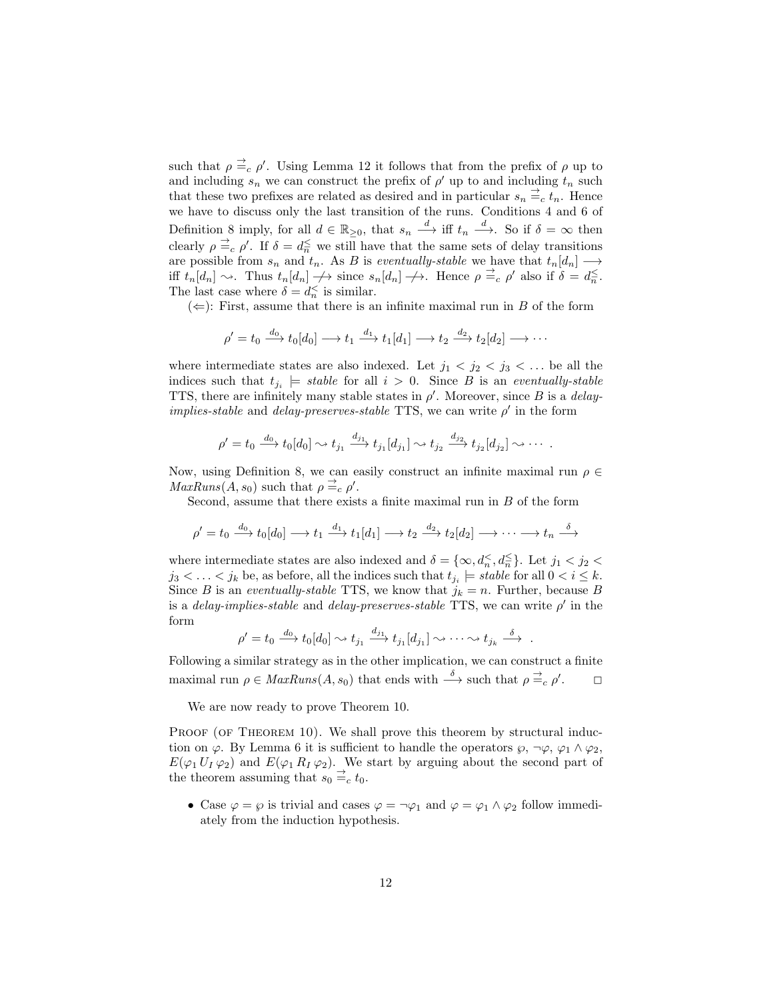such that  $\rho \stackrel{\rightharpoonup}{=} c \rho'$ . Using Lemma 12 it follows that from the prefix of  $\rho$  up to and including  $s_n$  we can construct the prefix of  $\rho'$  up to and including  $t_n$  such that these two prefixes are related as desired and in particular  $s_n \stackrel{\rightharpoonup}{=} c t_n$ . Hence we have to discuss only the last transition of the runs. Conditions 4 and 6 of Definition 8 imply, for all  $d \in \mathbb{R}_{\geq 0}$ , that  $s_n \stackrel{d}{\longrightarrow}$  iff  $t_n \stackrel{d}{\longrightarrow}$ . So if  $\delta = \infty$  then clearly  $\rho \stackrel{\rightarrow}{=} c \rho'$ . If  $\delta = d_{\overline{n}} \leq$  we still have that the same sets of delay transitions are possible from  $s_n$  and  $t_n$ . As B is eventually-stable we have that  $t_n[d_n] \longrightarrow$ iff  $t_n[d_n] \sim$ . Thus  $t_n[d_n] \to \text{ since } s_n[d_n] \to$ . Hence  $\rho \stackrel{\rightharpoonup}{=} c \rho'$  also if  $\delta = d_n \stackrel{\rightharpoonup}{=} c_n$ . The last case where  $\delta = d_n^{\lt}$  is similar.

 $(\Leftarrow)$ : First, assume that there is an infinite maximal run in B of the form

$$
\rho' = t_0 \xrightarrow{d_0} t_0[d_0] \longrightarrow t_1 \xrightarrow{d_1} t_1[d_1] \longrightarrow t_2 \xrightarrow{d_2} t_2[d_2] \longrightarrow \cdots
$$

where intermediate states are also indexed. Let  $j_1 < j_2 < j_3 < \ldots$  be all the indices such that  $t_{j_i} \models \text{stable}$  for all  $i > 0$ . Since B is an eventually-stable TTS, there are infinitely many stable states in  $\rho'$ . Moreover, since B is a *delayimplies-stable* and *delay-preserves-stable* TTS, we can write  $\rho'$  in the form

$$
\rho' = t_0 \xrightarrow{d_0} t_0[d_0] \rightsquigarrow t_{j_1} \xrightarrow{d_{j_1}} t_{j_1}[d_{j_1}] \rightsquigarrow t_{j_2} \xrightarrow{d_{j_2}} t_{j_2}[d_{j_2}] \rightsquigarrow \cdots.
$$

Now, using Definition 8, we can easily construct an infinite maximal run  $\rho \in$  $MaxRuns(A, s_0)$  such that  $\rho \stackrel{\rightharpoonup}{=}{}_c \rho'.$ 

Second, assume that there exists a finite maximal run in B of the form

$$
\rho' = t_0 \xrightarrow{d_0} t_0[d_0] \longrightarrow t_1 \xrightarrow{d_1} t_1[d_1] \longrightarrow t_2 \xrightarrow{d_2} t_2[d_2] \longrightarrow \cdots \longrightarrow t_n \xrightarrow{\delta}
$$

where intermediate states are also indexed and  $\delta = \{\infty, d_n \leq d_n \leq \}$ . Let  $j_1 < j_2 <$  $j_3 < \ldots < j_k$  be, as before, all the indices such that  $t_{j_i} \models stable$  for all  $0 < i \leq k$ . Since B is an eventually-stable TTS, we know that  $j_k = n$ . Further, because B is a *delay-implies-stable* and *delay-preserves-stable* TTS, we can write  $\rho'$  in the form

$$
\rho' = t_0 \xrightarrow{d_0} t_0[d_0] \rightsquigarrow t_{j_1} \xrightarrow{d_{j_1}} t_{j_1}[d_{j_1}] \rightsquigarrow \cdots \rightsquigarrow t_{j_k} \xrightarrow{\delta}.
$$

Following a similar strategy as in the other implication, we can construct a finite maximal run  $\rho \in \text{MaxRuns}(A, s_0)$  that ends with  $\stackrel{\delta}{\longrightarrow}$  such that  $\rho \stackrel{\rightarrow}{\Rightarrow} \rho'$  $\Box$ 

We are now ready to prove Theorem 10.

PROOF (OF THEOREM 10). We shall prove this theorem by structural induction on  $\varphi$ . By Lemma 6 it is sufficient to handle the operators  $\varphi$ ,  $\neg \varphi$ ,  $\varphi_1 \wedge \varphi_2$ ,  $E(\varphi_1 U_I \varphi_2)$  and  $E(\varphi_1 R_I \varphi_2)$ . We start by arguing about the second part of the theorem assuming that  $s_0 \stackrel{\rightarrow}{=} c t_0$ .

• Case  $\varphi = \varphi$  is trivial and cases  $\varphi = \neg \varphi_1$  and  $\varphi = \varphi_1 \wedge \varphi_2$  follow immediately from the induction hypothesis.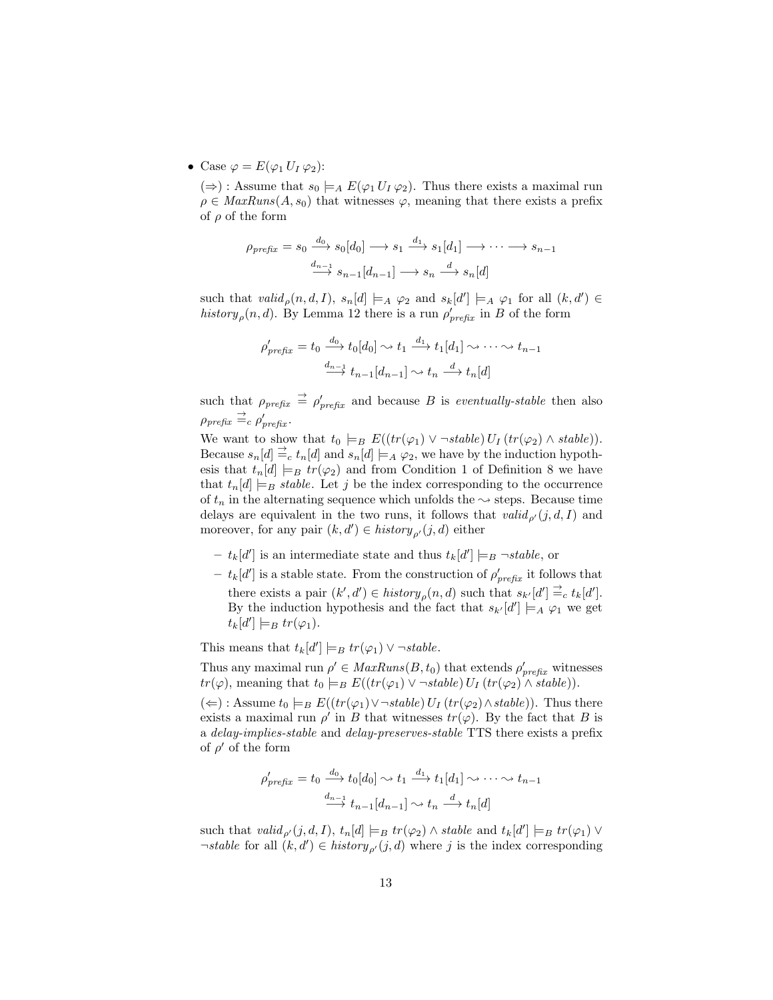• Case  $\varphi = E(\varphi_1 U_I \varphi_2)$ :

(⇒) : Assume that  $s_0 \models_A E(\varphi_1 U_I \varphi_2)$ . Thus there exists a maximal run  $\rho \in \text{MaxRuns}(A, s_0)$  that witnesses  $\varphi$ , meaning that there exists a prefix of  $\rho$  of the form

$$
\rho_{\text{prefix}} = s_0 \xrightarrow{d_0} s_0[d_0] \longrightarrow s_1 \xrightarrow{d_1} s_1[d_1] \longrightarrow \cdots \longrightarrow s_{n-1}
$$

$$
\xrightarrow{d_{n-1}} s_{n-1}[d_{n-1}] \longrightarrow s_n \xrightarrow{d} s_n[d]
$$

such that  $valid_{\rho}(n,d,I), s_n[d] \models_A \varphi_2$  and  $s_k[d'] \models_A \varphi_1$  for all  $(k,d') \in$ history<sub>p</sub> $(n, d)$ . By Lemma 12 there is a run  $\rho'_{prefix}$  in B of the form

$$
\rho'_{prefix} = t_0 \xrightarrow{d_0} t_0[d_0] \rightsquigarrow t_1 \xrightarrow{d_1} t_1[d_1] \rightsquigarrow \cdots \rightsquigarrow t_{n-1}
$$

$$
\xrightarrow{d_{n-1}} t_{n-1}[d_{n-1}] \rightsquigarrow t_n \xrightarrow{d} t_n[d]
$$

such that  $\rho_{prefix} \stackrel{\rightarrow}{=} \rho'_{prefix}$  and because B is eventually-stable then also  $\rho_{prefix} \stackrel{\rightarrow}{=}{}_{c} \rho'_{prefix}.$ 

We want to show that  $t_0 \models_B E((tr(\varphi_1) \vee \neg stable) U_I (tr(\varphi_2) \wedge stable)).$ Because  $s_n[d] \equiv_c t_n[d]$  and  $s_n[d] \models_A \varphi_2$ , we have by the induction hypothesis that  $t_n[d] \models_B tr(\varphi_2)$  and from Condition 1 of Definition 8 we have that  $t_n[d] \models_B stable$ . Let j be the index corresponding to the occurrence of  $t_n$  in the alternating sequence which unfolds the  $\sim$  steps. Because time delays are equivalent in the two runs, it follows that  $valid_{\rho'}(j, d, I)$  and moreover, for any pair  $(k, d') \in history_{\rho'}(j, d)$  either

- $-t_k[d']$  is an intermediate state and thus  $t_k[d'] \models_B \neg stable$ , or
- $t_k[d']$  is a stable state. From the construction of  $\rho'_{prefix}$  it follows that there exists a pair  $(k', d') \in history_{\rho}(n, d)$  such that  $s_{k'}[d'] \stackrel{\rightharpoonup}{=} c t_k[d']$ . By the induction hypothesis and the fact that  $s_{k'}[d'] \models_A \varphi_1$  we get  $t_k[d'] \models_B tr(\varphi_1).$

This means that  $t_k[d'] \models_B tr(\varphi_1) \vee \neg stable$ .

Thus any maximal run  $\rho' \in MaxRuns(B, t_0)$  that extends  $\rho'_{prefix}$  witnesses  $tr(\varphi)$ , meaning that  $t_0 \models_B E((tr(\varphi_1) \vee \neg stable) U_I (tr(\varphi_2) \wedge stable)).$ 

 $(\Leftarrow)$ : Assume  $t_0 \models_B E((tr(\varphi_1) \vee \neg stable) U_I (tr(\varphi_2) \wedge stable)).$  Thus there exists a maximal run  $\rho'$  in B that witnesses  $tr(\varphi)$ . By the fact that B is a delay-implies-stable and delay-preserves-stable TTS there exists a prefix of  $\rho'$  of the form

$$
\rho'_{\text{prefix}} = t_0 \xrightarrow{d_0} t_0[d_0] \rightsquigarrow t_1 \xrightarrow{d_1} t_1[d_1] \rightsquigarrow \cdots \rightsquigarrow t_{n-1}
$$

$$
\xrightarrow{d_{n-1}} t_{n-1}[d_{n-1}] \rightsquigarrow t_n \xrightarrow{d} t_n[d]
$$

such that  $valid_{\rho'}(j,d,I), t_n[d] \models_B tr(\varphi_2) \wedge stable$  and  $t_k[d'] \models_B tr(\varphi_1) \vee$  $\neg stable$  for all  $(k, d') \in history_{\rho'}(j, d)$  where j is the index corresponding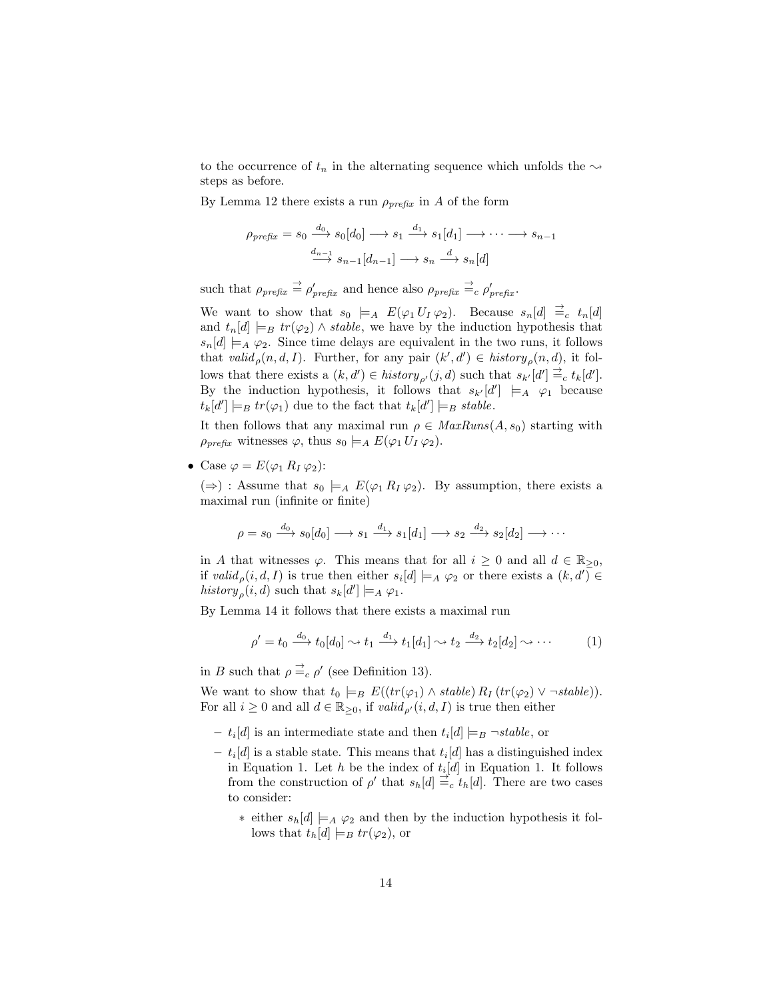to the occurrence of  $t_n$  in the alternating sequence which unfolds the  $\sim$ steps as before.

By Lemma 12 there exists a run  $\rho_{\text{prefix}}$  in A of the form

$$
\rho_{\text{prefix}} = s_0 \xrightarrow{d_0} s_0[d_0] \longrightarrow s_1 \xrightarrow{d_1} s_1[d_1] \longrightarrow \cdots \longrightarrow s_{n-1}
$$

$$
\xrightarrow{d_{n-1}} s_{n-1}[d_{n-1}] \longrightarrow s_n \xrightarrow{d} s_n[d]
$$

such that  $\rho_{prefix} \stackrel{\rightarrow}{=} \rho'_{prefix}$  and hence also  $\rho_{prefix} \stackrel{\rightarrow}{=} c \rho'_{prefix}$ .

We want to show that  $s_0 \models_A E(\varphi_1 U_I \varphi_2)$ . Because  $s_n[d] \stackrel{\rightharpoonup}{=} c t_n[d]$ and  $t_n[d] \models_B tr(\varphi_2) \land stable$ , we have by the induction hypothesis that  $s_n[d] \models_A \varphi_2$ . Since time delays are equivalent in the two runs, it follows that valid<sub>p</sub> $(n, d, I)$ . Further, for any pair  $(k', d') \in history_{\rho}(n, d)$ , it follows that there exists a  $(k, d') \in history_{\rho'}(j, d)$  such that  $s_k[t] \stackrel{\rightharpoonup}{=} c t_k[d']$ . By the induction hypothesis, it follows that  $s_{k'}[d'] \models_A \varphi_1$  because  $t_k[d'] \models_B tr(\varphi_1)$  due to the fact that  $t_k[d'] \models_B stable$ .

It then follows that any maximal run  $\rho \in \text{MaxRuns}(A, s_0)$  starting with  $\rho_{\text{prefix}}$  witnesses  $\varphi$ , thus  $s_0 \models_A E(\varphi_1 U_I \varphi_2)$ .

• Case  $\varphi = E(\varphi_1 R_I \varphi_2)$ :

(⇒) : Assume that  $s_0 \models_A E(\varphi_1 R_I \varphi_2)$ . By assumption, there exists a maximal run (infinite or finite)

$$
\rho = s_0 \xrightarrow{d_0} s_0[d_0] \longrightarrow s_1 \xrightarrow{d_1} s_1[d_1] \longrightarrow s_2 \xrightarrow{d_2} s_2[d_2] \longrightarrow \cdots
$$

in A that witnesses  $\varphi$ . This means that for all  $i \geq 0$  and all  $d \in \mathbb{R}_{\geq 0}$ , if  $valid_{\rho}(i, d, I)$  is true then either  $s_i[d] \models_A \varphi_2$  or there exists a  $(k, d') \in$ history<sub>p</sub> $(i, d)$  such that  $s_k[d'] \models_A \varphi_1$ .

By Lemma 14 it follows that there exists a maximal run

$$
\rho' = t_0 \xrightarrow{d_0} t_0[d_0] \rightsquigarrow t_1 \xrightarrow{d_1} t_1[d_1] \rightsquigarrow t_2 \xrightarrow{d_2} t_2[d_2] \rightsquigarrow \cdots \tag{1}
$$

in B such that  $\rho \stackrel{\rightharpoonup}{=}{}_c \rho'$  (see Definition 13).

We want to show that  $t_0 \models_B E((tr(\varphi_1) \land stable) R_I (tr(\varphi_2) \lor \neg stable)).$ For all  $i \geq 0$  and all  $d \in \mathbb{R}_{\geq 0}$ , if  $valid_{\rho'}(i, d, I)$  is true then either

- $t_i[d]$  is an intermediate state and then  $t_i[d] \models_B \neg stable$ , or
- $t_i[d]$  is a stable state. This means that  $t_i[d]$  has a distinguished index in Equation 1. Let h be the index of  $t_i[d]$  in Equation 1. It follows from the construction of  $\rho'$  that  $s_h[d] \stackrel{\rightarrow}{=} c t_h[d]$ . There are two cases to consider:
	- ∗ either  $s_h[d] \models_A \varphi_2$  and then by the induction hypothesis it follows that  $t_h[d] \models_B tr(\varphi_2)$ , or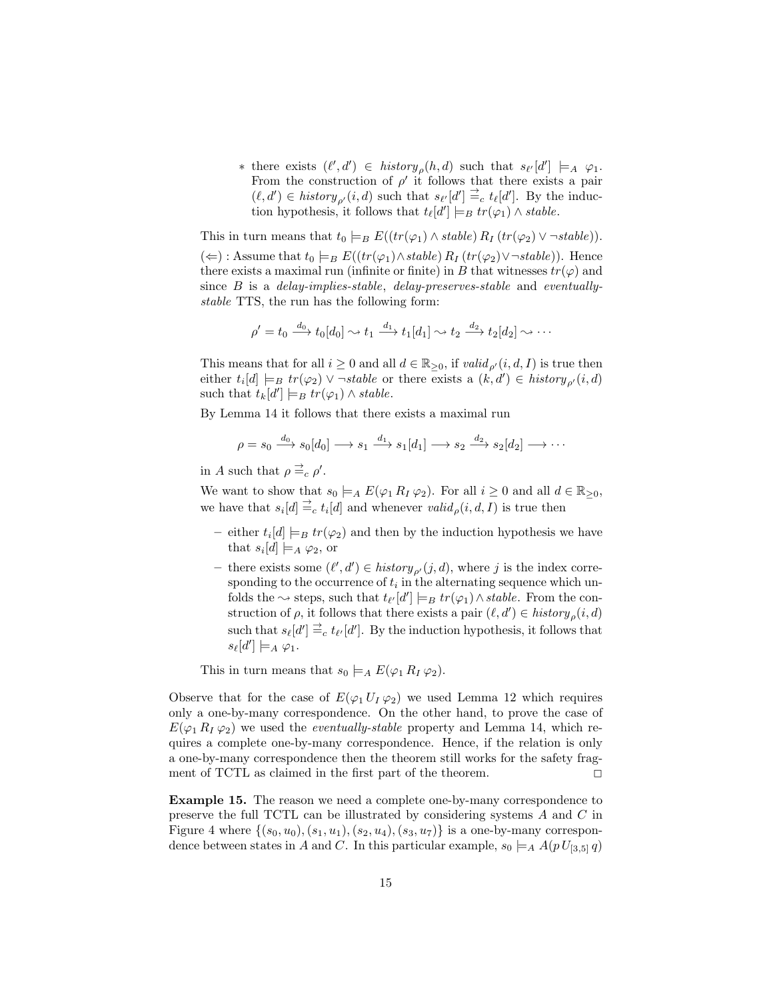\* there exists  $(\ell', d')$  ∈ history<sub>ρ</sub> $(h, d)$  such that  $s_{\ell'}[d'] \models_A \varphi_1$ . From the construction of  $\rho'$  it follows that there exists a pair  $(\ell, d') \in history_{\rho'}(i, d)$  such that  $s_{\ell'}[d'] \stackrel{\rightharpoonup}{=}{}_{c} t_{\ell}[d']$ . By the induction hypothesis, it follows that  $t_{\ell}[d'] \models_B tr(\varphi_1) \wedge stable$ .

This in turn means that  $t_0 \models_B E((tr(\varphi_1) \land stable) R_I (tr(\varphi_2) \lor \neg stable)).$ 

 $(\Leftarrow)$ : Assume that  $t_0 \models_B E((tr(\varphi_1) \land stable) R_I (tr(\varphi_2) \lor \neg stable))$ . Hence there exists a maximal run (infinite or finite) in  $B$  that witnesses  $tr(\varphi)$  and since  $B$  is a *delay-implies-stable*, *delay-preserves-stable* and *eventually*stable TTS, the run has the following form:

$$
\rho' = t_0 \xrightarrow{d_0} t_0[d_0] \rightsquigarrow t_1 \xrightarrow{d_1} t_1[d_1] \rightsquigarrow t_2 \xrightarrow{d_2} t_2[d_2] \rightsquigarrow \cdots
$$

This means that for all  $i \geq 0$  and all  $d \in \mathbb{R}_{\geq 0}$ , if  $valid_{\rho'}(i, d, I)$  is true then either  $t_i[d] \models_B tr(\varphi_2) \vee \neg stable$  or there exists a  $(k, d') \in history_{\rho'}(i, d)$ such that  $t_k[d'] \models_B tr(\varphi_1) \land stable.$ 

By Lemma 14 it follows that there exists a maximal run

$$
\rho = s_0 \xrightarrow{d_0} s_0[d_0] \longrightarrow s_1 \xrightarrow{d_1} s_1[d_1] \longrightarrow s_2 \xrightarrow{d_2} s_2[d_2] \longrightarrow \cdots
$$

in A such that  $\rho \stackrel{\rightarrow}{=} c \rho'$ .

We want to show that  $s_0 \models_A E(\varphi_1 R_I \varphi_2)$ . For all  $i \geq 0$  and all  $d \in \mathbb{R}_{\geq 0}$ , we have that  $s_i[d] \stackrel{\rightarrow}{=} c t_i[d]$  and whenever  $valid_\rho(i, d, I)$  is true then

- either  $t_i[d] \models_B tr(\varphi_2)$  and then by the induction hypothesis we have that  $s_i[d] \models_A \varphi_2$ , or
- there exists some  $(\ell', d') \in history_{\rho'}(j, d)$ , where j is the index corresponding to the occurrence of  $t_i$  in the alternating sequence which unfolds the  $\sim$  steps, such that  $t_{\ell'}[d'] \models_B tr(\varphi_1) \wedge stable$ . From the construction of  $\rho$ , it follows that there exists a pair  $(\ell, d') \in history_{\rho}(i, d)$ such that  $s_{\ell}[d'] \stackrel{\rightharpoonup}{=}{}_{c} t_{\ell'}[d']$ . By the induction hypothesis, it follows that  $s_{\ell}[d'] \models_A \varphi_1.$

This in turn means that  $s_0 \models_A E(\varphi_1 R_I \varphi_2)$ .

Observe that for the case of  $E(\varphi_1 U_I \varphi_2)$  we used Lemma 12 which requires only a one-by-many correspondence. On the other hand, to prove the case of  $E(\varphi_1 R_I \varphi_2)$  we used the *eventually-stable* property and Lemma 14, which requires a complete one-by-many correspondence. Hence, if the relation is only a one-by-many correspondence then the theorem still works for the safety fragment of TCTL as claimed in the first part of the theorem.  $\Box$ 

Example 15. The reason we need a complete one-by-many correspondence to preserve the full TCTL can be illustrated by considering systems A and C in Figure 4 where  $\{(s_0, u_0), (s_1, u_1), (s_2, u_4), (s_3, u_7)\}\$ is a one-by-many correspondence between states in A and C. In this particular example,  $s_0 \models_A A(p U_{[3,5]} q)$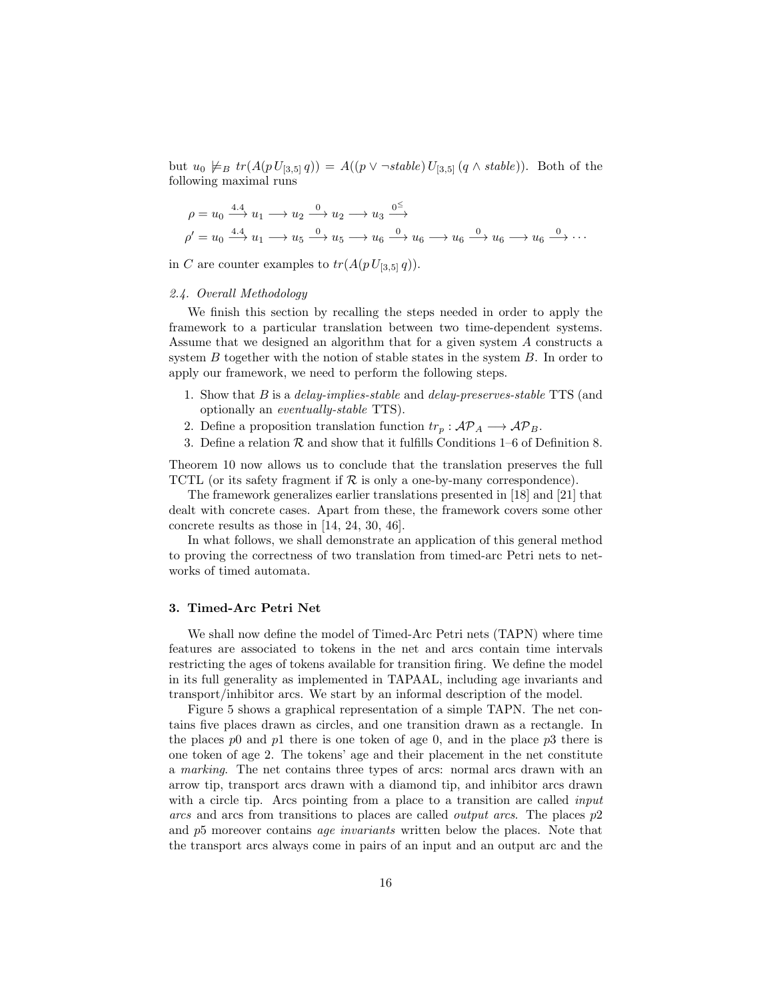but  $u_0 \not\models_B tr(A(p U_{[3,5]} q)) = A((p \vee \neg stable) U_{[3,5]} (q \wedge stable)).$  Both of the following maximal runs

$$
\rho = u_0 \xrightarrow{4.4} u_1 \longrightarrow u_2 \xrightarrow{0} u_2 \longrightarrow u_3 \xrightarrow{0^{\le}}
$$
  

$$
\rho' = u_0 \xrightarrow{4.4} u_1 \longrightarrow u_5 \xrightarrow{0} u_5 \longrightarrow u_6 \xrightarrow{0} u_6 \longrightarrow u_6 \longrightarrow u_6 \longrightarrow u_6 \longrightarrow \cdots
$$

in C are counter examples to  $tr(A(p U_{[3,5]} q)).$ 

## 2.4. Overall Methodology

We finish this section by recalling the steps needed in order to apply the framework to a particular translation between two time-dependent systems. Assume that we designed an algorithm that for a given system A constructs a system  $B$  together with the notion of stable states in the system  $B$ . In order to apply our framework, we need to perform the following steps.

- 1. Show that B is a delay-implies-stable and delay-preserves-stable TTS (and optionally an eventually-stable TTS).
- 2. Define a proposition translation function  $tr_p: \mathcal{AP}_A \longrightarrow \mathcal{AP}_B$ .
- 3. Define a relation  $\mathcal R$  and show that it fulfills Conditions 1–6 of Definition 8.

Theorem 10 now allows us to conclude that the translation preserves the full TCTL (or its safety fragment if  $R$  is only a one-by-many correspondence).

The framework generalizes earlier translations presented in [18] and [21] that dealt with concrete cases. Apart from these, the framework covers some other concrete results as those in [14, 24, 30, 46].

In what follows, we shall demonstrate an application of this general method to proving the correctness of two translation from timed-arc Petri nets to networks of timed automata.

## 3. Timed-Arc Petri Net

We shall now define the model of Timed-Arc Petri nets (TAPN) where time features are associated to tokens in the net and arcs contain time intervals restricting the ages of tokens available for transition firing. We define the model in its full generality as implemented in TAPAAL, including age invariants and transport/inhibitor arcs. We start by an informal description of the model.

Figure 5 shows a graphical representation of a simple TAPN. The net contains five places drawn as circles, and one transition drawn as a rectangle. In the places p0 and p1 there is one token of age 0, and in the place p3 there is one token of age 2. The tokens' age and their placement in the net constitute a marking. The net contains three types of arcs: normal arcs drawn with an arrow tip, transport arcs drawn with a diamond tip, and inhibitor arcs drawn with a circle tip. Arcs pointing from a place to a transition are called *input* arcs and arcs from transitions to places are called output arcs. The places p2 and p5 moreover contains age invariants written below the places. Note that the transport arcs always come in pairs of an input and an output arc and the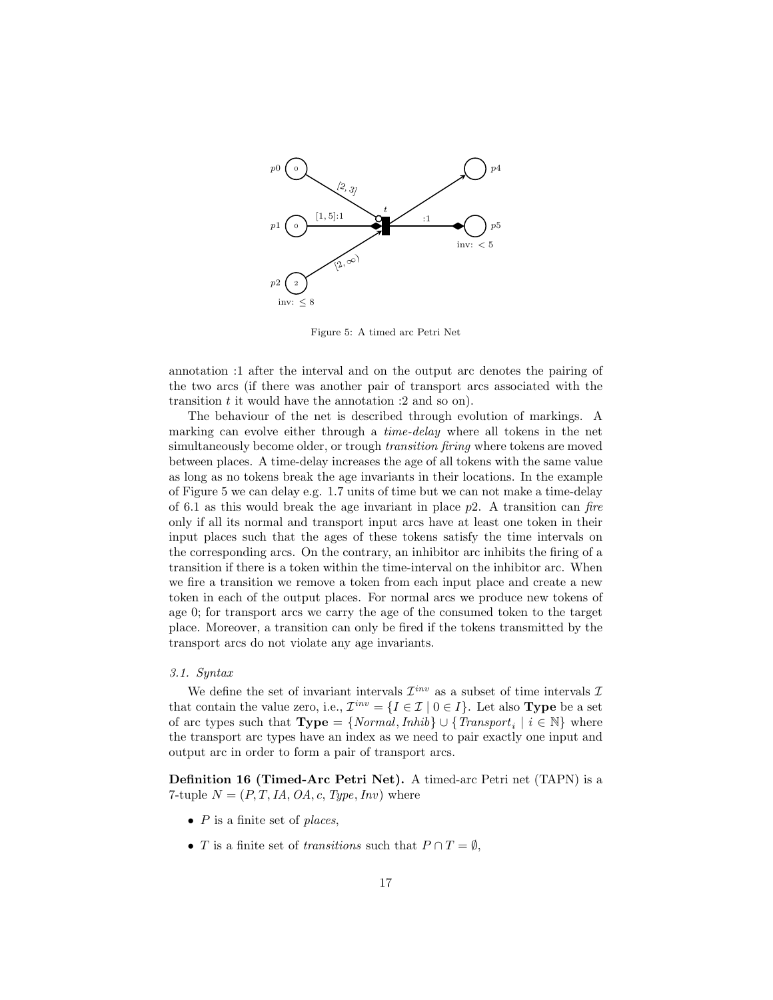

Figure 5: A timed arc Petri Net

annotation :1 after the interval and on the output arc denotes the pairing of the two arcs (if there was another pair of transport arcs associated with the transition  $t$  it would have the annotation  $:2$  and so on).

The behaviour of the net is described through evolution of markings. A marking can evolve either through a *time-delay* where all tokens in the net simultaneously become older, or trough transition firing where tokens are moved between places. A time-delay increases the age of all tokens with the same value as long as no tokens break the age invariants in their locations. In the example of Figure 5 we can delay e.g. 1.7 units of time but we can not make a time-delay of 6.1 as this would break the age invariant in place  $p2$ . A transition can fire only if all its normal and transport input arcs have at least one token in their input places such that the ages of these tokens satisfy the time intervals on the corresponding arcs. On the contrary, an inhibitor arc inhibits the firing of a transition if there is a token within the time-interval on the inhibitor arc. When we fire a transition we remove a token from each input place and create a new token in each of the output places. For normal arcs we produce new tokens of age 0; for transport arcs we carry the age of the consumed token to the target place. Moreover, a transition can only be fired if the tokens transmitted by the transport arcs do not violate any age invariants.

## 3.1. Syntax

We define the set of invariant intervals  $\mathcal{I}^{inv}$  as a subset of time intervals  $\mathcal{I}$ that contain the value zero, i.e.,  $\mathcal{I}^{inv} = \{I \in \mathcal{I} \mid 0 \in I\}$ . Let also **Type** be a set of arc types such that  $Type = \{Normal, Inhib\} \cup \{Transport_i \mid i \in \mathbb{N}\}\$  where the transport arc types have an index as we need to pair exactly one input and output arc in order to form a pair of transport arcs.

Definition 16 (Timed-Arc Petri Net). A timed-arc Petri net (TAPN) is a 7-tuple  $N = (P, T, IA, OA, c, Type, Inv)$  where

- $P$  is a finite set of places,
- T is a finite set of transitions such that  $P \cap T = \emptyset$ ,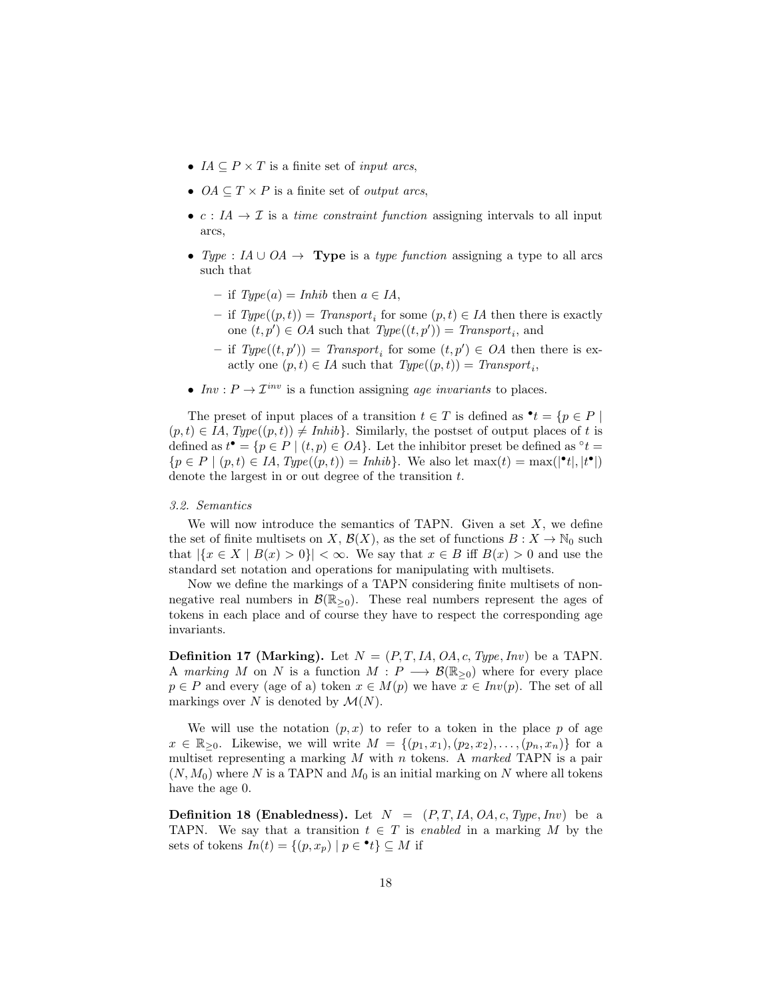- $IA \subseteq P \times T$  is a finite set of *input arcs*,
- $OA \subseteq T \times P$  is a finite set of *output arcs*,
- $c: I\!A \to \mathcal{I}$  is a *time constraint function* assigning intervals to all input arcs,
- Type : IA ∪ OA  $\rightarrow$  Type is a type function assigning a type to all arcs such that
	- if  $Type(a) = Inhib$  then  $a \in IA$ ,
	- − if  $Type((p, t)) = Transport_i$  for some  $(p, t) \in IA$  then there is exactly one  $(t, p') \in OA$  such that  $Type((t, p')) = Transport_i$ , and
	- if  $Type((t, p')) = Transport_i$  for some  $(t, p') \in OA$  then there is exactly one  $(p, t) \in IA$  such that  $Type((p, t)) = Transport_i$ ,
- Inv:  $P \to \mathcal{I}^{inv}$  is a function assigning age invariants to places.

The preset of input places of a transition  $t \in T$  is defined as  $\mathbf{e}^t = \{p \in P \mid \mathbf{e}^t\}$  $(p, t) \in IA$ ,  $Type((p, t)) \neq Inhib$ . Similarly, the postset of output places of t is defined as  $t^{\bullet} = \{p \in P \mid (t, p) \in OA\}$ . Let the inhibitor preset be defined as  $\circ t =$  ${p \in P \mid (p, t) \in IA, Type((p, t)) = Inhib}.$  We also let  $\max(t) = \max(|\mathbf{e}_t|, |t^{\bullet}|)$ denote the largest in or out degree of the transition t.

## 3.2. Semantics

We will now introduce the semantics of TAPN. Given a set  $X$ , we define the set of finite multisets on X,  $\mathcal{B}(X)$ , as the set of functions  $B: X \to \mathbb{N}_0$  such that  $|\{x \in X \mid B(x) > 0\}| < \infty$ . We say that  $x \in B$  iff  $B(x) > 0$  and use the standard set notation and operations for manipulating with multisets.

Now we define the markings of a TAPN considering finite multisets of nonnegative real numbers in  $\mathcal{B}(\mathbb{R}_{\geq 0})$ . These real numbers represent the ages of tokens in each place and of course they have to respect the corresponding age invariants.

**Definition 17 (Marking).** Let  $N = (P, T, IA, OA, c, Type, Inv)$  be a TAPN. A marking M on N is a function  $M : P \longrightarrow \mathcal{B}(\mathbb{R}_{\geq 0})$  where for every place  $p \in P$  and every (age of a) token  $x \in M(p)$  we have  $x \in Inv(p)$ . The set of all markings over N is denoted by  $\mathcal{M}(N)$ .

We will use the notation  $(p, x)$  to refer to a token in the place p of age  $x \in \mathbb{R}_{>0}$ . Likewise, we will write  $M = \{(p_1, x_1), (p_2, x_2), \ldots, (p_n, x_n)\}\$ for a multiset representing a marking  $M$  with  $n$  tokens. A marked TAPN is a pair  $(N, M_0)$  where N is a TAPN and  $M_0$  is an initial marking on N where all tokens have the age 0.

**Definition 18 (Enabledness).** Let  $N = (P, T, IA, OA, c, Type, Inv)$  be a TAPN. We say that a transition  $t \in T$  is enabled in a marking M by the sets of tokens  $In(t) = \{(p, x_p) | p \in \cdot t\} \subseteq M$  if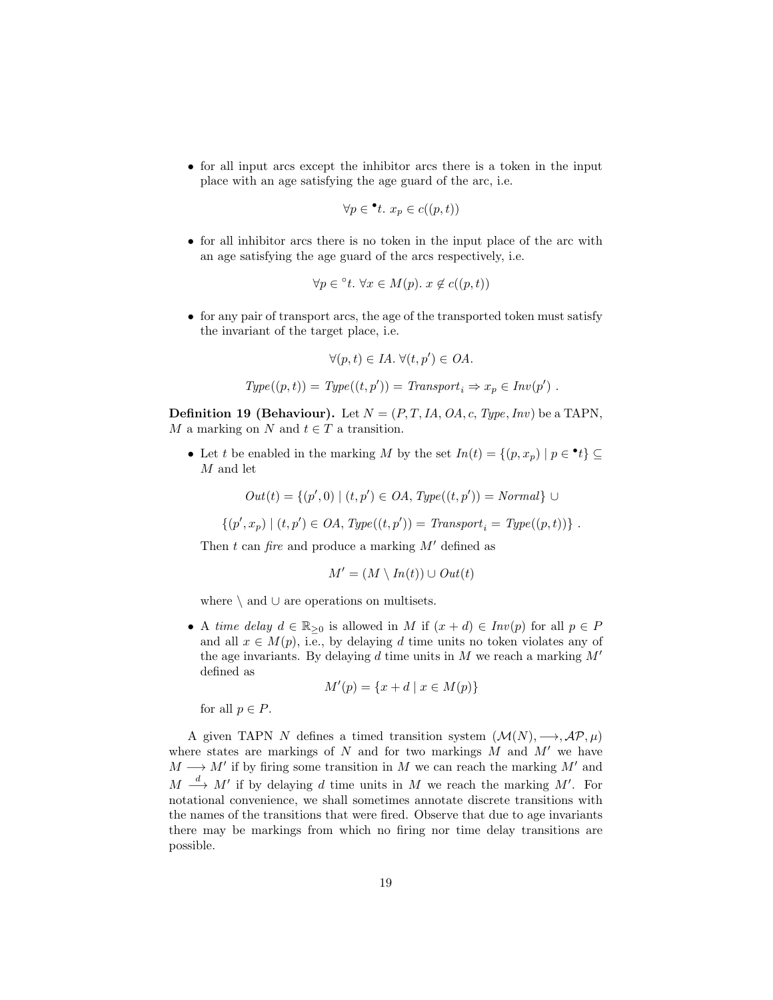• for all input arcs except the inhibitor arcs there is a token in the input place with an age satisfying the age guard of the arc, i.e.

$$
\forall p \in \mathbf{^{\bullet}}t. \ x_p \in c((p, t))
$$

• for all inhibitor arcs there is no token in the input place of the arc with an age satisfying the age guard of the arcs respectively, i.e.

$$
\forall p \in {}^{\circ}t. \ \forall x \in M(p). \ x \notin c((p, t))
$$

• for any pair of transport arcs, the age of the transported token must satisfy the invariant of the target place, i.e.

$$
\forall (p, t) \in IA. \ \forall (t, p') \in OA.
$$

$$
Type((p,t)) = Type((t,p')) = Transport_i \Rightarrow x_p \in Inv(p') \ .
$$

**Definition 19 (Behaviour).** Let  $N = (P, T, IA, OA, c, Type, Inv)$  be a TAPN, M a marking on N and  $t \in T$  a transition.

• Let t be enabled in the marking M by the set  $In(t) = \{(p, x_p) | p \in \cdot t\} \subseteq$ M and let

 $Out(t) = \{(p', 0) | (t, p') \in OA, Type((t, p')) = Normal\}$  ∪

 $\{(p', x_p) \mid (t, p') \in OA$ ,  $Type((t, p')) = Transport_i = Type((p, t))\}$ .

Then t can fire and produce a marking  $M'$  defined as

$$
M' = (M \setminus In(t)) \cup Out(t)
$$

where \ and ∪ are operations on multisets.

• A time delay  $d \in \mathbb{R}_{\geq 0}$  is allowed in M if  $(x + d) \in Inv(p)$  for all  $p \in P$ and all  $x \in M(p)$ , i.e., by delaying d time units no token violates any of the age invariants. By delaying d time units in M we reach a marking  $M'$ defined as

$$
M'(p) = \{x + d \mid x \in M(p)\}\
$$

for all  $p \in P$ .

A given TAPN N defines a timed transition system  $(\mathcal{M}(N), \longrightarrow, \mathcal{AP}, \mu)$ where states are markings of N and for two markings  $M$  and  $M'$  we have  $M \longrightarrow M'$  if by firing some transition in M we can reach the marking M' and  $M \stackrel{d}{\longrightarrow} M'$  if by delaying d time units in M we reach the marking M'. For notational convenience, we shall sometimes annotate discrete transitions with the names of the transitions that were fired. Observe that due to age invariants there may be markings from which no firing nor time delay transitions are possible.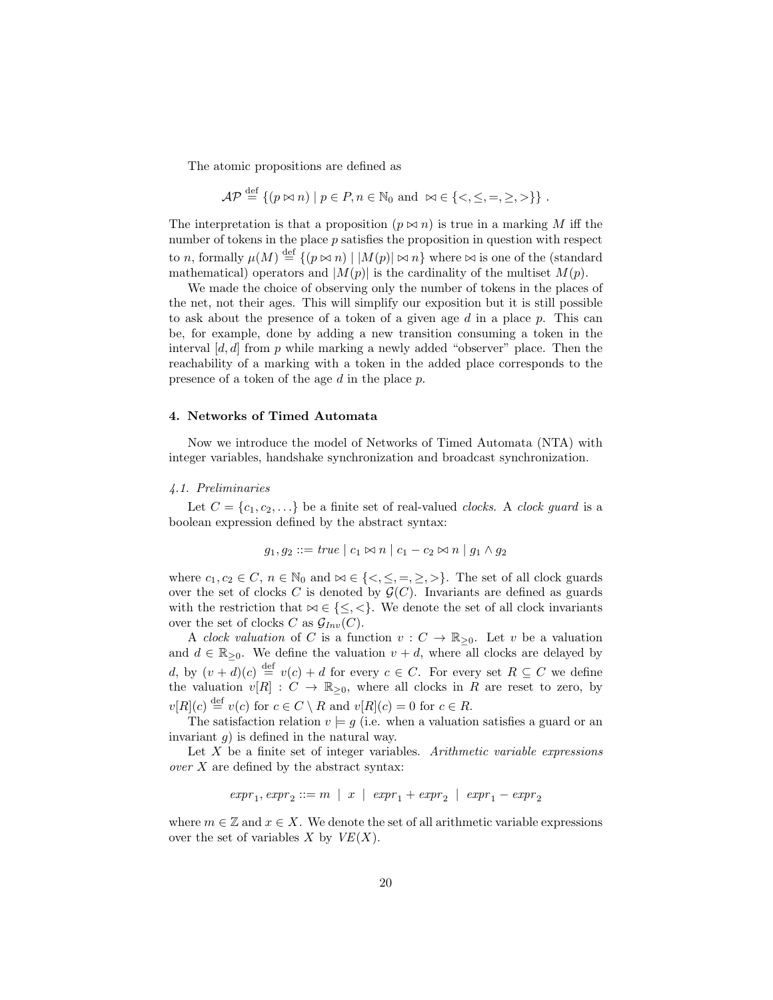The atomic propositions are defined as

$$
\mathcal{AP} \stackrel{\text{def}}{=} \{ (p \bowtie n) \mid p \in P, n \in \mathbb{N}_0 \text{ and } \bowtie \in \{ \langle \langle \langle \langle \rangle, \rangle \rangle, \langle \rangle \} \}.
$$

The interpretation is that a proposition  $(p \bowtie n)$  is true in a marking M iff the number of tokens in the place  $p$  satisfies the proposition in question with respect to n, formally  $\mu(M) \stackrel{\text{def}}{=} \{(p \bowtie n) \mid |M(p)| \bowtie n\}$  where  $\bowtie$  is one of the (standard mathematical) operators and  $|M(p)|$  is the cardinality of the multiset  $M(p)$ .

We made the choice of observing only the number of tokens in the places of the net, not their ages. This will simplify our exposition but it is still possible to ask about the presence of a token of a given age  $d$  in a place  $p$ . This can be, for example, done by adding a new transition consuming a token in the interval  $[d, d]$  from p while marking a newly added "observer" place. Then the reachability of a marking with a token in the added place corresponds to the presence of a token of the age d in the place p.

## 4. Networks of Timed Automata

Now we introduce the model of Networks of Timed Automata (NTA) with integer variables, handshake synchronization and broadcast synchronization.

## 4.1. Preliminaries

Let  $C = \{c_1, c_2, \ldots\}$  be a finite set of real-valued *clocks*. A *clock guard* is a boolean expression defined by the abstract syntax:

$$
g_1, g_2 ::= true \mid c_1 \bowtie n \mid c_1 - c_2 \bowtie n \mid g_1 \wedge g_2
$$

where  $c_1, c_2 \in C$ ,  $n \in \mathbb{N}_0$  and  $\infty \in \{<,\leq,=,\geq,\geq\}$ . The set of all clock guards over the set of clocks C is denoted by  $\mathcal{G}(C)$ . Invariants are defined as guards with the restriction that  $\bowtie \in \{\leq, <\}$ . We denote the set of all clock invariants over the set of clocks C as  $\mathcal{G}_{Inv}(C)$ .

A *clock valuation* of C is a function  $v : C \to \mathbb{R}_{\geq 0}$ . Let v be a valuation and  $d \in \mathbb{R}_{\geq 0}$ . We define the valuation  $v + d$ , where all clocks are delayed by d, by  $(v + d)(c) \stackrel{\text{def}}{=} v(c) + d$  for every  $c \in C$ . For every set  $R \subseteq C$  we define the valuation  $v[R] : C \to \mathbb{R}_{\geq 0}$ , where all clocks in R are reset to zero, by  $v[R](c) \stackrel{\text{def}}{=} v(c)$  for  $c \in C \setminus R$  and  $v[R](c) = 0$  for  $c \in R$ .

The satisfaction relation  $v \models g$  (i.e. when a valuation satisfies a guard or an invariant  $q$ ) is defined in the natural way.

Let  $X$  be a finite set of integer variables. Arithmetic variable expressions over  $X$  are defined by the abstract syntax:

$$
\mathit{expr}_1, \mathit{expr}_2 ::= m \;\; | \;\; x \;\; | \;\; \mathit{expr}_1 + \mathit{expr}_2 \;\; | \;\; \mathit{expr}_1 - \mathit{expr}_2
$$

where  $m \in \mathbb{Z}$  and  $x \in X$ . We denote the set of all arithmetic variable expressions over the set of variables X by  $VE(X)$ .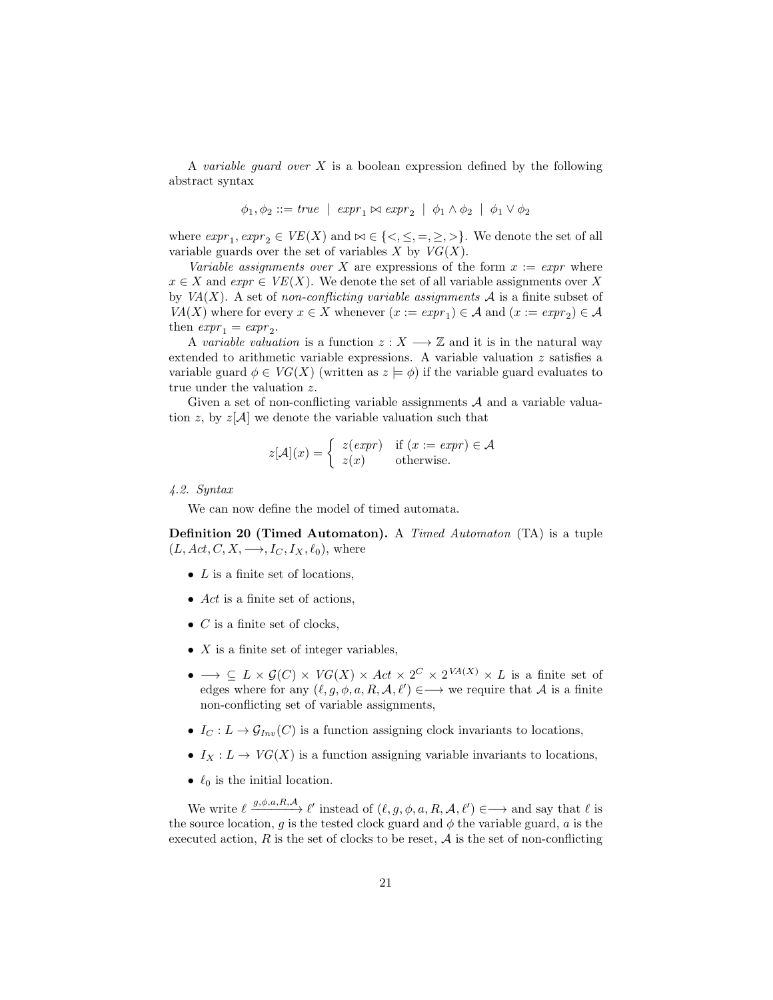A variable guard over  $X$  is a boolean expression defined by the following abstract syntax

$$
\phi_1, \phi_2 ::= true \mid expr_1 \bowtie expr_2 \mid \phi_1 \land \phi_2 \mid \phi_1 \lor \phi_2
$$

where  $\text{expr}_1, \text{expr}_2 \in \text{VE}(X)$  and  $\bowtie \in \{\leq, \leq, =, \geq, \geq\}$ . We denote the set of all variable guards over the set of variables  $X$  by  $VG(X)$ .

Variable assignments over X are expressions of the form  $x := \text{expr}$  where  $x \in X$  and  $expr \in VE(X)$ . We denote the set of all variable assignments over X by  $VA(X)$ . A set of non-conflicting variable assignments A is a finite subset of  $VA(X)$  where for every  $x \in X$  whenever  $(x := expr_1) \in A$  and  $(x := expr_2) \in A$ then  $\exp r_1 = \exp r_2$ .

A variable valuation is a function  $z : X \longrightarrow \mathbb{Z}$  and it is in the natural way extended to arithmetic variable expressions. A variable valuation z satisfies a variable guard  $\phi \in VG(X)$  (written as  $z \models \phi$ ) if the variable guard evaluates to true under the valuation z.

Given a set of non-conflicting variable assignments  $A$  and a variable valuation z, by  $z[A]$  we denote the variable valuation such that

$$
z[\mathcal{A}](x) = \begin{cases} z(exp) & \text{if } (x := expr) \in \mathcal{A} \\ z(x) & \text{otherwise.} \end{cases}
$$

4.2. Syntax

We can now define the model of timed automata.

Definition 20 (Timed Automaton). A Timed Automaton (TA) is a tuple  $(L, Act, C, X, \longrightarrow, I_C, I_X, \ell_0)$ , where

- $L$  is a finite set of locations,
- Act is a finite set of actions,
- $\bullet$  *C* is a finite set of clocks,
- $X$  is a finite set of integer variables,
- $\bullet \longrightarrow \subseteq L \times \mathcal{G}(C) \times V\mathcal{G}(X) \times Act \times 2^C \times 2^{VA(X)} \times L$  is a finite set of edges where for any  $(\ell, g, \phi, a, R, \mathcal{A}, \ell') \in \longrightarrow$  we require that A is a finite non-conflicting set of variable assignments,
- $I_C: L \to \mathcal{G}_{Inv}(C)$  is a function assigning clock invariants to locations,
- $I_X: L \to VG(X)$  is a function assigning variable invariants to locations,
- $\ell_0$  is the initial location.

We write  $\ell \stackrel{g,\phi,a,R,\mathcal{A}}{\longrightarrow} \ell'$  instead of  $(\ell, g, \phi, a, R, \mathcal{A}, \ell') \in \longrightarrow$  and say that  $\ell$  is the source location, g is the tested clock guard and  $\phi$  the variable guard, a is the executed action,  $R$  is the set of clocks to be reset,  $A$  is the set of non-conflicting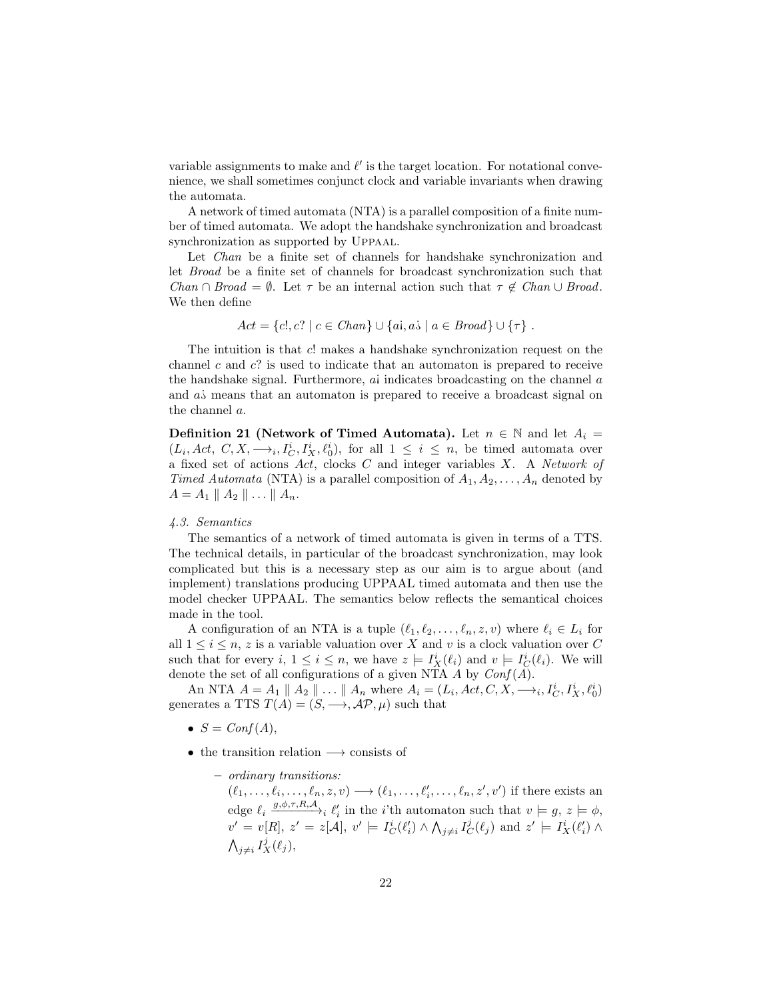variable assignments to make and  $\ell'$  is the target location. For notational convenience, we shall sometimes conjunct clock and variable invariants when drawing the automata.

A network of timed automata (NTA) is a parallel composition of a finite number of timed automata. We adopt the handshake synchronization and broadcast synchronization as supported by Uppaal.

Let *Chan* be a finite set of channels for handshake synchronization and let Broad be a finite set of channels for broadcast synchronization such that Chan ∩ Broad =  $\emptyset$ . Let  $\tau$  be an internal action such that  $\tau \notin \mathit{Chan} \cup \mathit{Broad}$ . We then define

$$
Act = \{c!, c? \mid c \in Chan\} \cup \{ai, ai \mid a \in Broad\} \cup \{\tau\}.
$$

The intuition is that c! makes a handshake synchronization request on the channel  $c$  and  $c$ ? is used to indicate that an automaton is prepared to receive the handshake signal. Furthermore,  $ai$  indicates broadcasting on the channel  $a$ and  $a\dot{s}$  means that an automaton is prepared to receive a broadcast signal on the channel a.

**Definition 21 (Network of Timed Automata).** Let  $n \in \mathbb{N}$  and let  $A_i =$  $(L_i, Act, C, X, \longrightarrow_i, I_C^i, I_X^i, \ell_0^i)$ , for all  $1 \leq i \leq n$ , be timed automata over a fixed set of actions  $Act$ , clocks  $C$  and integer variables  $X$ . A Network of Timed Automata (NTA) is a parallel composition of  $A_1, A_2, \ldots, A_n$  denoted by  $A = A_1 \parallel A_2 \parallel \ldots \parallel A_n$ .

## 4.3. Semantics

The semantics of a network of timed automata is given in terms of a TTS. The technical details, in particular of the broadcast synchronization, may look complicated but this is a necessary step as our aim is to argue about (and implement) translations producing UPPAAL timed automata and then use the model checker UPPAAL. The semantics below reflects the semantical choices made in the tool.

A configuration of an NTA is a tuple  $(\ell_1, \ell_2, \ldots, \ell_n, z, v)$  where  $\ell_i \in L_i$  for all  $1 \leq i \leq n$ , z is a variable valuation over X and v is a clock valuation over C such that for every  $i, 1 \leq i \leq n$ , we have  $z \models I_X^i(\ell_i)$  and  $v \models I_C^i(\ell_i)$ . We will denote the set of all configurations of a given NTA  $A$  by  $Conf(A)$ .

An NTA  $A = A_1 \parallel A_2 \parallel ... \parallel A_n$  where  $A_i = (L_i, Act, C, X, \longrightarrow_i, I_C^i, I_X^i, \ell_0^i)$ generates a TTS  $T(A) = (S, \rightarrow, \mathcal{AP}, \mu)$  such that

- $S = Conf(A)$ ,
- the transition relation −→ consists of
	- ordinary transitions:

 $(\ell_1, \ldots, \ell_i, \ldots, \ell_n, z, v) \longrightarrow (\ell_1, \ldots, \ell'_i, \ldots, \ell_n, z', v')$  if there exists an edge  $\ell_i \xrightarrow{g, \phi, \tau, R, A} i \ell'_i$  in the *i*'th automaton such that  $v \models g, z \models \phi$ ,  $v' = v[R], z' = z[A], v' \models I_C^i(\ell'_i) \wedge \bigwedge_{j \neq i} I_C^j(\ell_j) \text{ and } z' \models I_X^i(\ell'_i) \wedge \ell_j$  $\bigwedge_{j\neq i} I_X^j(\ell_j),$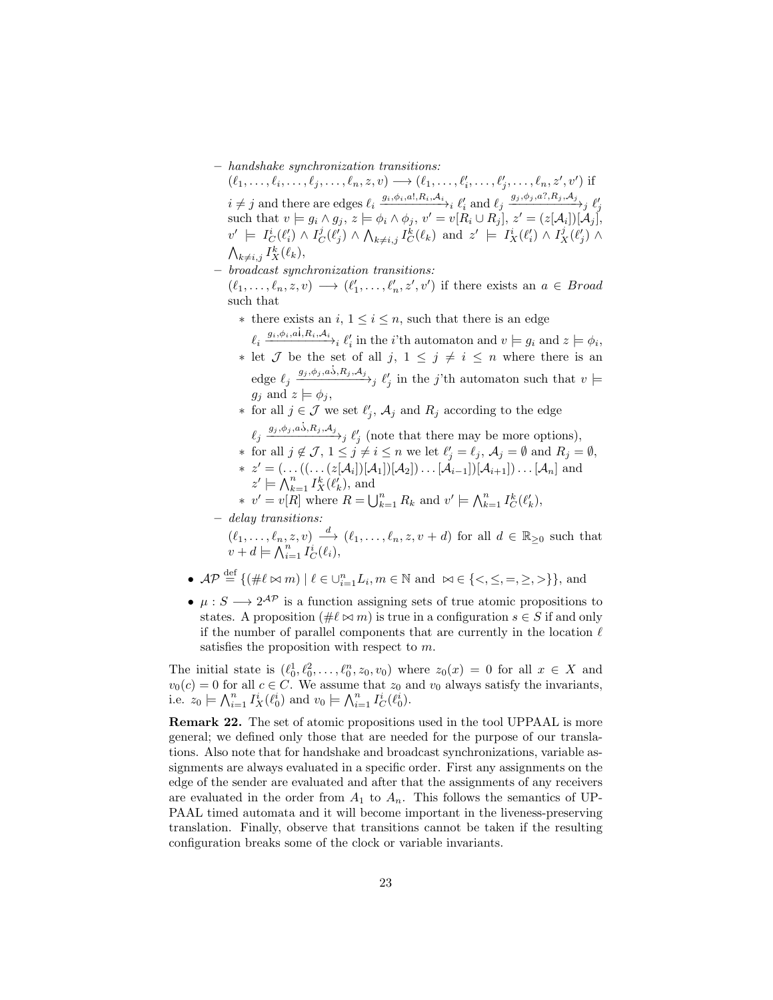– handshake synchronization transitions:

 $(\ell_1, ..., \ell_i, ..., \ell_j, ..., \ell_n, z, v) \longrightarrow (\ell_1, ..., \ell'_i, ..., \ell'_j, ..., \ell_n, z', v')$  if  $i \neq j$  and there are edges  $\ell_i \xrightarrow{g_i, \phi_i, a!, R_i, A_i} \ell'_i$  and  $\ell_j \xrightarrow{g_j, \phi_j, a?, R_j, A_j} \ell'_j$ <br>such that  $v \models g_i \land g_j, z \models \phi_i \land \phi_j, v' = v[R_i \cup R_j], z' = (z[\mathcal{A}_i])[\mathcal{A}_j],$  $v' \models I_C^i(\ell'_i) \wedge I_C^j(\ell'_j) \wedge \bigwedge_{k \neq i,j} I_C^k(\ell_k) \text{ and } z' \models I_X^i(\ell'_i) \wedge I_X^j(\ell'_j) \wedge$  $\bigwedge_{k\neq i,j} I_X^k(\ell_k),$ 

– broadcast synchronization transitions:

 $(\ell_1, \ldots, \ell_n, z, v) \longrightarrow (\ell'_1, \ldots, \ell'_n, z', v')$  if there exists an  $a \in Broad$ such that

- ∗ there exists an  $i, 1 \leq i \leq n$ , such that there is an edge  $\ell_i \stackrel{g_i, \phi_i, a_i, R_i, A_i}{\longrightarrow} \ell'_i$  in the *i*'th automaton and  $v \models g_i$  and  $z \models \phi_i$ ,
- ∗ let *J* be the set of all *j*,  $1 \leq j \neq i \leq n$  where there is an et *J* be the set of all *j*,  $1 \leq j \neq i \leq n$  where there is an edge  $\ell_j \xrightarrow{g_j, \phi_j, a, \dot{o}, R_j, A_j}$   $\ell'_j$  in the *j*'th automaton such that  $v \models$  $q_i$  and  $z \models \phi_i$ ,
- ∗ for all  $j \in \mathcal{J}$  we set  $\ell'_j$ ,  $\mathcal{A}_j$  and  $R_j$  according to the edge  $\ell_j \xrightarrow{g_j, \phi_j, a\dot{\phi}, R_j, A_j} \ell'_j$  (note that there may be more options),
- 
- ∗ for all  $j \notin \mathcal{J}$ ,  $1 \leq j \neq i \leq n$  we let  $\ell'_j = \ell_j$ ,  $\mathcal{A}_j = \emptyset$  and  $R_j = \emptyset$ , \*  $z' = (\ldots((\ldots(z[\mathcal{A}_i])[\mathcal{A}_1])[\mathcal{A}_2]) \ldots [\mathcal{A}_{i-1}])[\mathcal{A}_{i+1}]) \ldots [\mathcal{A}_n]$  and  $z' \models \bigwedge_{k=1}^n I_X^k(\ell_k'),$  and
- \*  $v' = v[R]$  where  $R = \bigcup_{k=1}^{n} R_k$  and  $v' \models \bigwedge_{k=1}^{n} I_C^k(\ell'_k)$ ,

– delay transitions:

$$
(\ell_1, \ldots, \ell_n, z, v) \xrightarrow{d} (\ell_1, \ldots, \ell_n, z, v + d) \text{ for all } d \in \mathbb{R}_{\geq 0} \text{ such that } v + d \models \bigwedge_{i=1}^n I_C^i(\ell_i),
$$

- $\mathcal{AP} \stackrel{\text{def}}{=} \{ (\# \ell \bowtie m) \mid \ell \in \cup_{i=1}^n L_i, m \in \mathbb{N} \text{ and } \bowtie \in \{ \leq, \leq, =, \geq, \geq \} \},\$ and
- $\mu: S \longrightarrow 2^{\mathcal{AP}}$  is a function assigning sets of true atomic propositions to states. A proposition ( $\#\ell \bowtie m$ ) is true in a configuration  $s \in S$  if and only if the number of parallel components that are currently in the location  $\ell$ satisfies the proposition with respect to m.

The initial state is  $(\ell_0^1, \ell_0^2, \ldots, \ell_0^n, z_0, v_0)$  where  $z_0(x) = 0$  for all  $x \in X$  and  $v_0(c) = 0$  for all  $c \in C$ . We assume that  $z_0$  and  $v_0$  always satisfy the invariants, i.e.  $z_0 \models \bigwedge_{i=1}^n I_X^i(\ell_0^i)$  and  $v_0 \models \bigwedge_{i=1}^n I_C^i(\ell_0^i)$ .

Remark 22. The set of atomic propositions used in the tool UPPAAL is more general; we defined only those that are needed for the purpose of our translations. Also note that for handshake and broadcast synchronizations, variable assignments are always evaluated in a specific order. First any assignments on the edge of the sender are evaluated and after that the assignments of any receivers are evaluated in the order from  $A_1$  to  $A_n$ . This follows the semantics of UP-PAAL timed automata and it will become important in the liveness-preserving translation. Finally, observe that transitions cannot be taken if the resulting configuration breaks some of the clock or variable invariants.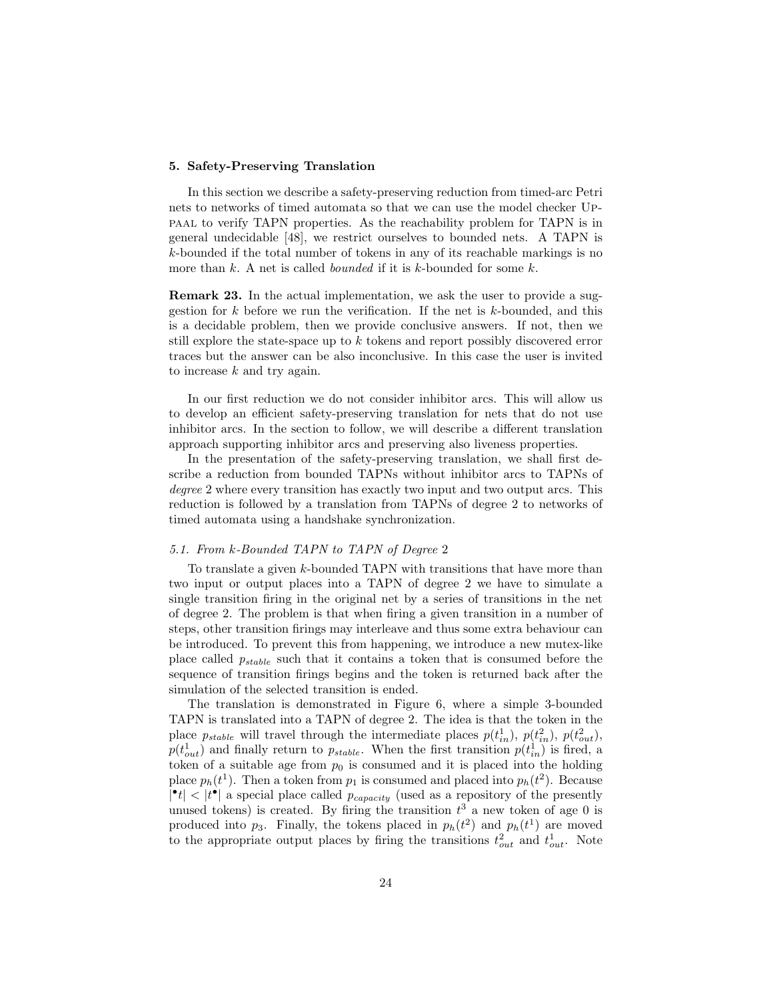## 5. Safety-Preserving Translation

In this section we describe a safety-preserving reduction from timed-arc Petri nets to networks of timed automata so that we can use the model checker Uppaal to verify TAPN properties. As the reachability problem for TAPN is in general undecidable [48], we restrict ourselves to bounded nets. A TAPN is k-bounded if the total number of tokens in any of its reachable markings is no more than  $k$ . A net is called *bounded* if it is  $k$ -bounded for some  $k$ .

Remark 23. In the actual implementation, we ask the user to provide a suggestion for  $k$  before we run the verification. If the net is  $k$ -bounded, and this is a decidable problem, then we provide conclusive answers. If not, then we still explore the state-space up to k tokens and report possibly discovered error traces but the answer can be also inconclusive. In this case the user is invited to increase  $k$  and try again.

In our first reduction we do not consider inhibitor arcs. This will allow us to develop an efficient safety-preserving translation for nets that do not use inhibitor arcs. In the section to follow, we will describe a different translation approach supporting inhibitor arcs and preserving also liveness properties.

In the presentation of the safety-preserving translation, we shall first describe a reduction from bounded TAPNs without inhibitor arcs to TAPNs of degree 2 where every transition has exactly two input and two output arcs. This reduction is followed by a translation from TAPNs of degree 2 to networks of timed automata using a handshake synchronization.

## 5.1. From k-Bounded TAPN to TAPN of Degree 2

To translate a given k-bounded TAPN with transitions that have more than two input or output places into a TAPN of degree 2 we have to simulate a single transition firing in the original net by a series of transitions in the net of degree 2. The problem is that when firing a given transition in a number of steps, other transition firings may interleave and thus some extra behaviour can be introduced. To prevent this from happening, we introduce a new mutex-like place called pstable such that it contains a token that is consumed before the sequence of transition firings begins and the token is returned back after the simulation of the selected transition is ended.

The translation is demonstrated in Figure 6, where a simple 3-bounded TAPN is translated into a TAPN of degree 2. The idea is that the token in the place  $p_{stable}$  will travel through the intermediate places  $p(t_{in}^1), p(t_{in}^2), p(t_{out}^2),$  $p(t_{out}^1)$  and finally return to  $p_{stable}$ . When the first transition  $p(t_{in}^1)$  is fired, a token of a suitable age from  $p_0$  is consumed and it is placed into the holding place  $p_h(t^1)$ . Then a token from  $p_1$  is consumed and placed into  $p_h(t^2)$ . Because  $|\cdot t|$  <  $|t^{\bullet}|$  a special place called  $p_{capacity}$  (used as a repository of the presently unused tokens) is created. By firing the transition  $t^3$  a new token of age 0 is produced into  $p_3$ . Finally, the tokens placed in  $p_h(t^2)$  and  $p_h(t^1)$  are moved to the appropriate output places by firing the transitions  $t_{out}^2$  and  $t_{out}^1$ . Note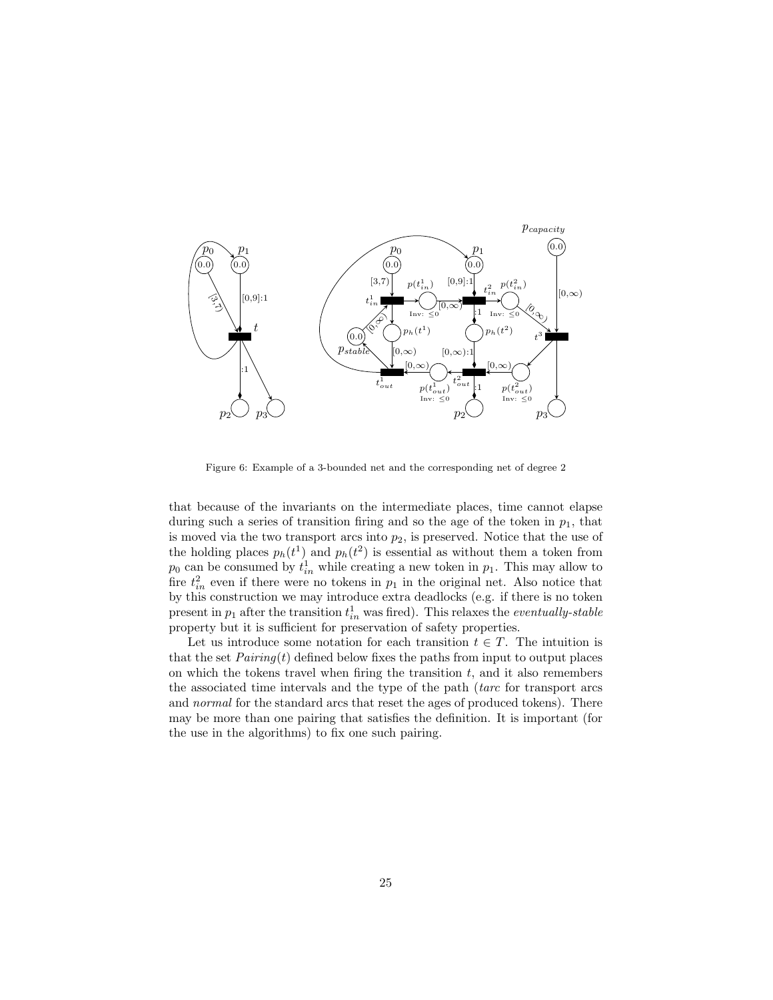

Figure 6: Example of a 3-bounded net and the corresponding net of degree 2

that because of the invariants on the intermediate places, time cannot elapse during such a series of transition firing and so the age of the token in  $p_1$ , that is moved via the two transport arcs into  $p_2$ , is preserved. Notice that the use of the holding places  $p_h(t^1)$  and  $p_h(t^2)$  is essential as without them a token from  $p_0$  can be consumed by  $t_{in}^1$  while creating a new token in  $p_1$ . This may allow to fire  $t_{in}^2$  even if there were no tokens in  $p_1$  in the original net. Also notice that by this construction we may introduce extra deadlocks (e.g. if there is no token present in  $p_1$  after the transition  $t_{in}^1$  was fired). This relaxes the *eventually-stable* property but it is sufficient for preservation of safety properties.

Let us introduce some notation for each transition  $t \in T$ . The intuition is that the set  $Pairing(t)$  defined below fixes the paths from input to output places on which the tokens travel when firing the transition  $t$ , and it also remembers the associated time intervals and the type of the path (tarc for transport arcs and normal for the standard arcs that reset the ages of produced tokens). There may be more than one pairing that satisfies the definition. It is important (for the use in the algorithms) to fix one such pairing.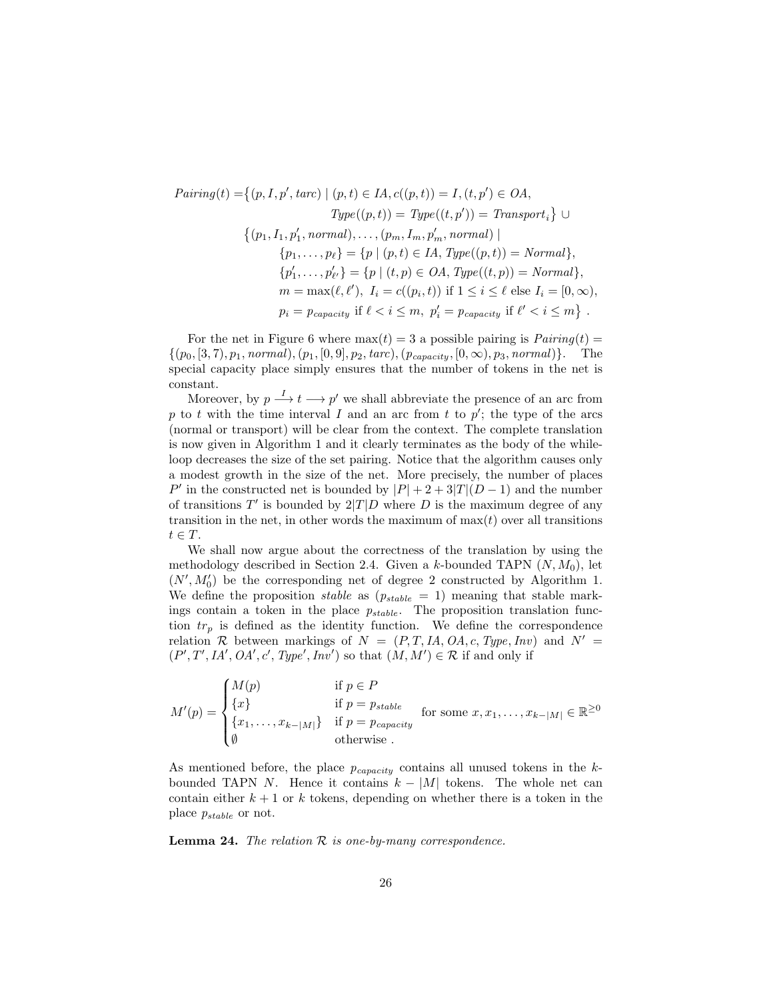$$
Pairing(t) = \{(p, I, p', tarc) \mid (p, t) \in IA, c((p, t)) = I, (t, p') \in OA,
$$
  
\n
$$
Type((p, t)) = Type((t, p')) = Transport_i \} \cup
$$
  
\n
$$
\{(p_1, I_1, p'_1, normal), \dots, (p_m, I_m, p'_m, normal) \mid
$$
  
\n
$$
\{p_1, \dots, p_\ell\} = \{p \mid (p, t) \in IA, Type((p, t)) = Normal\},
$$
  
\n
$$
\{p'_1, \dots, p'_{\ell'}\} = \{p \mid (t, p) \in OA, Type((t, p)) = Normal\},
$$
  
\n
$$
m = \max(\ell, \ell'), I_i = c((p_i, t)) \text{ if } 1 \le i \le \ell \text{ else } I_i = [0, \infty),
$$
  
\n
$$
p_i = p_{capacity} \text{ if } \ell < i \le m, p'_i = p_{capacity} \text{ if } \ell' < i \le m \}.
$$

For the net in Figure 6 where  $max(t) = 3$  a possible pairing is  $Pairing(t) =$  $\{(p_0, [3, 7), p_1, normal), (p_1, [0, 9], p_2, \text{tarc}), (p_{capacity}, [0, \infty), p_3, \text{normal})\}.$  The special capacity place simply ensures that the number of tokens in the net is constant.

Moreover, by  $p \stackrel{I}{\longrightarrow} t \longrightarrow p'$  we shall abbreviate the presence of an arc from p to t with the time interval I and an arc from t to  $p'$ ; the type of the arcs (normal or transport) will be clear from the context. The complete translation is now given in Algorithm 1 and it clearly terminates as the body of the whileloop decreases the size of the set pairing. Notice that the algorithm causes only a modest growth in the size of the net. More precisely, the number of places P' in the constructed net is bounded by  $|P| + 2 + 3|T|(D-1)$  and the number of transitions  $T'$  is bounded by  $2|T|D$  where D is the maximum degree of any transition in the net, in other words the maximum of  $max(t)$  over all transitions  $t \in T$ .

We shall now argue about the correctness of the translation by using the methodology described in Section 2.4. Given a k-bounded TAPN  $(N, M_0)$ , let  $(N', M'_0)$  be the corresponding net of degree 2 constructed by Algorithm 1. We define the proposition *stable* as  $(p_{stable} = 1)$  meaning that stable markings contain a token in the place  $p_{stable}$ . The proposition translation function  $tr_p$  is defined as the identity function. We define the correspondence relation R between markings of  $N = (P, T, IA, OA, c, Type, Inv)$  and  $N' =$  $(P', T', IA', OA', c', Type', Inv')$  so that  $(M, M') \in \mathcal{R}$  if and only if

$$
M'(p) = \begin{cases} M(p) & \text{if } p \in P \\ \{x\} & \text{if } p = p_{stable} \\ \{x_1, \dots, x_{k-|M|}\} & \text{if } p = p_{capacity} \\ \emptyset & \text{otherwise} \end{cases}
$$
 for some  $x, x_1, \dots, x_{k-|M|} \in \mathbb{R}^{\geq 0}$ 

As mentioned before, the place  $p_{capacity}$  contains all unused tokens in the kbounded TAPN N. Hence it contains  $k - |M|$  tokens. The whole net can contain either  $k + 1$  or k tokens, depending on whether there is a token in the place  $p_{stable}$  or not.

**Lemma 24.** The relation  $\mathcal R$  is one-by-many correspondence.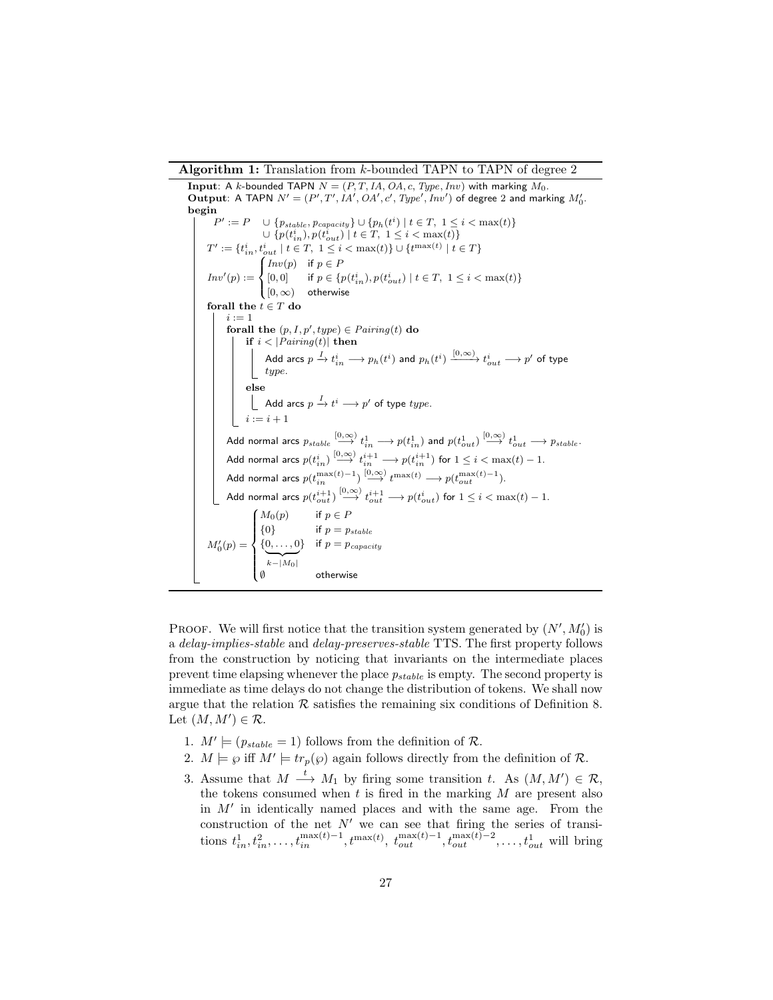Algorithm 1: Translation from k-bounded TAPN to TAPN of degree 2

**Input:** A k-bounded TAPN  $N = (P, T, IA, OA, c, Type, Inv)$  with marking  $M_0$ . Output: A TAPN  $N' = (P', T', IA', OA', c', Type', Inv')$  of degree 2 and marking  $M'_0$ . begin  $P' := P \cup \{p_{stable}, p_{capacity}\} \cup \{p_h(t^i) | t \in T, 1 \le i < \max(t)\}\$  $\cup \{p(t_{in}^i), p(t_{out}^i) \mid t \in T, 1 \leq i < \max(t)\}\$  $T' := \{t_{in}^i, t_{out}^i \mid t \in T, 1 \leq i < \max(t)\} \cup \{t^{\max(t)} \mid t \in T\}$  $Inv'(p) :=$  $\int$  $\mathfrak{r}$  $Inv(p)$  if  $p \in F$  $[0, 0] \qquad \text{if } p \in \{p(t^i_{in}), p(t^i_{out}) \mid t \in T, \ 1 \leq i < \max(t)\}$  $[0, \infty)$  otherwise for<br>all the  $t \in T$  do  $i := 1$ forall the  $(p, I, p', type) \in \text{Pairing}(t)$  do if  $i < |Pairing(t)|$  then Add arcs  $p\stackrel{I}{\to}t_{in}^{i}\longrightarrow p_{h}(t^{i})$  and  $p_{h}(t^{i})\stackrel{[0,\infty)}{\longrightarrow}t_{out}^{i}\longrightarrow p'$  of type type. else Add arcs  $p \stackrel{I}{\rightarrow} t^{i} \longrightarrow p'$  of type  $type.$  $\begin{bmatrix} i & -i+1 \end{bmatrix}$ Add normal arcs  $p_{stable} \stackrel{[0,\infty)}{\longrightarrow} t^1_{in} \longrightarrow p(t^1_{in})$  and  $p(t^1_{out}) \stackrel{[0,\infty)}{\longrightarrow} t^1_{out} \longrightarrow p_{stable}.$ Add normal arcs  $p(t^i_{in}) \stackrel{[0,\infty)}{\longrightarrow} t^{i+1}_{in} \longrightarrow p(t^{i+1}_{in})$  for  $1 \leq i < \max(t)-1.$ Add normal arcs  $p(t_{in}^{\max(t)-1}) \stackrel{[0,\infty)}{\longrightarrow} t^{\max(t)} \longrightarrow p(t_{out}^{\max(t)-1}).$ Add normal arcs  $p(t_{out}^{i+1}) \stackrel{[0,\infty)}{\longrightarrow} t_{out}^{i+1} \longrightarrow p(t_{out}^i)$  for  $1 \leq i < \max(t)-1.$  $M_0'(p) =$  $\int$  $\overline{\mathcal{L}}$  $M_0(p)$  if  $p \in P$  ${0}$  if  $p = p_{stable}$  $\{0,\ldots,0\}$  $\overline{k-|M_0|}$ } if  $p = p_{capacity}$ ∅ otherwise

PROOF. We will first notice that the transition system generated by  $(N', M'_0)$  is a delay-implies-stable and delay-preserves-stable TTS. The first property follows from the construction by noticing that invariants on the intermediate places prevent time elapsing whenever the place  $p_{stable}$  is empty. The second property is immediate as time delays do not change the distribution of tokens. We shall now argue that the relation  $R$  satisfies the remaining six conditions of Definition 8. Let  $(M, M') \in \mathcal{R}$ .

- 1.  $M' \models (p_{stable} = 1)$  follows from the definition of R.
- 2.  $M \models \wp$  iff  $M' \models tr_p(\wp)$  again follows directly from the definition of R.
- 3. Assume that  $M \stackrel{t}{\longrightarrow} M_1$  by firing some transition t. As  $(M, M') \in \mathcal{R}$ , the tokens consumed when  $t$  is fired in the marking  $M$  are present also in  $M'$  in identically named places and with the same age. From the construction of the net  $N'$  we can see that firing the series of transitions  $t_{in}^1, t_{in}^2, \ldots, t_{in}^{\max(t)-1}, t_{out}^{\max(t)}, t_{out}^{\max(t)-1}, t_{out}^{\max(t)-2}, \ldots, t_{out}^1$  will bring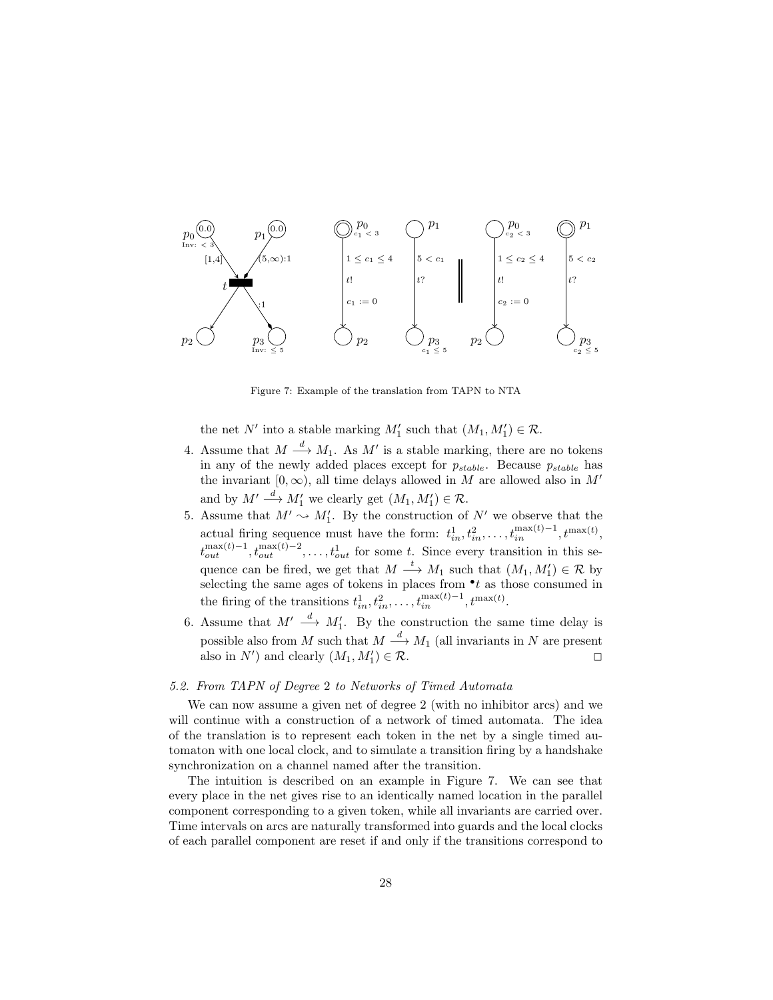

Figure 7: Example of the translation from TAPN to NTA

the net N' into a stable marking  $M'_1$  such that  $(M_1, M'_1) \in \mathcal{R}$ .

- 4. Assume that  $M \stackrel{d}{\longrightarrow} M_1$ . As  $M'$  is a stable marking, there are no tokens in any of the newly added places except for  $p_{stable}$ . Because  $p_{stable}$  has the invariant  $[0, \infty)$ , all time delays allowed in M are allowed also in M' and by  $M' \stackrel{d}{\longrightarrow} M'_1$  we clearly get  $(M_1, M'_1) \in \mathcal{R}$ .
- 5. Assume that  $M' \sim M_1'$ . By the construction of N' we observe that the 1 actual firing sequence must have the form:  $t_{in}^1, t_{in}^2, \ldots, t_{in}^{\max(t)-1}, t^{\max(t)}$ ,  $t_{out}^{\max(t)-1}, t_{out}^{\max(t)-2}, \ldots, t_{out}^1$  for some t. Since every transition in this sequence can be fired, we get that  $M \stackrel{t}{\longrightarrow} M_1$  such that  $(M_1, M'_1) \in \mathcal{R}$  by selecting the same ages of tokens in places from  $\cdot t$  as those consumed in the firing of the transitions  $t_{in}^1, t_{in}^2, \ldots, t_{in}^{\max(t)-1}, t^{\max(t)}$ .
- 6. Assume that  $M' \stackrel{d}{\longrightarrow} M'_1$ . By the construction the same time delay is possible also from M such that  $M \stackrel{d}{\longrightarrow} M_1$  (all invariants in N are present also in  $N'$ ) and clearly  $(M_1, M'_1)$  $) \in \mathcal{R}.$

#### 5.2. From TAPN of Degree 2 to Networks of Timed Automata

We can now assume a given net of degree 2 (with no inhibitor arcs) and we will continue with a construction of a network of timed automata. The idea of the translation is to represent each token in the net by a single timed automaton with one local clock, and to simulate a transition firing by a handshake synchronization on a channel named after the transition.

The intuition is described on an example in Figure 7. We can see that every place in the net gives rise to an identically named location in the parallel component corresponding to a given token, while all invariants are carried over. Time intervals on arcs are naturally transformed into guards and the local clocks of each parallel component are reset if and only if the transitions correspond to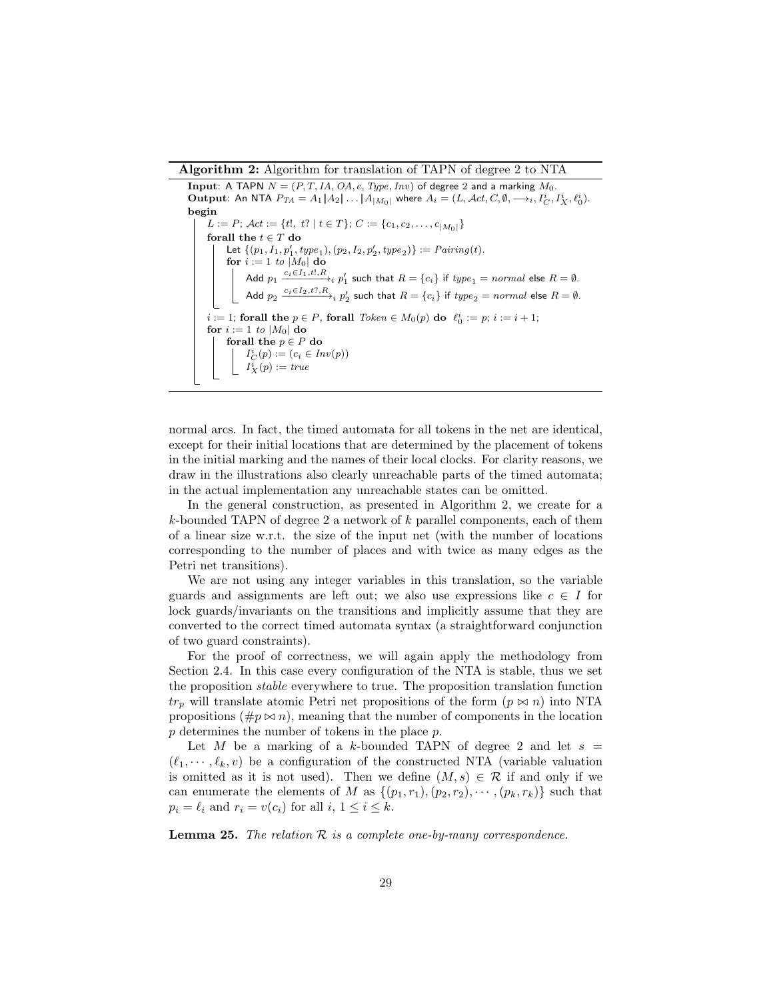Algorithm 2: Algorithm for translation of TAPN of degree 2 to NTA

Input: A TAPN  $N = (P, T, IA, OA, c, Type, Inv)$  of degree 2 and a marking  $M_0$ . Output: An NTA  $P_{TA} = A_1 \|A_2 \| \ldots \|A_{|M_0|}$  where  $A_i = (L, \text{Act}, C, \emptyset, \longrightarrow_i, I_C^i, I_X^i, \ell_0^i)$ . begin  $L := P$ ;  $\mathcal{A}ct := \{t!, t? \mid t \in T\}$ ;  $C := \{c_1, c_2, \ldots, c_{|M_0|}\}$ forall the  $t \in T$  do Let  $\{(p_1, I_1, p'_1, type_1), (p_2, I_2, p'_2, type_2)\} := \text{Pairing}(t)$ . for  $i := 1$  to  $|M_0|$  do Add  $p_1 \xrightarrow{c_i \in I_1, t!, R_i} p_1'$  such that  $R = \{c_i\}$  if  $type_1 = \textit{normal}$  else  $R = \emptyset$ . Add  $p_2 \xrightarrow{c_i \in I_2, t? , R} p'_2$  such that  $R = \{c_i\}$  if  $\mathit{type}_2 = \mathit{normal}$  else  $R = \emptyset.$  $i := 1$ ; forall the  $p \in P$ , forall  $Token \in M_0(p)$  do  $\ell_0^i := p$ ;  $i := i + 1$ ; for  $i := 1$  to  $|M_0|$  do forall the  $p \in P$  do  $I_C^i(p) := (c_i \in Inv(p))$  $I_X^i(p) := true$ 

normal arcs. In fact, the timed automata for all tokens in the net are identical, except for their initial locations that are determined by the placement of tokens in the initial marking and the names of their local clocks. For clarity reasons, we draw in the illustrations also clearly unreachable parts of the timed automata; in the actual implementation any unreachable states can be omitted.

In the general construction, as presented in Algorithm 2, we create for a  $k$ -bounded TAPN of degree 2 a network of  $k$  parallel components, each of them of a linear size w.r.t. the size of the input net (with the number of locations corresponding to the number of places and with twice as many edges as the Petri net transitions).

We are not using any integer variables in this translation, so the variable guards and assignments are left out; we also use expressions like  $c \in I$  for lock guards/invariants on the transitions and implicitly assume that they are converted to the correct timed automata syntax (a straightforward conjunction of two guard constraints).

For the proof of correctness, we will again apply the methodology from Section 2.4. In this case every configuration of the NTA is stable, thus we set the proposition stable everywhere to true. The proposition translation function  $tr_p$  will translate atomic Petri net propositions of the form  $(p \bowtie n)$  into NTA propositions  $(\#p \bowtie n)$ , meaning that the number of components in the location p determines the number of tokens in the place p.

Let M be a marking of a k-bounded TAPN of degree 2 and let  $s =$  $(\ell_1, \dots, \ell_k, v)$  be a configuration of the constructed NTA (variable valuation is omitted as it is not used). Then we define  $(M, s) \in \mathcal{R}$  if and only if we can enumerate the elements of M as  $\{(p_1, r_1), (p_2, r_2), \cdots, (p_k, r_k)\}\$  such that  $p_i = \ell_i$  and  $r_i = v(c_i)$  for all  $i, 1 \leq i \leq k$ .

**Lemma 25.** The relation  $\mathcal{R}$  is a complete one-by-many correspondence.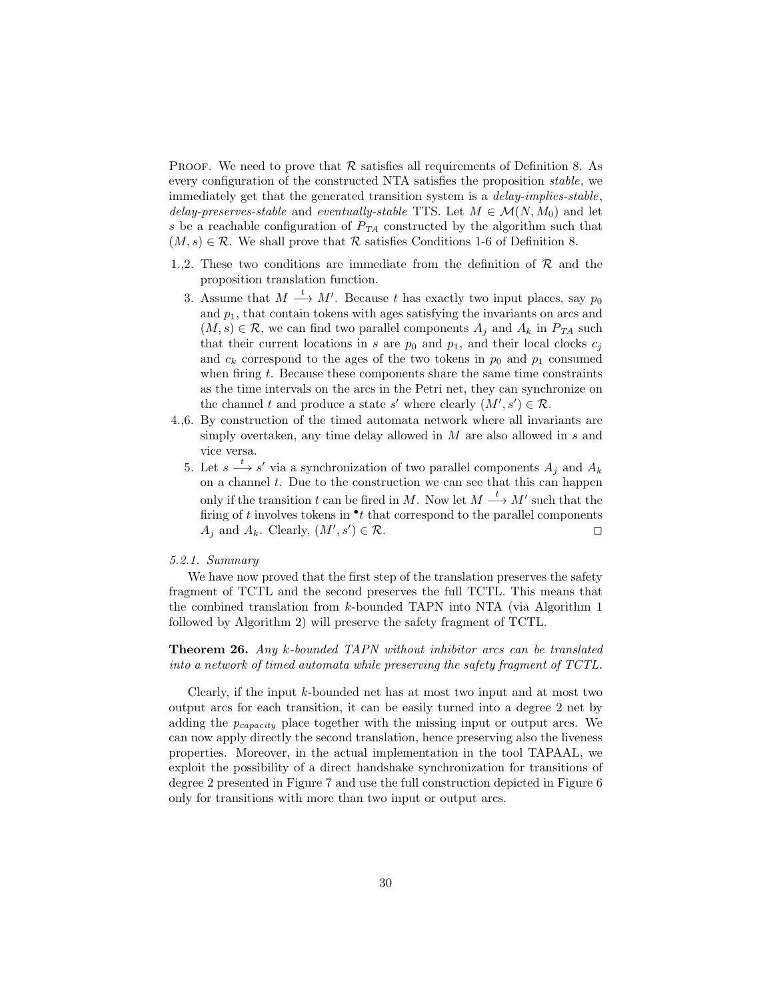**PROOF.** We need to prove that  $\mathcal{R}$  satisfies all requirements of Definition 8. As every configuration of the constructed NTA satisfies the proposition stable, we immediately get that the generated transition system is a delay-implies-stable, delay-preserves-stable and eventually-stable TTS. Let  $M \in \mathcal{M}(N, M_0)$  and let s be a reachable configuration of  $P_{TA}$  constructed by the algorithm such that  $(M, s) \in \mathcal{R}$ . We shall prove that  $\mathcal R$  satisfies Conditions 1-6 of Definition 8.

- 1.,2. These two conditions are immediate from the definition of  $R$  and the proposition translation function.
	- 3. Assume that  $M \stackrel{t}{\longrightarrow} M'$ . Because t has exactly two input places, say  $p_0$ and  $p_1$ , that contain tokens with ages satisfying the invariants on arcs and  $(M, s) \in \mathcal{R}$ , we can find two parallel components  $A_i$  and  $A_k$  in  $P_{TA}$  such that their current locations in s are  $p_0$  and  $p_1$ , and their local clocks  $c_j$ and  $c_k$  correspond to the ages of the two tokens in  $p_0$  and  $p_1$  consumed when firing  $t$ . Because these components share the same time constraints as the time intervals on the arcs in the Petri net, they can synchronize on the channel t and produce a state s' where clearly  $(M', s') \in \mathcal{R}$ .
- 4.,6. By construction of the timed automata network where all invariants are simply overtaken, any time delay allowed in  $M$  are also allowed in  $s$  and vice versa.
	- 5. Let  $s \stackrel{t}{\longrightarrow} s'$  via a synchronization of two parallel components  $A_j$  and  $A_k$ on a channel  $t$ . Due to the construction we can see that this can happen only if the transition t can be fired in M. Now let  $M \stackrel{t}{\longrightarrow} M'$  such that the firing of  $t$  involves tokens in  $\cdot t$  that correspond to the parallel components  $A_j$  and  $A_k$ . Clearly,  $(M', s')$  $) \in \mathcal{R}.$

## 5.2.1. Summary

We have now proved that the first step of the translation preserves the safety fragment of TCTL and the second preserves the full TCTL. This means that the combined translation from  $k$ -bounded TAPN into NTA (via Algorithm 1) followed by Algorithm 2) will preserve the safety fragment of TCTL.

Theorem 26. Any k-bounded TAPN without inhibitor arcs can be translated into a network of timed automata while preserving the safety fragment of TCTL.

Clearly, if the input  $k$ -bounded net has at most two input and at most two output arcs for each transition, it can be easily turned into a degree 2 net by adding the  $p_{capacity}$  place together with the missing input or output arcs. We can now apply directly the second translation, hence preserving also the liveness properties. Moreover, in the actual implementation in the tool TAPAAL, we exploit the possibility of a direct handshake synchronization for transitions of degree 2 presented in Figure 7 and use the full construction depicted in Figure 6 only for transitions with more than two input or output arcs.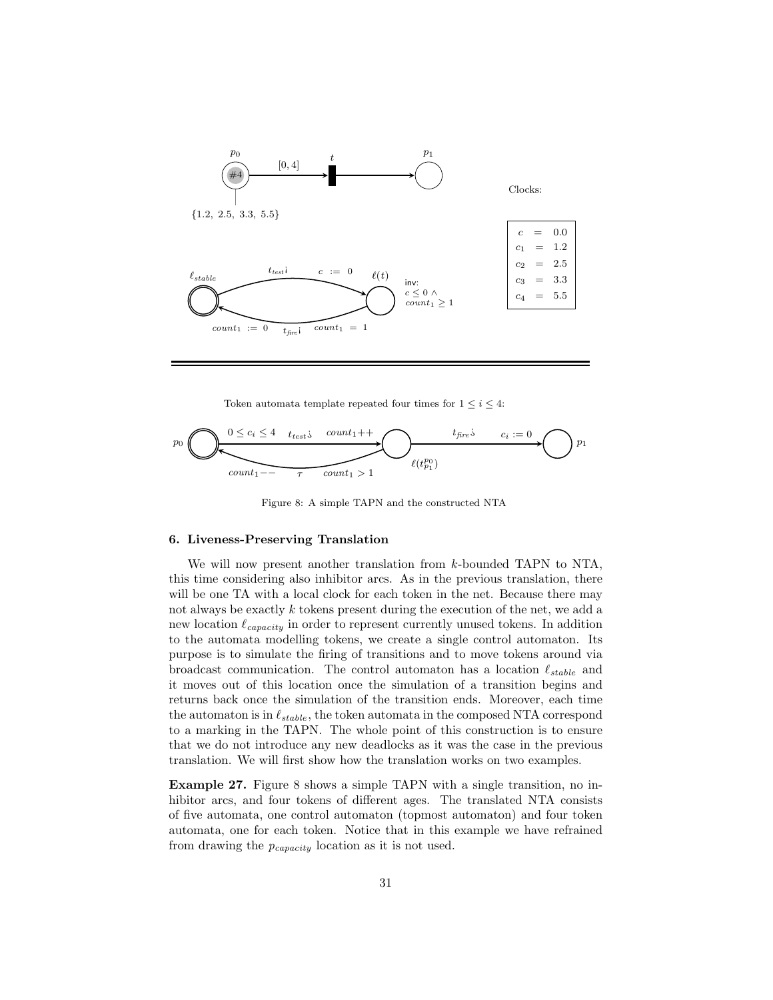

Token automata template repeated four times for  $1 \leq i \leq 4$ :



Figure 8: A simple TAPN and the constructed NTA

## 6. Liveness-Preserving Translation

We will now present another translation from k-bounded TAPN to NTA, this time considering also inhibitor arcs. As in the previous translation, there will be one TA with a local clock for each token in the net. Because there may not always be exactly k tokens present during the execution of the net, we add a new location  $\ell_{capacity}$  in order to represent currently unused tokens. In addition to the automata modelling tokens, we create a single control automaton. Its purpose is to simulate the firing of transitions and to move tokens around via broadcast communication. The control automaton has a location  $\ell_{stable}$  and it moves out of this location once the simulation of a transition begins and returns back once the simulation of the transition ends. Moreover, each time the automaton is in  $\ell_{stable}$ , the token automata in the composed NTA correspond to a marking in the TAPN. The whole point of this construction is to ensure that we do not introduce any new deadlocks as it was the case in the previous translation. We will first show how the translation works on two examples.

Example 27. Figure 8 shows a simple TAPN with a single transition, no inhibitor arcs, and four tokens of different ages. The translated NTA consists of five automata, one control automaton (topmost automaton) and four token automata, one for each token. Notice that in this example we have refrained from drawing the  $p_{capacity}$  location as it is not used.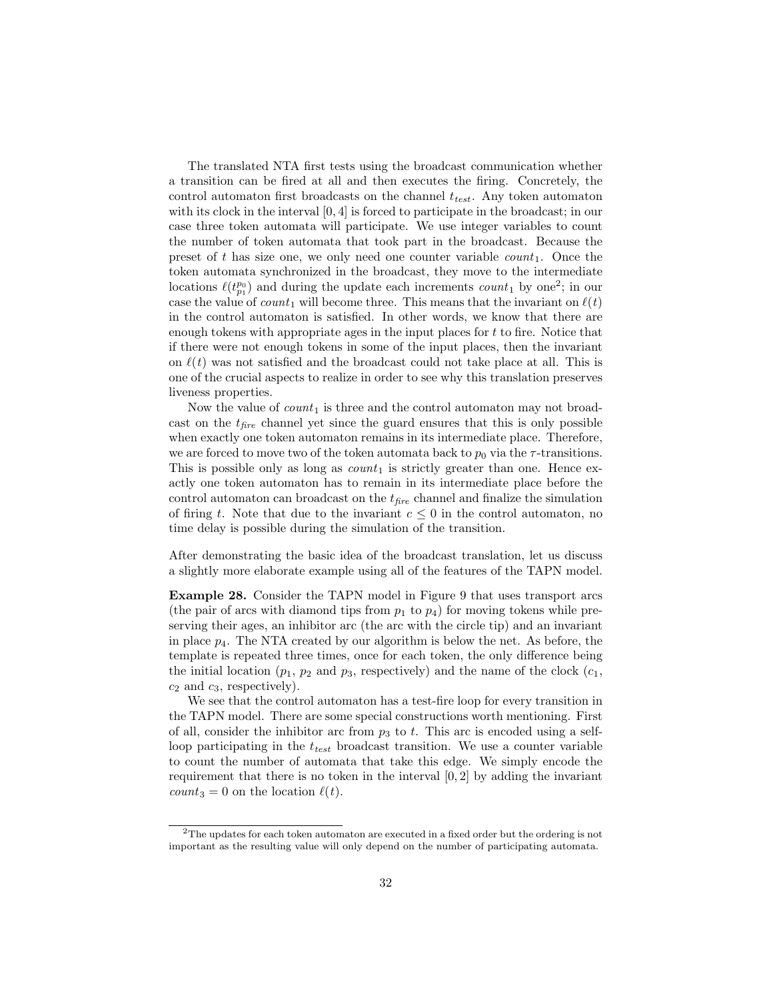The translated NTA first tests using the broadcast communication whether a transition can be fired at all and then executes the firing. Concretely, the control automaton first broadcasts on the channel  $t_{test}$ . Any token automaton with its clock in the interval [0, 4] is forced to participate in the broadcast; in our case three token automata will participate. We use integer variables to count the number of token automata that took part in the broadcast. Because the preset of t has size one, we only need one counter variable  $count_1$ . Once the token automata synchronized in the broadcast, they move to the intermediate locations  $\ell(t_{p_1}^{p_0})$  and during the update each increments  $count_1$  by one<sup>2</sup>; in our case the value of count<sub>1</sub> will become three. This means that the invariant on  $\ell(t)$ in the control automaton is satisfied. In other words, we know that there are enough tokens with appropriate ages in the input places for  $t$  to fire. Notice that if there were not enough tokens in some of the input places, then the invariant on  $\ell(t)$  was not satisfied and the broadcast could not take place at all. This is one of the crucial aspects to realize in order to see why this translation preserves liveness properties.

Now the value of  $count_1$  is three and the control automaton may not broadcast on the  $t_{fire}$  channel yet since the guard ensures that this is only possible when exactly one token automaton remains in its intermediate place. Therefore, we are forced to move two of the token automata back to  $p_0$  via the  $\tau$ -transitions. This is possible only as long as  $count_1$  is strictly greater than one. Hence exactly one token automaton has to remain in its intermediate place before the control automaton can broadcast on the  $t_{\text{fire}}$  channel and finalize the simulation of firing t. Note that due to the invariant  $c \leq 0$  in the control automaton, no time delay is possible during the simulation of the transition.

After demonstrating the basic idea of the broadcast translation, let us discuss a slightly more elaborate example using all of the features of the TAPN model.

Example 28. Consider the TAPN model in Figure 9 that uses transport arcs (the pair of arcs with diamond tips from  $p_1$  to  $p_4$ ) for moving tokens while preserving their ages, an inhibitor arc (the arc with the circle tip) and an invariant in place  $p_4$ . The NTA created by our algorithm is below the net. As before, the template is repeated three times, once for each token, the only difference being the initial location  $(p_1, p_2 \text{ and } p_3 \text{, respectively})$  and the name of the clock  $(c_1,$  $c_2$  and  $c_3$ , respectively).

We see that the control automaton has a test-fire loop for every transition in the TAPN model. There are some special constructions worth mentioning. First of all, consider the inhibitor arc from  $p_3$  to t. This arc is encoded using a selfloop participating in the  $t_{test}$  broadcast transition. We use a counter variable to count the number of automata that take this edge. We simply encode the requirement that there is no token in the interval [0, 2] by adding the invariant  $count_3 = 0$  on the location  $\ell(t)$ .

<sup>2</sup>The updates for each token automaton are executed in a fixed order but the ordering is not important as the resulting value will only depend on the number of participating automata.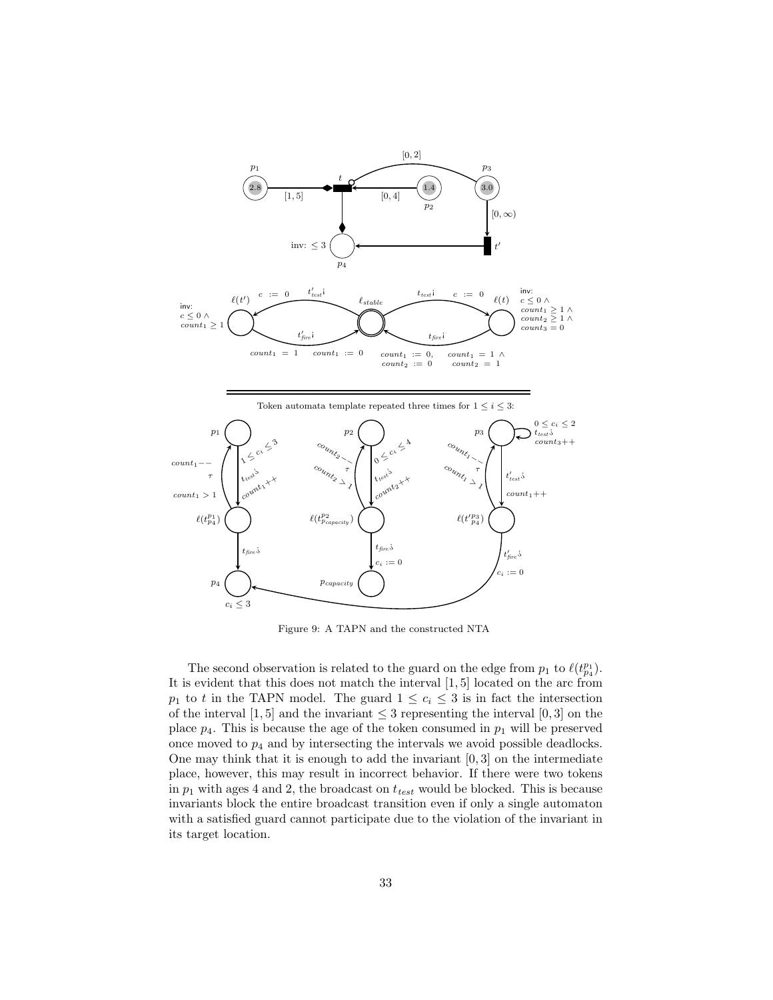

Figure 9: A TAPN and the constructed NTA

 $c_i \leq 3$ 

The second observation is related to the guard on the edge from  $p_1$  to  $\ell(t_{p_4}^{p_1})$ . It is evident that this does not match the interval [1, 5] located on the arc from  $p_1$  to t in the TAPN model. The guard  $1 \leq c_i \leq 3$  is in fact the intersection of the interval [1, 5] and the invariant  $\leq$  3 representing the interval [0, 3] on the place  $p_4$ . This is because the age of the token consumed in  $p_1$  will be preserved once moved to  $p_4$  and by intersecting the intervals we avoid possible deadlocks. One may think that it is enough to add the invariant [0, 3] on the intermediate place, however, this may result in incorrect behavior. If there were two tokens in  $p_1$  with ages 4 and 2, the broadcast on  $t_{test}$  would be blocked. This is because invariants block the entire broadcast transition even if only a single automaton with a satisfied guard cannot participate due to the violation of the invariant in its target location.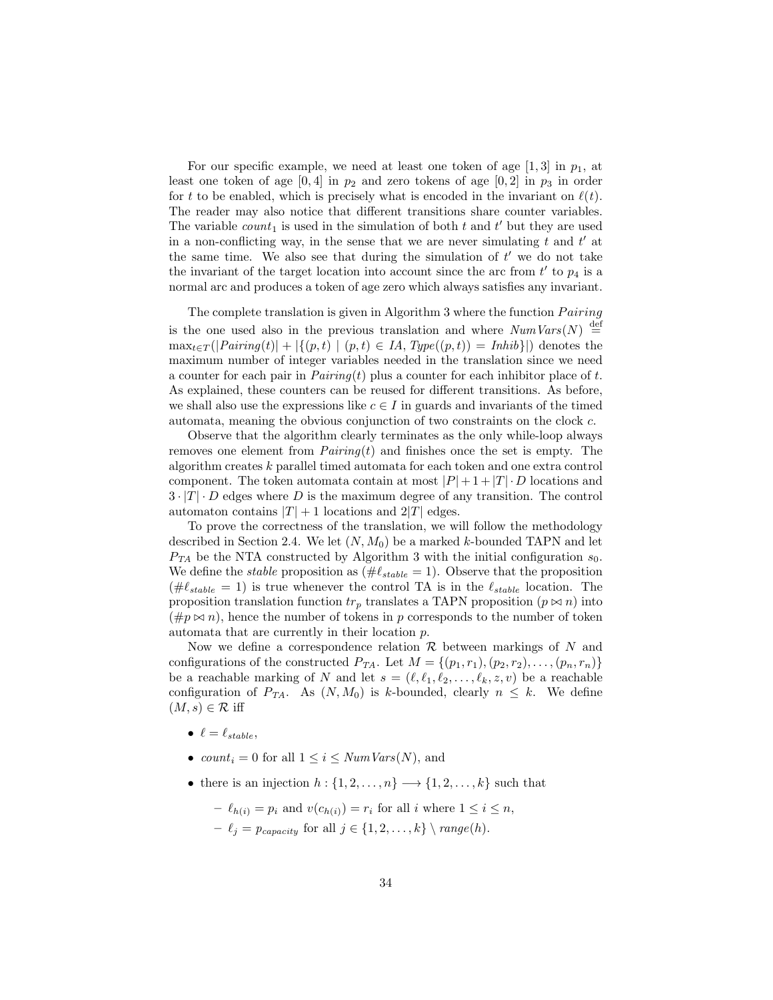For our specific example, we need at least one token of age  $[1,3]$  in  $p_1$ , at least one token of age  $[0, 4]$  in  $p_2$  and zero tokens of age  $[0, 2]$  in  $p_3$  in order for t to be enabled, which is precisely what is encoded in the invariant on  $\ell(t)$ . The reader may also notice that different transitions share counter variables. The variable  $count_1$  is used in the simulation of both t and t' but they are used in a non-conflicting way, in the sense that we are never simulating  $t$  and  $t'$  at the same time. We also see that during the simulation of  $t'$  we do not take the invariant of the target location into account since the arc from  $t'$  to  $p_4$  is a normal arc and produces a token of age zero which always satisfies any invariant.

The complete translation is given in Algorithm 3 where the function  $Pairing$ is the one used also in the previous translation and where  $NumVars(N) \stackrel{\text{def}}{=}$  $\max_{t \in T}(|Pairing(t)| + |\{(p, t) | (p, t) \in IA, Type((p, t)) = Inhib\}|)$  denotes the maximum number of integer variables needed in the translation since we need a counter for each pair in  $Pairing(t)$  plus a counter for each inhibitor place of t. As explained, these counters can be reused for different transitions. As before, we shall also use the expressions like  $c \in I$  in guards and invariants of the timed automata, meaning the obvious conjunction of two constraints on the clock c.

Observe that the algorithm clearly terminates as the only while-loop always removes one element from  $Pairing(t)$  and finishes once the set is empty. The algorithm creates k parallel timed automata for each token and one extra control component. The token automata contain at most  $|P|+1+|T|\cdot D$  locations and  $3 \cdot |T| \cdot D$  edges where D is the maximum degree of any transition. The control automaton contains  $|T| + 1$  locations and  $2|T|$  edges.

To prove the correctness of the translation, we will follow the methodology described in Section 2.4. We let  $(N, M_0)$  be a marked k-bounded TAPN and let  $P_{TA}$  be the NTA constructed by Algorithm 3 with the initial configuration  $s_0$ . We define the *stable* proposition as  $(\text{#}\ell_{stable} = 1)$ . Observe that the proposition  $(\text{#}\ell_{stable} = 1)$  is true whenever the control TA is in the  $\ell_{stable}$  location. The proposition translation function  $tr_p$  translates a TAPN proposition  $(p \bowtie n)$  into  $(\#p \bowtie n)$ , hence the number of tokens in p corresponds to the number of token automata that are currently in their location p.

Now we define a correspondence relation  $\mathcal R$  between markings of N and configurations of the constructed  $P_{TA}$ . Let  $M = \{(p_1, r_1), (p_2, r_2), \ldots, (p_n, r_n)\}\$ be a reachable marking of N and let  $s = (\ell, \ell_1, \ell_2, \ldots, \ell_k, z, v)$  be a reachable configuration of  $P_{TA}$ . As  $(N, M_0)$  is k-bounded, clearly  $n \leq k$ . We define  $(M, s) \in \mathcal{R}$  iff

- $\ell = \ell_{stable}$ ,
- count<sub>i</sub> = 0 for all  $1 \leq i \leq NumVars(N)$ , and
- there is an injection  $h: \{1, 2, \ldots, n\} \longrightarrow \{1, 2, \ldots, k\}$  such that
	- $-\ell_{h(i)} = p_i$  and  $v(c_{h(i)}) = r_i$  for all i where  $1 \leq i \leq n$ ,
	- $\ell_j = p_{capacity}$  for all  $j \in \{1, 2, \ldots, k\} \setminus range(h).$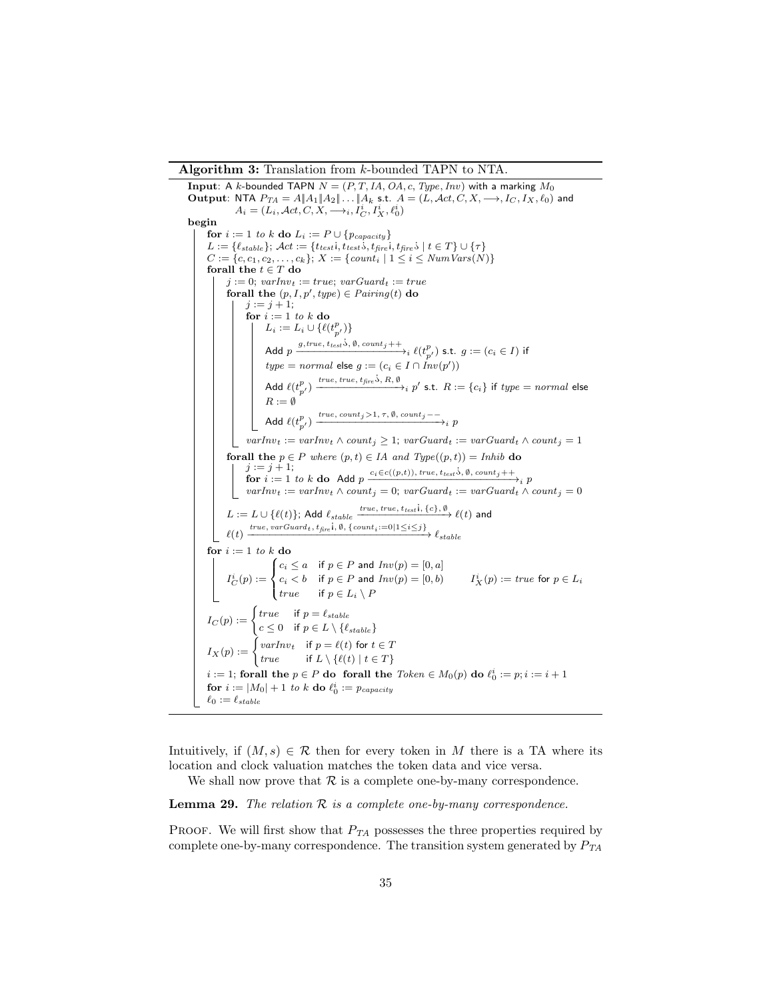Algorithm 3: Translation from k-bounded TAPN to NTA.

**Input:** A k-bounded TAPN  $N = (P, T, IA, OA, c, Type, Inv)$  with a marking  $M_0$ Output: NTA  $P_{TA} = A \|A_1\|A_2\| \dots \|A_k$  s.t.  $A = (L, \mathcal{A}ct, C, X, \longrightarrow, I_C, I_X, \ell_0)$  and  $A_i = (L_i, \mathcal{A}ct, C, X, \longrightarrow_i, I_C^i, I_X^i, \ell_0^i)$ begin for  $i := 1$  to  $k$  do  $L_i := P \cup \{p_{capacity}\}$  $L := \{ \ell_{stable} \}; Act := \{ \text{ttesti}, \text{ttesti}, \text{tfreei}, \text{tfreei} \mid t \in T \} \cup \{ \tau \}$  $C := \{c, c_1, c_2, \ldots, c_k\}; X := \{count_i \mid 1 \le i \le NumVars(N)\}\$ forall the  $t \in T$  do  $j := 0$ ; varInv<sub>t</sub> := true; varGuard<sub>t</sub> := true forall the  $(p, I, p', type) \in \text{Pairing}(t)$  do  $j := j + 1;$ for  $i := 1 \ to \ k$  do  $L_i := L_i \cup \{ \ell(t_{p'}^p) \}$ Add p  $\frac{g, true, t_{test} \dot{s}, \emptyset, count_j + +}{\partial t}$  { $(t_{p'}^p)$  s.t.  $g := (c_i \in I)$  if  $type = normal$  else  $g := (c_i \in I \cap Inv(p'))$ Add  $\ell(t_{p'}^p) \xrightarrow{true,\ true,\ t_{\textrm{fire}} \dot{\lambda}, R, \emptyset} {p'}$  s.t.  $R := \{c_i\}$  if  $type = normal$  else  $R := \emptyset$ Add  $\ell(t_{p'}^p) \xrightarrow{true, \, count_j>1,\, \tau, \emptyset, \, count_j--}{}_{i\,\, p}$  $varInv_t := varInv_t \wedge count_j \geq 1$ ;  $varGuard_t := varGuard_t \wedge count_j = 1$ forall the  $p \in P$  where  $(p, t) \in IA$  and  $Type((p, t)) = Inhib$  do  $j := j + 1;$  $f_j := f + 1;$ <br>
for  $i := 1$  to k do Add p  $\frac{c_i \in c((p,t))$ , true, t<sub>test</sub>'s,  $\emptyset$ , count; +  $\rightarrow$ <sup>+</sup>  $varInv_t := varInv_t \wedge count_j = 0; varGuard_t := varGuard_t \wedge count_j = 0$  $L:=L\cup \{\ell(t)\}$ ; Add  $\ell_{stable}$   $\frac{true,\,true,\,true,\,t_{test}i,\,\{c\},\emptyset}{\longrightarrow}\,\ell(t)$  and  $\ell(t) \xrightarrow{true, varGuard_t, t_{fire}} i, \emptyset, \{count_i:=0|1 \leq i \leq j\} \ell_{stable}$ for  $i := 1$  to k do  $I_C^i(p) :=$  $\int$  $\mathbf{I}$  $c_i \leq a \quad \text{if} \ p \in P$  and  $Inv(p) = [0,a]$  $c_i < b$  if  $p \in P$  and  $Inv(p) = [0, b)$ true if  $p \in L_i \setminus P$  $I_X^i(p) := true$  for  $p \in L_i$  $I_C(p) := \begin{cases} true & \text{if } p = \ell_{stable} \\ \text{if } p \in I \setminus \{0\} \end{cases}$  $c \leq 0$  if  $p \in L \setminus \{\ell_{stable} \}$  $I_X(p) := \begin{cases} varInv_t & \text{if } p = \ell(t) \text{ for } t \in T \\ \ell & \text{if } t > \ell(\ell) \text{ if } t \in T. \end{cases}$ true if  $L \setminus \{ \ell(t) | t \in T \}$  $i := 1$ ; forall the  $p \in P$  do forall the  $Token \in M_0(p)$  do  $\ell_0^i := p; i := i + 1$ for  $i := |M_0| + 1$  to  $k$  do  $\ell_0^i := p_{capacity}$  $\ell_0 := \ell_{stable}$ 

Intuitively, if  $(M, s) \in \mathcal{R}$  then for every token in M there is a TA where its location and clock valuation matches the token data and vice versa.

We shall now prove that  $R$  is a complete one-by-many correspondence.

**Lemma 29.** The relation  $\mathcal R$  is a complete one-by-many correspondence.

PROOF. We will first show that  $P_{TA}$  possesses the three properties required by complete one-by-many correspondence. The transition system generated by  $P_{TA}$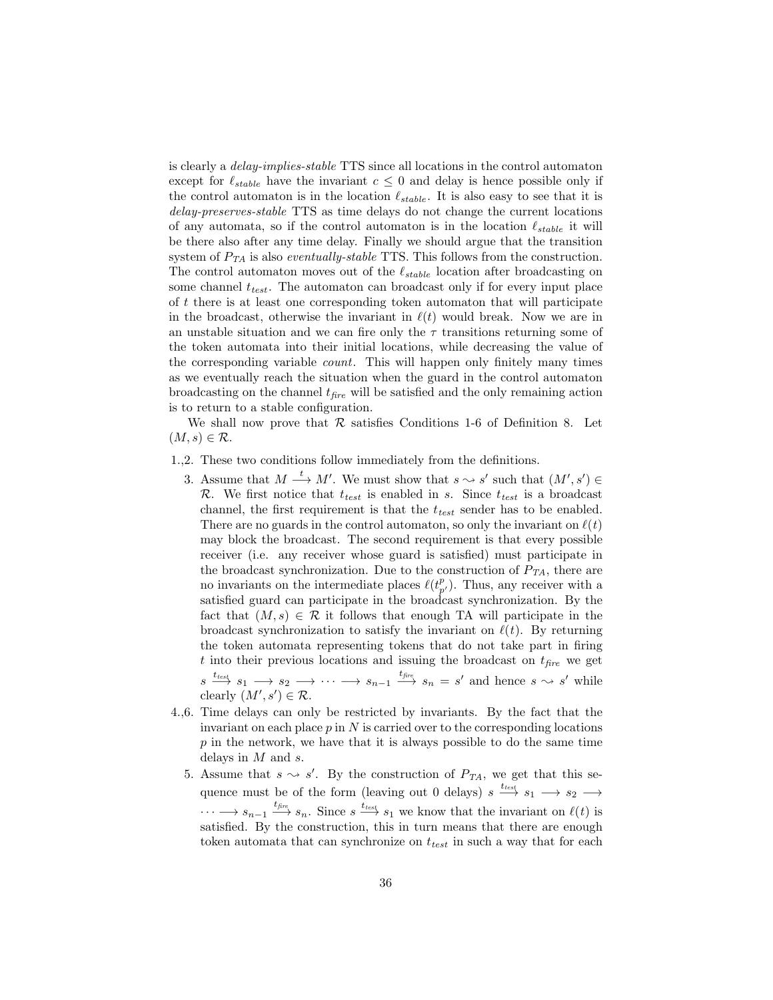is clearly a delay-implies-stable TTS since all locations in the control automaton except for  $\ell_{stable}$  have the invariant  $c \leq 0$  and delay is hence possible only if the control automaton is in the location  $\ell_{stable}$ . It is also easy to see that it is delay-preserves-stable TTS as time delays do not change the current locations of any automata, so if the control automaton is in the location  $\ell_{stable}$  it will be there also after any time delay. Finally we should argue that the transition system of  $P_{TA}$  is also *eventually-stable* TTS. This follows from the construction. The control automaton moves out of the  $\ell_{stable}$  location after broadcasting on some channel  $t_{test}$ . The automaton can broadcast only if for every input place of t there is at least one corresponding token automaton that will participate in the broadcast, otherwise the invariant in  $\ell(t)$  would break. Now we are in an unstable situation and we can fire only the  $\tau$  transitions returning some of the token automata into their initial locations, while decreasing the value of the corresponding variable count. This will happen only finitely many times as we eventually reach the situation when the guard in the control automaton broadcasting on the channel  $t_{fire}$  will be satisfied and the only remaining action is to return to a stable configuration.

We shall now prove that  $R$  satisfies Conditions 1-6 of Definition 8. Let  $(M, s) \in \mathcal{R}$ .

## 1.,2. These two conditions follow immediately from the definitions.

- 3. Assume that  $M \xrightarrow{t} M'$ . We must show that  $s \leadsto s'$  such that  $(M', s') \in \mathbb{R}$  $\mathcal{R}$ . We first notice that  $t_{test}$  is enabled in s. Since  $t_{test}$  is a broadcast channel, the first requirement is that the  $t_{test}$  sender has to be enabled. There are no guards in the control automaton, so only the invariant on  $\ell(t)$ may block the broadcast. The second requirement is that every possible receiver (i.e. any receiver whose guard is satisfied) must participate in the broadcast synchronization. Due to the construction of  $P_{TA}$ , there are no invariants on the intermediate places  $\ell(t_{p'}^p)$ . Thus, any receiver with a satisfied guard can participate in the broadcast synchronization. By the fact that  $(M, s) \in \mathcal{R}$  it follows that enough TA will participate in the broadcast synchronization to satisfy the invariant on  $\ell(t)$ . By returning the token automata representing tokens that do not take part in firing t into their previous locations and issuing the broadcast on  $t_{\text{fire}}$  we get  $s \xrightarrow{t_{test}} s_1 \longrightarrow s_2 \longrightarrow \cdots \longrightarrow s_{n-1} \xrightarrow{t_{fire}} s_n = s'$  and hence  $s \rightsquigarrow s'$  while clearly  $(M', s') \in \mathcal{R}$ .
- 4.,6. Time delays can only be restricted by invariants. By the fact that the invariant on each place  $p$  in  $N$  is carried over to the corresponding locations  $p$  in the network, we have that it is always possible to do the same time delays in  $M$  and  $s$ .
	- 5. Assume that  $s \sim s'$ . By the construction of  $P_{TA}$ , we get that this sequence must be of the form (leaving out 0 delays)  $s \xrightarrow{t_{test}} s_1 \longrightarrow s_2 \longrightarrow$  $\cdots \longrightarrow s_{n-1} \stackrel{t_{fire}}{\longrightarrow} s_n$ . Since  $s \stackrel{t_{test}}{\longrightarrow} s_1$  we know that the invariant on  $\ell(t)$  is satisfied. By the construction, this in turn means that there are enough token automata that can synchronize on  $t_{test}$  in such a way that for each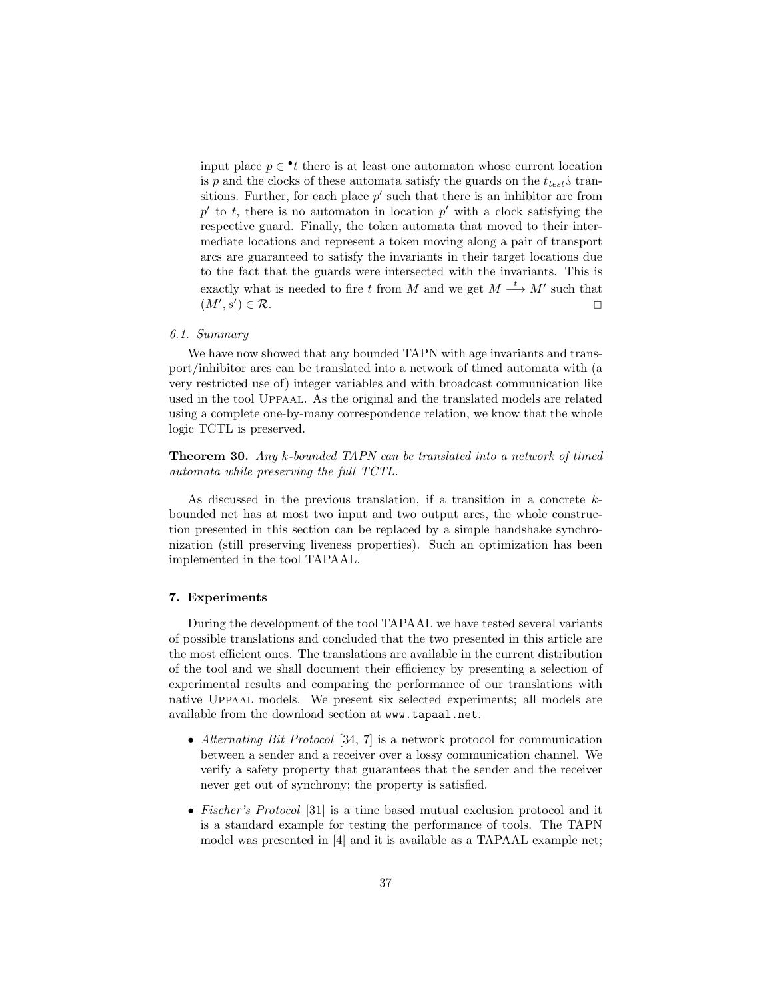input place  $p \in \cdot t$  there is at least one automaton whose current location is p and the clocks of these automata satisfy the guards on the  $t_{test}$ ; transitions. Further, for each place  $p'$  such that there is an inhibitor arc from  $p'$  to t, there is no automaton in location  $p'$  with a clock satisfying the respective guard. Finally, the token automata that moved to their intermediate locations and represent a token moving along a pair of transport arcs are guaranteed to satisfy the invariants in their target locations due to the fact that the guards were intersected with the invariants. This is exactly what is needed to fire t from M and we get  $M \stackrel{t}{\longrightarrow} M'$  such that  $(M', s'$  $) \in \mathcal{R}.$ 

## 6.1. Summary

We have now showed that any bounded TAPN with age invariants and transport/inhibitor arcs can be translated into a network of timed automata with (a very restricted use of) integer variables and with broadcast communication like used in the tool Uppaal. As the original and the translated models are related using a complete one-by-many correspondence relation, we know that the whole logic TCTL is preserved.

Theorem 30. Any k-bounded TAPN can be translated into a network of timed automata while preserving the full TCTL.

As discussed in the previous translation, if a transition in a concrete  $k$ bounded net has at most two input and two output arcs, the whole construction presented in this section can be replaced by a simple handshake synchronization (still preserving liveness properties). Such an optimization has been implemented in the tool TAPAAL.

## 7. Experiments

During the development of the tool TAPAAL we have tested several variants of possible translations and concluded that the two presented in this article are the most efficient ones. The translations are available in the current distribution of the tool and we shall document their efficiency by presenting a selection of experimental results and comparing the performance of our translations with native Uppaal models. We present six selected experiments; all models are available from the download section at www.tapaal.net.

- Alternating Bit Protocol [34, 7] is a network protocol for communication between a sender and a receiver over a lossy communication channel. We verify a safety property that guarantees that the sender and the receiver never get out of synchrony; the property is satisfied.
- Fischer's Protocol [31] is a time based mutual exclusion protocol and it is a standard example for testing the performance of tools. The TAPN model was presented in [4] and it is available as a TAPAAL example net;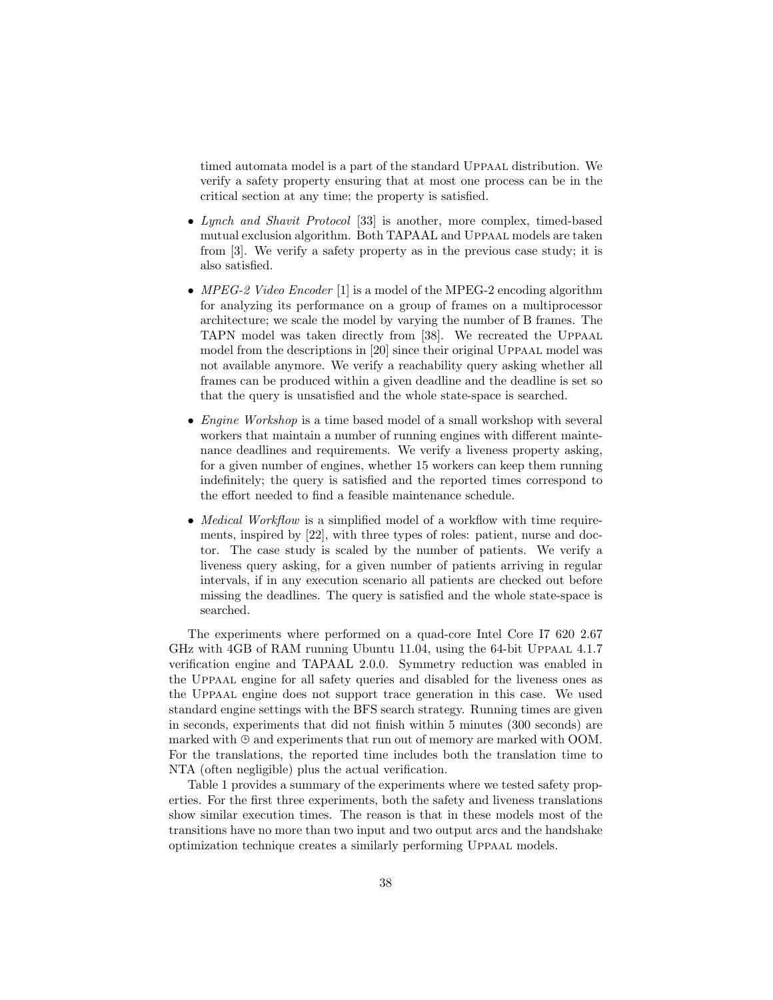timed automata model is a part of the standard UPPAAL distribution. We verify a safety property ensuring that at most one process can be in the critical section at any time; the property is satisfied.

- Lynch and Shavit Protocol [33] is another, more complex, timed-based mutual exclusion algorithm. Both TAPAAL and Uppaal models are taken from [3]. We verify a safety property as in the previous case study; it is also satisfied.
- MPEG-2 Video Encoder [1] is a model of the MPEG-2 encoding algorithm for analyzing its performance on a group of frames on a multiprocessor architecture; we scale the model by varying the number of B frames. The TAPN model was taken directly from [38]. We recreated the Uppaal model from the descriptions in [20] since their original UPPAAL model was not available anymore. We verify a reachability query asking whether all frames can be produced within a given deadline and the deadline is set so that the query is unsatisfied and the whole state-space is searched.
- *Engine Workshop* is a time based model of a small workshop with several workers that maintain a number of running engines with different maintenance deadlines and requirements. We verify a liveness property asking, for a given number of engines, whether 15 workers can keep them running indefinitely; the query is satisfied and the reported times correspond to the effort needed to find a feasible maintenance schedule.
- Medical Workflow is a simplified model of a workflow with time requirements, inspired by [22], with three types of roles: patient, nurse and doctor. The case study is scaled by the number of patients. We verify a liveness query asking, for a given number of patients arriving in regular intervals, if in any execution scenario all patients are checked out before missing the deadlines. The query is satisfied and the whole state-space is searched.

The experiments where performed on a quad-core Intel Core I7 620 2.67 GHz with 4GB of RAM running Ubuntu 11.04, using the 64-bit Uppaal 4.1.7 verification engine and TAPAAL 2.0.0. Symmetry reduction was enabled in the Uppaal engine for all safety queries and disabled for the liveness ones as the Uppaal engine does not support trace generation in this case. We used standard engine settings with the BFS search strategy. Running times are given in seconds, experiments that did not finish within 5 minutes (300 seconds) are marked with  $\Theta$  and experiments that run out of memory are marked with OOM. For the translations, the reported time includes both the translation time to NTA (often negligible) plus the actual verification.

Table 1 provides a summary of the experiments where we tested safety properties. For the first three experiments, both the safety and liveness translations show similar execution times. The reason is that in these models most of the transitions have no more than two input and two output arcs and the handshake optimization technique creates a similarly performing Uppaal models.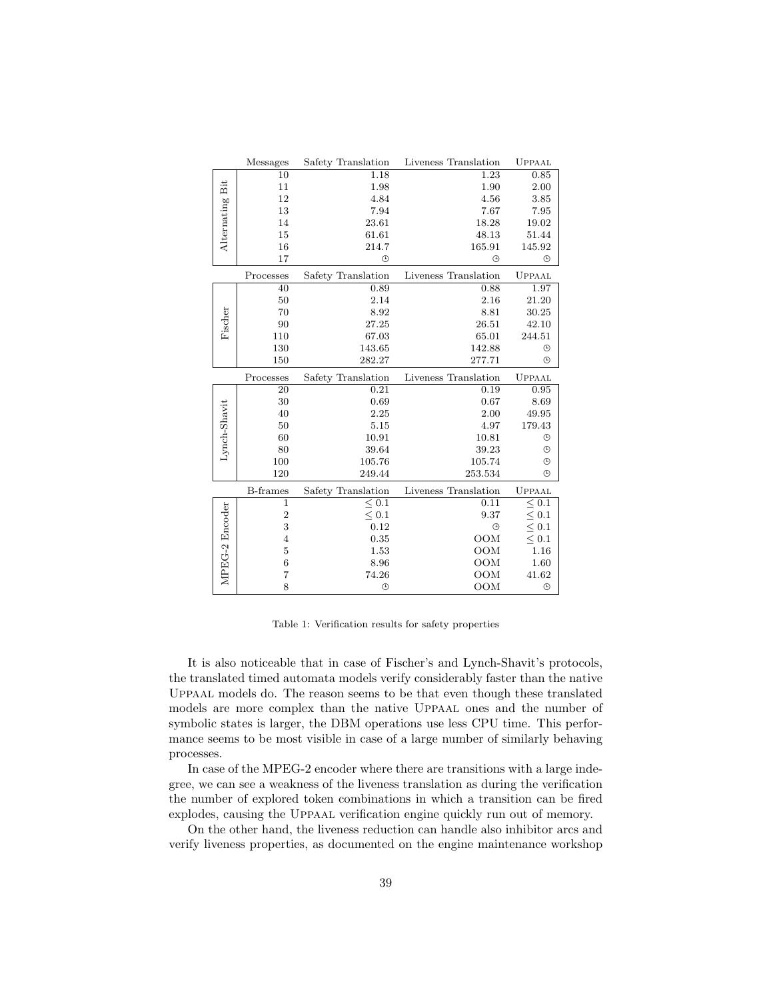|                | <b>Messages</b>         | Safety Translation | Liveness Translation | UPPAAL       |
|----------------|-------------------------|--------------------|----------------------|--------------|
|                | 10                      | 1.18               | 1.23                 | 0.85         |
| Bit            | 11                      | 1.98               | 1.90                 | 2.00         |
| Alternating    | 12                      | 4.84               | 4.56                 | 3.85         |
|                | 13                      | 7.94               | 7.67                 | 7.95         |
|                | 14                      | 23.61              | 18.28                | 19.02        |
|                | 15                      | 61.61              | 48.13                | 51.44        |
|                | 16                      | 214.7              | 165.91               | 145.92       |
|                | 17                      | $\odot$            | $\odot$              | $\odot$      |
|                | Processes               | Safety Translation | Liveness Translation | UPPAAL       |
| Fischer        | 40                      | 0.89               | 0.88                 | 1.97         |
|                | 50                      | 2.14               | 2.16                 | 21.20        |
|                | 70                      | 8.92               | 8.81                 | 30.25        |
|                | $90\,$                  | 27.25              | 26.51                | 42.10        |
|                | 110                     | 67.03              | 65.01                | 244.51       |
|                | 130                     | 143.65             | 142.88               | $\odot$      |
|                | 150                     | 282.27             | 277.71               | $\odot$      |
|                | Processes               | Safety Translation | Liveness Translation | UPPAAL       |
|                | $\overline{20}$         | 0.21               | 0.19                 | 0.95         |
|                | 30                      | 0.69               | 0.67                 | 8.69         |
|                | 40                      | 2.25               | 2.00                 | 49.95        |
|                | 50                      | 5.15               | 4.97                 | 179.43       |
|                | 60                      | 10.91              | 10.81                | $\odot$      |
| Lynch-Shavit   | 80                      | 39.64              | 39.23                | $^\circledR$ |
|                | 100                     | 105.76             | 105.74               | ⊕            |
|                | 120                     | 249.44             | 253.534              | $\odot$      |
|                | <b>B-frames</b>         | Safety Translation | Liveness Translation | UPPAAL       |
|                | $\overline{1}$          | < 0.1              | 0.11                 | $\leq 0.1$   |
|                | $\overline{\mathbf{c}}$ | $\leq 0.1$         | 9.37                 | $\leq 0.1$   |
|                | 3                       | 0.12               | $\odot$              | $\leq 0.1$   |
|                | $\overline{4}$          | 0.35               | <b>OOM</b>           | $\leq 0.1$   |
|                | $\overline{5}$          | 1.53               | OOM                  | 1.16         |
|                | $\boldsymbol{6}$        | 8.96               | <b>OOM</b>           | 1.60         |
| MPEG-2 Encoder | 7                       | 74.26              | OOM                  | 41.62        |
|                | 8                       | $\odot$            | OOM                  | $\odot$      |

Table 1: Verification results for safety properties

It is also noticeable that in case of Fischer's and Lynch-Shavit's protocols, the translated timed automata models verify considerably faster than the native Uppaal models do. The reason seems to be that even though these translated models are more complex than the native Uppaal ones and the number of symbolic states is larger, the DBM operations use less CPU time. This performance seems to be most visible in case of a large number of similarly behaving processes.

In case of the MPEG-2 encoder where there are transitions with a large indegree, we can see a weakness of the liveness translation as during the verification the number of explored token combinations in which a transition can be fired explodes, causing the Uppaal verification engine quickly run out of memory.

On the other hand, the liveness reduction can handle also inhibitor arcs and verify liveness properties, as documented on the engine maintenance workshop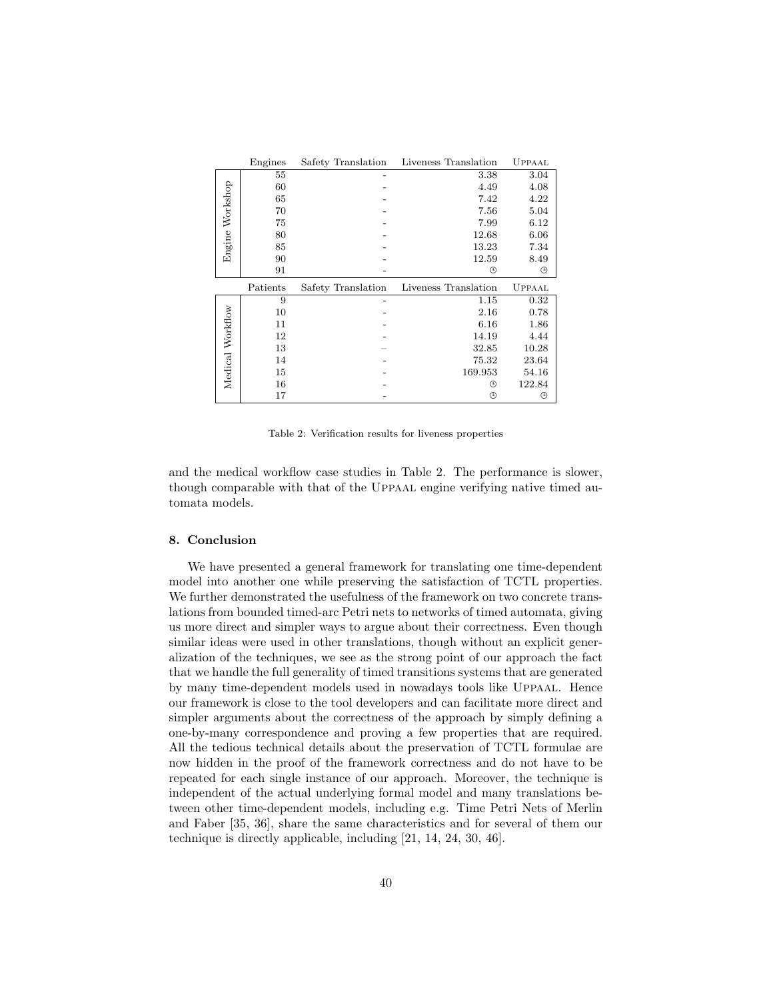|                  | Engines  | Safety Translation | Liveness Translation | <b>UPPAAL</b> |
|------------------|----------|--------------------|----------------------|---------------|
| Engine Workshop  | 55       |                    | 3.38                 | 3.04          |
|                  | 60       |                    | 4.49                 | 4.08          |
|                  | 65       |                    | 7.42                 | 4.22          |
|                  | 70       |                    | 7.56                 | 5.04          |
|                  | 75       |                    | 7.99                 | 6.12          |
|                  | 80       |                    | 12.68                | 6.06          |
|                  | 85       |                    | 13.23                | 7.34          |
|                  | 90       |                    | 12.59                | 8.49          |
|                  | 91       |                    | ⊕                    | ⊕             |
|                  |          |                    |                      |               |
|                  | Patients | Safety Translation | Liveness Translation | <b>UPPAAL</b> |
|                  | 9        |                    | 1.15                 | 0.32          |
|                  | 10       |                    | 2.16                 | 0.78          |
|                  | 11       |                    | 6.16                 | 1.86          |
|                  | 12       |                    | 14.19                | 4.44          |
|                  | 13       |                    | 32.85                | 10.28         |
|                  | 14       |                    | 75.32                | 23.64         |
|                  | 15       |                    | 169.953              | 54.16         |
| Medical Workflow | 16       |                    | ⊕                    | 122.84        |

Table 2: Verification results for liveness properties

and the medical workflow case studies in Table 2. The performance is slower, though comparable with that of the Uppaal engine verifying native timed automata models.

## 8. Conclusion

We have presented a general framework for translating one time-dependent model into another one while preserving the satisfaction of TCTL properties. We further demonstrated the usefulness of the framework on two concrete translations from bounded timed-arc Petri nets to networks of timed automata, giving us more direct and simpler ways to argue about their correctness. Even though similar ideas were used in other translations, though without an explicit generalization of the techniques, we see as the strong point of our approach the fact that we handle the full generality of timed transitions systems that are generated by many time-dependent models used in nowadays tools like Uppaal. Hence our framework is close to the tool developers and can facilitate more direct and simpler arguments about the correctness of the approach by simply defining a one-by-many correspondence and proving a few properties that are required. All the tedious technical details about the preservation of TCTL formulae are now hidden in the proof of the framework correctness and do not have to be repeated for each single instance of our approach. Moreover, the technique is independent of the actual underlying formal model and many translations between other time-dependent models, including e.g. Time Petri Nets of Merlin and Faber [35, 36], share the same characteristics and for several of them our technique is directly applicable, including [21, 14, 24, 30, 46].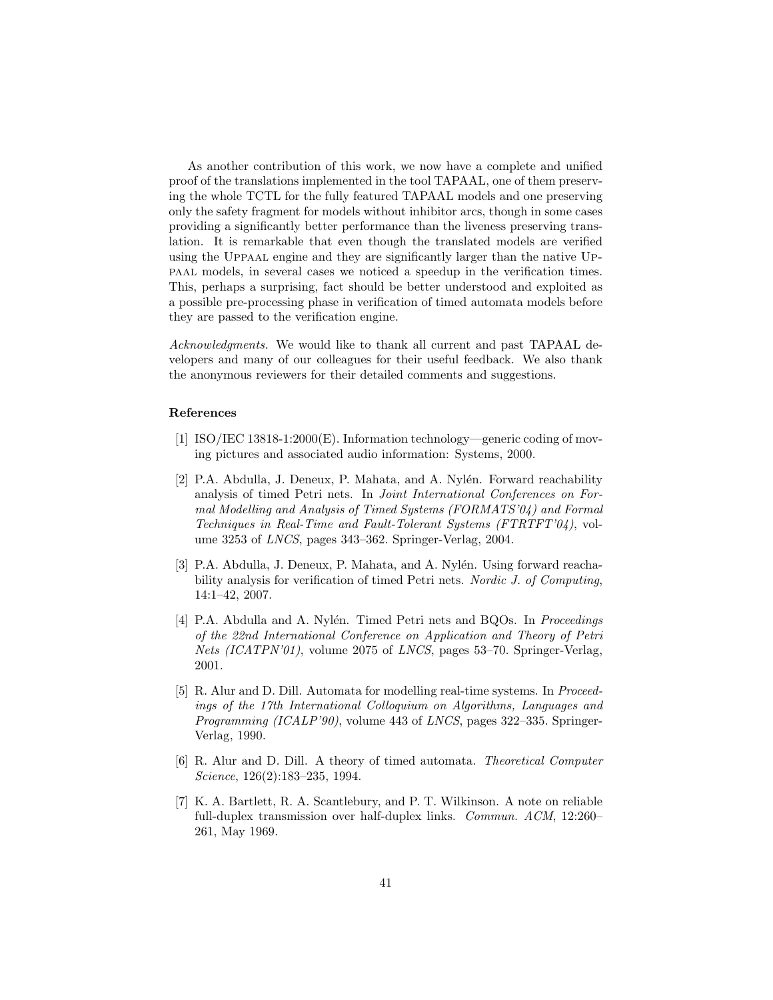As another contribution of this work, we now have a complete and unified proof of the translations implemented in the tool TAPAAL, one of them preserving the whole TCTL for the fully featured TAPAAL models and one preserving only the safety fragment for models without inhibitor arcs, though in some cases providing a significantly better performance than the liveness preserving translation. It is remarkable that even though the translated models are verified using the Uppaal engine and they are significantly larger than the native Uppaal models, in several cases we noticed a speedup in the verification times. This, perhaps a surprising, fact should be better understood and exploited as a possible pre-processing phase in verification of timed automata models before they are passed to the verification engine.

Acknowledgments. We would like to thank all current and past TAPAAL developers and many of our colleagues for their useful feedback. We also thank the anonymous reviewers for their detailed comments and suggestions.

#### References

- [1] ISO/IEC 13818-1:2000(E). Information technology—generic coding of moving pictures and associated audio information: Systems, 2000.
- [2] P.A. Abdulla, J. Deneux, P. Mahata, and A. Nylén. Forward reachability analysis of timed Petri nets. In Joint International Conferences on Formal Modelling and Analysis of Timed Systems (FORMATS'04) and Formal Techniques in Real-Time and Fault-Tolerant Systems (FTRTFT'04), volume 3253 of LNCS, pages 343–362. Springer-Verlag, 2004.
- [3] P.A. Abdulla, J. Deneux, P. Mahata, and A. Nylén. Using forward reachability analysis for verification of timed Petri nets. Nordic J. of Computing, 14:1–42, 2007.
- [4] P.A. Abdulla and A. Nylén. Timed Petri nets and BQOs. In *Proceedings* of the 22nd International Conference on Application and Theory of Petri Nets (ICATPN'01), volume 2075 of LNCS, pages 53-70. Springer-Verlag, 2001.
- [5] R. Alur and D. Dill. Automata for modelling real-time systems. In Proceedings of the 17th International Colloquium on Algorithms, Languages and Programming (ICALP'90), volume 443 of LNCS, pages 322–335. Springer-Verlag, 1990.
- [6] R. Alur and D. Dill. A theory of timed automata. Theoretical Computer Science, 126(2):183–235, 1994.
- [7] K. A. Bartlett, R. A. Scantlebury, and P. T. Wilkinson. A note on reliable full-duplex transmission over half-duplex links. Commun. ACM, 12:260– 261, May 1969.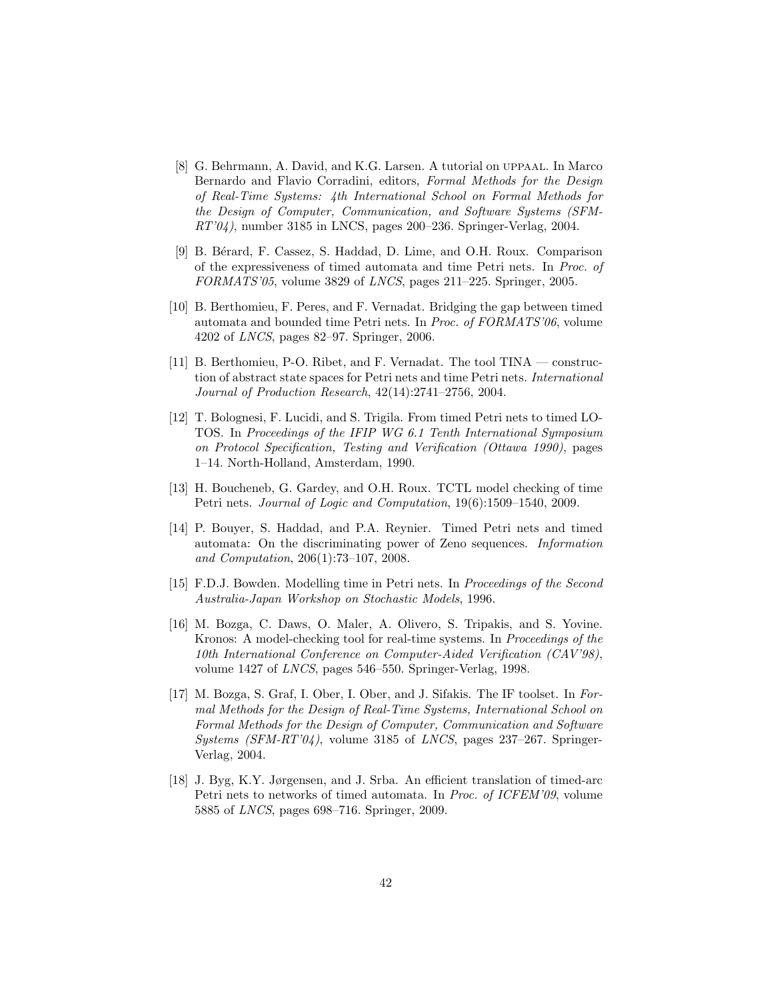- [8] G. Behrmann, A. David, and K.G. Larsen. A tutorial on uppaal. In Marco Bernardo and Flavio Corradini, editors, Formal Methods for the Design of Real-Time Systems: 4th International School on Formal Methods for the Design of Computer, Communication, and Software Systems (SFM- $RT'04$ , number 3185 in LNCS, pages 200–236. Springer-Verlag, 2004.
- [9] B. B´erard, F. Cassez, S. Haddad, D. Lime, and O.H. Roux. Comparison of the expressiveness of timed automata and time Petri nets. In Proc. of FORMATS'05, volume 3829 of LNCS, pages 211–225. Springer, 2005.
- [10] B. Berthomieu, F. Peres, and F. Vernadat. Bridging the gap between timed automata and bounded time Petri nets. In Proc. of FORMATS'06, volume 4202 of LNCS, pages 82–97. Springer, 2006.
- [11] B. Berthomieu, P-O. Ribet, and F. Vernadat. The tool TINA construction of abstract state spaces for Petri nets and time Petri nets. International Journal of Production Research, 42(14):2741–2756, 2004.
- [12] T. Bolognesi, F. Lucidi, and S. Trigila. From timed Petri nets to timed LO-TOS. In Proceedings of the IFIP WG 6.1 Tenth International Symposium on Protocol Specification, Testing and Verification (Ottawa 1990), pages 1–14. North-Holland, Amsterdam, 1990.
- [13] H. Boucheneb, G. Gardey, and O.H. Roux. TCTL model checking of time Petri nets. Journal of Logic and Computation, 19(6):1509–1540, 2009.
- [14] P. Bouyer, S. Haddad, and P.A. Reynier. Timed Petri nets and timed automata: On the discriminating power of Zeno sequences. Information and Computation, 206(1):73–107, 2008.
- [15] F.D.J. Bowden. Modelling time in Petri nets. In Proceedings of the Second Australia-Japan Workshop on Stochastic Models, 1996.
- [16] M. Bozga, C. Daws, O. Maler, A. Olivero, S. Tripakis, and S. Yovine. Kronos: A model-checking tool for real-time systems. In Proceedings of the 10th International Conference on Computer-Aided Verification (CAV'98), volume 1427 of LNCS, pages 546–550. Springer-Verlag, 1998.
- [17] M. Bozga, S. Graf, I. Ober, I. Ober, and J. Sifakis. The IF toolset. In Formal Methods for the Design of Real-Time Systems, International School on Formal Methods for the Design of Computer, Communication and Software Systems  $(SFM-RT'04)$ , volume 3185 of LNCS, pages 237–267. Springer-Verlag, 2004.
- [18] J. Byg, K.Y. Jørgensen, and J. Srba. An efficient translation of timed-arc Petri nets to networks of timed automata. In Proc. of ICFEM'09, volume 5885 of LNCS, pages 698–716. Springer, 2009.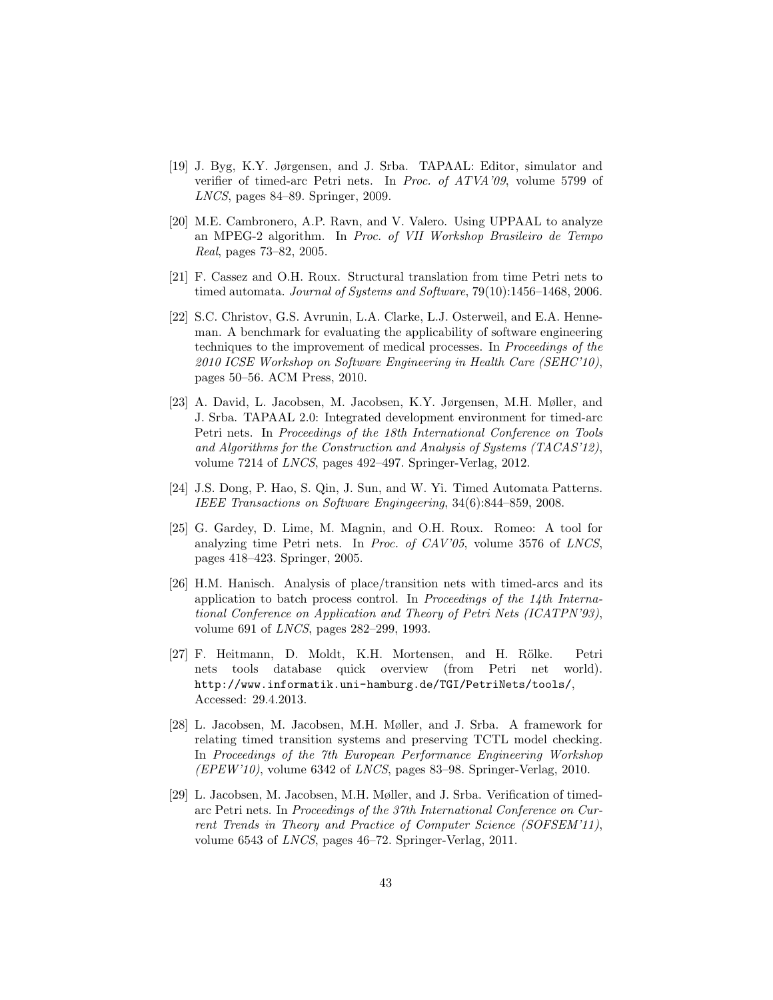- [19] J. Byg, K.Y. Jørgensen, and J. Srba. TAPAAL: Editor, simulator and verifier of timed-arc Petri nets. In Proc. of ATVA'09, volume 5799 of LNCS, pages 84–89. Springer, 2009.
- [20] M.E. Cambronero, A.P. Ravn, and V. Valero. Using UPPAAL to analyze an MPEG-2 algorithm. In Proc. of VII Workshop Brasileiro de Tempo Real, pages 73–82, 2005.
- [21] F. Cassez and O.H. Roux. Structural translation from time Petri nets to timed automata. Journal of Systems and Software, 79(10):1456–1468, 2006.
- [22] S.C. Christov, G.S. Avrunin, L.A. Clarke, L.J. Osterweil, and E.A. Henneman. A benchmark for evaluating the applicability of software engineering techniques to the improvement of medical processes. In Proceedings of the 2010 ICSE Workshop on Software Engineering in Health Care (SEHC'10), pages 50–56. ACM Press, 2010.
- [23] A. David, L. Jacobsen, M. Jacobsen, K.Y. Jørgensen, M.H. Møller, and J. Srba. TAPAAL 2.0: Integrated development environment for timed-arc Petri nets. In Proceedings of the 18th International Conference on Tools and Algorithms for the Construction and Analysis of Systems (TACAS'12), volume 7214 of LNCS, pages 492–497. Springer-Verlag, 2012.
- [24] J.S. Dong, P. Hao, S. Qin, J. Sun, and W. Yi. Timed Automata Patterns. IEEE Transactions on Software Engingeering, 34(6):844–859, 2008.
- [25] G. Gardey, D. Lime, M. Magnin, and O.H. Roux. Romeo: A tool for analyzing time Petri nets. In Proc. of CAV'05, volume 3576 of LNCS, pages 418–423. Springer, 2005.
- [26] H.M. Hanisch. Analysis of place/transition nets with timed-arcs and its application to batch process control. In Proceedings of the  $14$ th International Conference on Application and Theory of Petri Nets (ICATPN'93), volume 691 of LNCS, pages 282–299, 1993.
- [27] F. Heitmann, D. Moldt, K.H. Mortensen, and H. Rölke. Petri nets tools database quick overview (from Petri net world). http://www.informatik.uni-hamburg.de/TGI/PetriNets/tools/, Accessed: 29.4.2013.
- [28] L. Jacobsen, M. Jacobsen, M.H. Møller, and J. Srba. A framework for relating timed transition systems and preserving TCTL model checking. In Proceedings of the 7th European Performance Engineering Workshop  $(EPEW'10)$ , volume 6342 of *LNCS*, pages 83–98. Springer-Verlag, 2010.
- [29] L. Jacobsen, M. Jacobsen, M.H. Møller, and J. Srba. Verification of timedarc Petri nets. In Proceedings of the 37th International Conference on Current Trends in Theory and Practice of Computer Science (SOFSEM'11), volume 6543 of LNCS, pages 46–72. Springer-Verlag, 2011.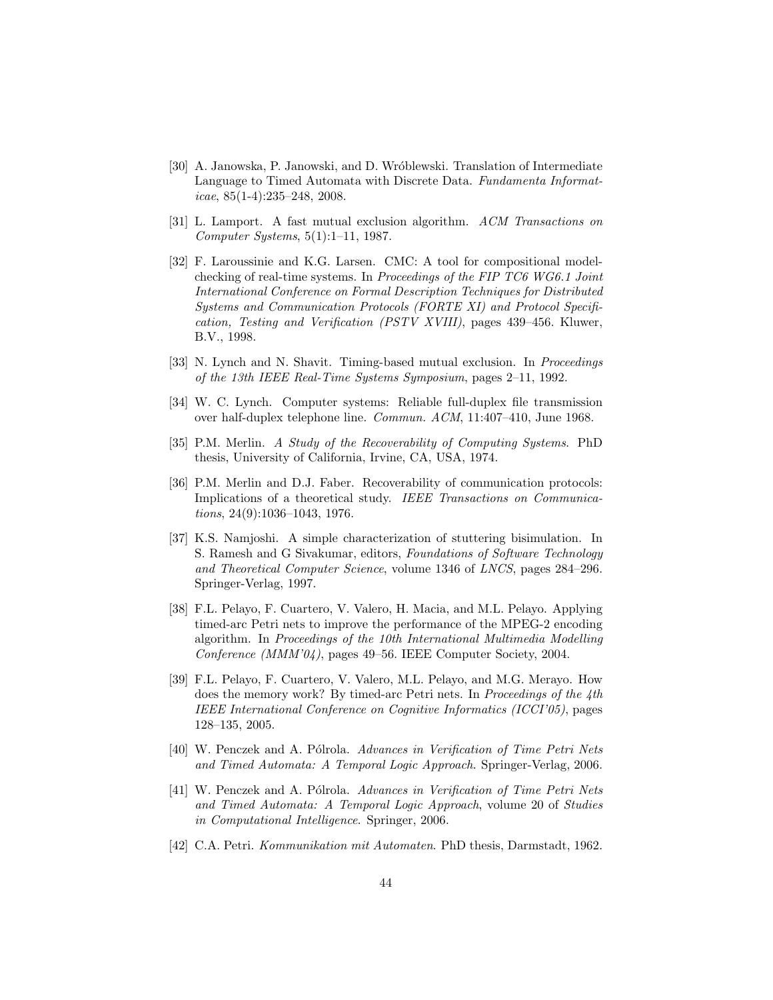- [30] A. Janowska, P. Janowski, and D. Wr´oblewski. Translation of Intermediate Language to Timed Automata with Discrete Data. Fundamenta Informat $i$ cae, 85(1-4):235–248, 2008.
- [31] L. Lamport. A fast mutual exclusion algorithm. ACM Transactions on Computer Systems, 5(1):1–11, 1987.
- [32] F. Laroussinie and K.G. Larsen. CMC: A tool for compositional modelchecking of real-time systems. In Proceedings of the FIP TC6 WG6.1 Joint International Conference on Formal Description Techniques for Distributed Systems and Communication Protocols (FORTE XI) and Protocol Specification, Testing and Verification (PSTV XVIII), pages 439–456. Kluwer, B.V., 1998.
- [33] N. Lynch and N. Shavit. Timing-based mutual exclusion. In Proceedings of the 13th IEEE Real-Time Systems Symposium, pages 2–11, 1992.
- [34] W. C. Lynch. Computer systems: Reliable full-duplex file transmission over half-duplex telephone line. Commun. ACM, 11:407–410, June 1968.
- [35] P.M. Merlin. A Study of the Recoverability of Computing Systems. PhD thesis, University of California, Irvine, CA, USA, 1974.
- [36] P.M. Merlin and D.J. Faber. Recoverability of communication protocols: Implications of a theoretical study. IEEE Transactions on Communications, 24(9):1036–1043, 1976.
- [37] K.S. Namjoshi. A simple characterization of stuttering bisimulation. In S. Ramesh and G Sivakumar, editors, Foundations of Software Technology and Theoretical Computer Science, volume 1346 of LNCS, pages 284–296. Springer-Verlag, 1997.
- [38] F.L. Pelayo, F. Cuartero, V. Valero, H. Macia, and M.L. Pelayo. Applying timed-arc Petri nets to improve the performance of the MPEG-2 encoding algorithm. In Proceedings of the 10th International Multimedia Modelling Conference (MMM'04), pages 49–56. IEEE Computer Society, 2004.
- [39] F.L. Pelayo, F. Cuartero, V. Valero, M.L. Pelayo, and M.G. Merayo. How does the memory work? By timed-arc Petri nets. In Proceedings of the 4th IEEE International Conference on Cognitive Informatics (ICCI'05), pages 128–135, 2005.
- [40] W. Penczek and A. Pólrola. Advances in Verification of Time Petri Nets and Timed Automata: A Temporal Logic Approach. Springer-Verlag, 2006.
- [41] W. Penczek and A. Pólrola. Advances in Verification of Time Petri Nets and Timed Automata: A Temporal Logic Approach, volume 20 of Studies in Computational Intelligence. Springer, 2006.
- [42] C.A. Petri. Kommunikation mit Automaten. PhD thesis, Darmstadt, 1962.